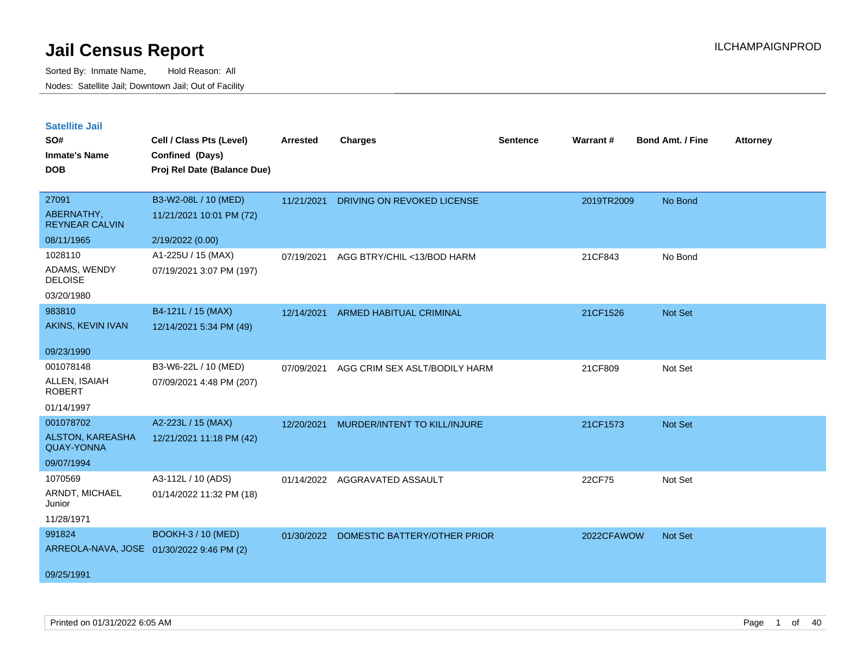| <b>Satellite Jail</b> |  |
|-----------------------|--|
|                       |  |

| UULUIILU VUII<br>SO#<br><b>Inmate's Name</b><br><b>DOB</b> | Cell / Class Pts (Level)<br>Confined (Days)<br>Proj Rel Date (Balance Due) | <b>Arrested</b> | <b>Charges</b>                | <b>Sentence</b> | Warrant#   | <b>Bond Amt. / Fine</b> | <b>Attorney</b> |
|------------------------------------------------------------|----------------------------------------------------------------------------|-----------------|-------------------------------|-----------------|------------|-------------------------|-----------------|
| 27091<br>ABERNATHY,<br><b>REYNEAR CALVIN</b>               | B3-W2-08L / 10 (MED)<br>11/21/2021 10:01 PM (72)                           | 11/21/2021      | DRIVING ON REVOKED LICENSE    |                 | 2019TR2009 | No Bond                 |                 |
| 08/11/1965                                                 | 2/19/2022 (0.00)                                                           |                 |                               |                 |            |                         |                 |
| 1028110<br>ADAMS, WENDY<br><b>DELOISE</b>                  | A1-225U / 15 (MAX)<br>07/19/2021 3:07 PM (197)                             | 07/19/2021      | AGG BTRY/CHIL <13/BOD HARM    |                 | 21CF843    | No Bond                 |                 |
| 03/20/1980                                                 |                                                                            |                 |                               |                 |            |                         |                 |
| 983810<br>AKINS, KEVIN IVAN                                | B4-121L / 15 (MAX)<br>12/14/2021 5:34 PM (49)                              | 12/14/2021      | ARMED HABITUAL CRIMINAL       |                 | 21CF1526   | Not Set                 |                 |
| 09/23/1990                                                 |                                                                            |                 |                               |                 |            |                         |                 |
| 001078148<br>ALLEN, ISAIAH<br><b>ROBERT</b><br>01/14/1997  | B3-W6-22L / 10 (MED)<br>07/09/2021 4:48 PM (207)                           | 07/09/2021      | AGG CRIM SEX ASLT/BODILY HARM |                 | 21CF809    | Not Set                 |                 |
| 001078702                                                  | A2-223L / 15 (MAX)                                                         | 12/20/2021      | MURDER/INTENT TO KILL/INJURE  |                 | 21CF1573   | Not Set                 |                 |
| ALSTON, KAREASHA<br><b>QUAY-YONNA</b>                      | 12/21/2021 11:18 PM (42)                                                   |                 |                               |                 |            |                         |                 |
| 09/07/1994                                                 |                                                                            |                 |                               |                 |            |                         |                 |
| 1070569<br>ARNDT, MICHAEL<br>Junior<br>11/28/1971          | A3-112L / 10 (ADS)<br>01/14/2022 11:32 PM (18)                             | 01/14/2022      | AGGRAVATED ASSAULT            |                 | 22CF75     | Not Set                 |                 |
| 991824<br>09/25/1991                                       | <b>BOOKH-3 / 10 (MED)</b><br>ARREOLA-NAVA, JOSE 01/30/2022 9:46 PM (2)     | 01/30/2022      | DOMESTIC BATTERY/OTHER PRIOR  |                 | 2022CFAWOW | Not Set                 |                 |
|                                                            |                                                                            |                 |                               |                 |            |                         |                 |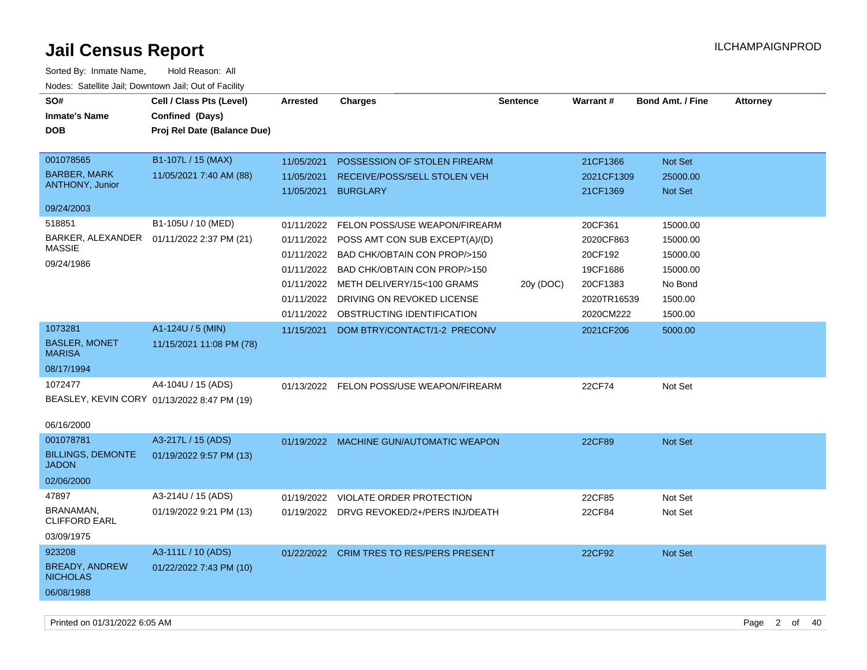| SO#<br><b>Inmate's Name</b><br><b>DOB</b>                            | Cell / Class Pts (Level)<br>Confined (Days)<br>Proj Rel Date (Balance Due) | <b>Arrested</b>                                                    | <b>Charges</b>                                                                                                                                                                                                                                  | <b>Sentence</b> | Warrant#                                                                            | <b>Bond Amt. / Fine</b>                                                       | <b>Attorney</b> |
|----------------------------------------------------------------------|----------------------------------------------------------------------------|--------------------------------------------------------------------|-------------------------------------------------------------------------------------------------------------------------------------------------------------------------------------------------------------------------------------------------|-----------------|-------------------------------------------------------------------------------------|-------------------------------------------------------------------------------|-----------------|
| 001078565<br><b>BARBER, MARK</b><br><b>ANTHONY, Junior</b>           | B1-107L / 15 (MAX)<br>11/05/2021 7:40 AM (88)                              | 11/05/2021<br>11/05/2021<br>11/05/2021                             | POSSESSION OF STOLEN FIREARM<br>RECEIVE/POSS/SELL STOLEN VEH<br><b>BURGLARY</b>                                                                                                                                                                 |                 | 21CF1366<br>2021CF1309<br>21CF1369                                                  | <b>Not Set</b><br>25000.00<br><b>Not Set</b>                                  |                 |
| 09/24/2003<br>518851                                                 | B1-105U / 10 (MED)                                                         |                                                                    |                                                                                                                                                                                                                                                 |                 |                                                                                     |                                                                               |                 |
| BARKER, ALEXANDER<br><b>MASSIE</b><br>09/24/1986                     | 01/11/2022 2:37 PM (21)                                                    | 01/11/2022<br>01/11/2022<br>01/11/2022<br>01/11/2022<br>01/11/2022 | FELON POSS/USE WEAPON/FIREARM<br>POSS AMT CON SUB EXCEPT(A)/(D)<br>BAD CHK/OBTAIN CON PROP/>150<br>01/11/2022 BAD CHK/OBTAIN CON PROP/>150<br>01/11/2022 METH DELIVERY/15<100 GRAMS<br>DRIVING ON REVOKED LICENSE<br>OBSTRUCTING IDENTIFICATION | 20y (DOC)       | 20CF361<br>2020CF863<br>20CF192<br>19CF1686<br>20CF1383<br>2020TR16539<br>2020CM222 | 15000.00<br>15000.00<br>15000.00<br>15000.00<br>No Bond<br>1500.00<br>1500.00 |                 |
| 1073281<br><b>BASLER, MONET</b><br><b>MARISA</b><br>08/17/1994       | A1-124U / 5 (MIN)<br>11/15/2021 11:08 PM (78)                              | 11/15/2021                                                         | DOM BTRY/CONTACT/1-2 PRECONV                                                                                                                                                                                                                    |                 | 2021CF206                                                                           | 5000.00                                                                       |                 |
| 1072477<br>BEASLEY, KEVIN CORY 01/13/2022 8:47 PM (19)<br>06/16/2000 | A4-104U / 15 (ADS)                                                         |                                                                    | 01/13/2022 FELON POSS/USE WEAPON/FIREARM                                                                                                                                                                                                        |                 | 22CF74                                                                              | Not Set                                                                       |                 |
| 001078781<br><b>BILLINGS, DEMONTE</b><br><b>JADON</b><br>02/06/2000  | A3-217L / 15 (ADS)<br>01/19/2022 9:57 PM (13)                              |                                                                    | 01/19/2022 MACHINE GUN/AUTOMATIC WEAPON                                                                                                                                                                                                         |                 | 22CF89                                                                              | Not Set                                                                       |                 |
| 47897<br>BRANAMAN,<br><b>CLIFFORD EARL</b><br>03/09/1975             | A3-214U / 15 (ADS)<br>01/19/2022 9:21 PM (13)                              | 01/19/2022                                                         | VIOLATE ORDER PROTECTION<br>01/19/2022 DRVG REVOKED/2+/PERS INJ/DEATH                                                                                                                                                                           |                 | 22CF85<br>22CF84                                                                    | Not Set<br>Not Set                                                            |                 |
| 923208<br><b>BREADY, ANDREW</b><br><b>NICHOLAS</b><br>06/08/1988     | A3-111L / 10 (ADS)<br>01/22/2022 7:43 PM (10)                              |                                                                    | 01/22/2022 CRIM TRES TO RES/PERS PRESENT                                                                                                                                                                                                        |                 | 22CF92                                                                              | <b>Not Set</b>                                                                |                 |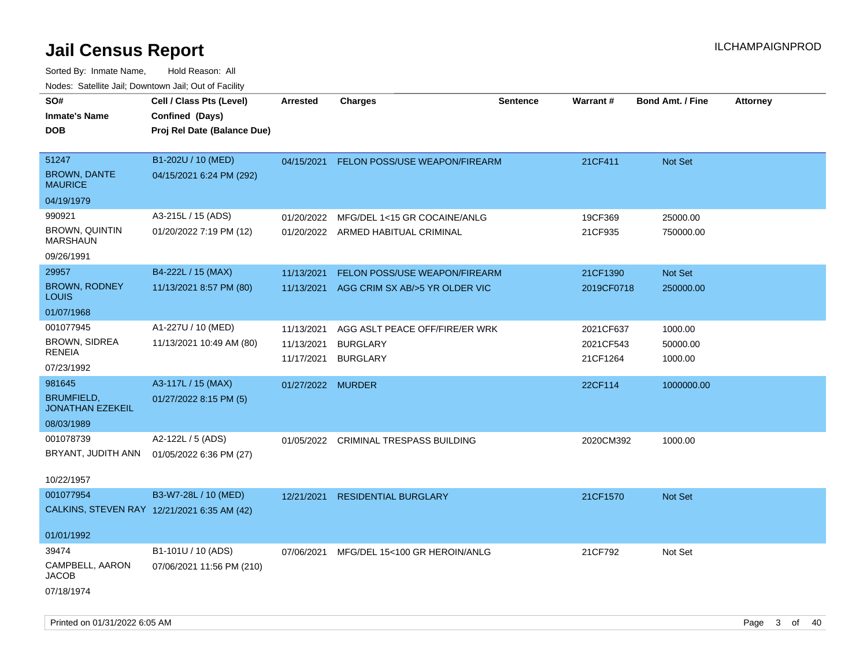| Todoo. Catolino can, Bowritown can, Oat or I domt<br>SO#<br><b>Inmate's Name</b><br><b>DOB</b> | Cell / Class Pts (Level)<br>Confined (Days)<br>Proj Rel Date (Balance Due) | <b>Arrested</b>                        | <b>Charges</b>                                                       | <b>Sentence</b> | <b>Warrant#</b>                    | <b>Bond Amt. / Fine</b>        | <b>Attorney</b> |
|------------------------------------------------------------------------------------------------|----------------------------------------------------------------------------|----------------------------------------|----------------------------------------------------------------------|-----------------|------------------------------------|--------------------------------|-----------------|
| 51247<br><b>BROWN, DANTE</b><br><b>MAURICE</b>                                                 | B1-202U / 10 (MED)<br>04/15/2021 6:24 PM (292)                             | 04/15/2021                             | <b>FELON POSS/USE WEAPON/FIREARM</b>                                 |                 | 21CF411                            | Not Set                        |                 |
| 04/19/1979                                                                                     |                                                                            |                                        |                                                                      |                 |                                    |                                |                 |
| 990921<br><b>BROWN, QUINTIN</b><br><b>MARSHAUN</b>                                             | A3-215L / 15 (ADS)<br>01/20/2022 7:19 PM (12)                              | 01/20/2022                             | MFG/DEL 1<15 GR COCAINE/ANLG<br>01/20/2022 ARMED HABITUAL CRIMINAL   |                 | 19CF369<br>21CF935                 | 25000.00<br>750000.00          |                 |
| 09/26/1991                                                                                     |                                                                            |                                        |                                                                      |                 |                                    |                                |                 |
| 29957<br><b>BROWN, RODNEY</b><br><b>LOUIS</b>                                                  | B4-222L / 15 (MAX)<br>11/13/2021 8:57 PM (80)                              | 11/13/2021<br>11/13/2021               | FELON POSS/USE WEAPON/FIREARM<br>AGG CRIM SX AB/>5 YR OLDER VIC      |                 | 21CF1390<br>2019CF0718             | Not Set<br>250000.00           |                 |
| 01/07/1968                                                                                     |                                                                            |                                        |                                                                      |                 |                                    |                                |                 |
| 001077945<br>BROWN, SIDREA<br><b>RENEIA</b><br>07/23/1992                                      | A1-227U / 10 (MED)<br>11/13/2021 10:49 AM (80)                             | 11/13/2021<br>11/13/2021<br>11/17/2021 | AGG ASLT PEACE OFF/FIRE/ER WRK<br><b>BURGLARY</b><br><b>BURGLARY</b> |                 | 2021CF637<br>2021CF543<br>21CF1264 | 1000.00<br>50000.00<br>1000.00 |                 |
| 981645                                                                                         | A3-117L / 15 (MAX)                                                         | 01/27/2022 MURDER                      |                                                                      |                 | 22CF114                            | 1000000.00                     |                 |
| <b>BRUMFIELD,</b><br><b>JONATHAN EZEKEIL</b>                                                   | 01/27/2022 8:15 PM (5)                                                     |                                        |                                                                      |                 |                                    |                                |                 |
| 08/03/1989                                                                                     |                                                                            |                                        |                                                                      |                 |                                    |                                |                 |
| 001078739<br>BRYANT, JUDITH ANN<br>10/22/1957                                                  | A2-122L / 5 (ADS)<br>01/05/2022 6:36 PM (27)                               | 01/05/2022                             | <b>CRIMINAL TRESPASS BUILDING</b>                                    |                 | 2020CM392                          | 1000.00                        |                 |
| 001077954<br>CALKINS, STEVEN RAY 12/21/2021 6:35 AM (42)                                       | B3-W7-28L / 10 (MED)                                                       | 12/21/2021                             | <b>RESIDENTIAL BURGLARY</b>                                          |                 | 21CF1570                           | Not Set                        |                 |
| 01/01/1992                                                                                     |                                                                            |                                        |                                                                      |                 |                                    |                                |                 |
| 39474                                                                                          | B1-101U / 10 (ADS)                                                         | 07/06/2021                             | MFG/DEL 15<100 GR HEROIN/ANLG                                        |                 | 21CF792                            | Not Set                        |                 |
| CAMPBELL, AARON<br><b>JACOB</b><br>07/18/1974                                                  | 07/06/2021 11:56 PM (210)                                                  |                                        |                                                                      |                 |                                    |                                |                 |
|                                                                                                |                                                                            |                                        |                                                                      |                 |                                    |                                |                 |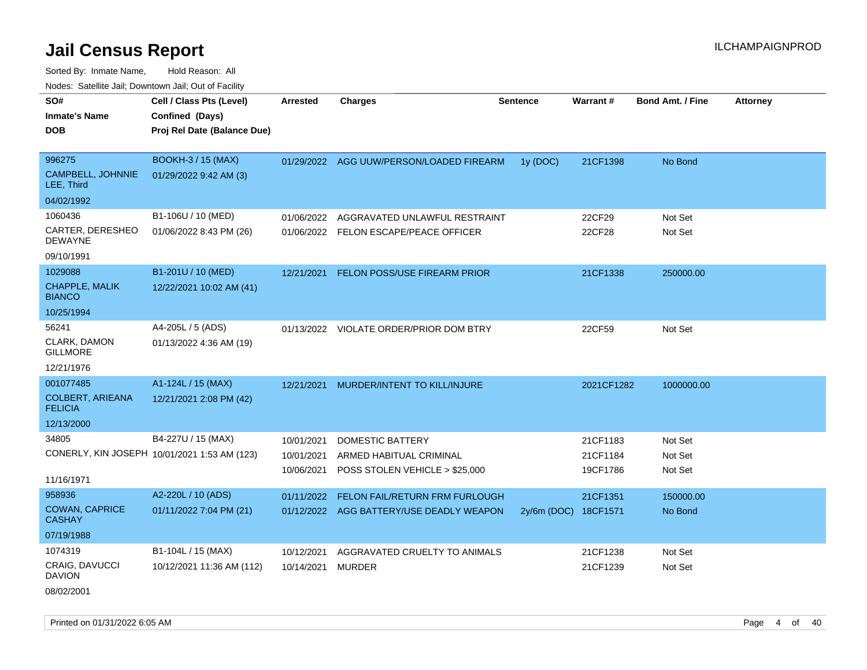Sorted By: Inmate Name, Hold Reason: All Nodes: Satellite Jail; Downtown Jail; Out of Facility

| SO#<br><b>Inmate's Name</b><br><b>DOB</b>              | Cell / Class Pts (Level)<br>Confined (Days)<br>Proj Rel Date (Balance Due) | <b>Arrested</b>                        | <b>Charges</b>                                                                       | Sentence             | <b>Warrant#</b>                  | <b>Bond Amt. / Fine</b>       | <b>Attorney</b> |
|--------------------------------------------------------|----------------------------------------------------------------------------|----------------------------------------|--------------------------------------------------------------------------------------|----------------------|----------------------------------|-------------------------------|-----------------|
| 996275<br>CAMPBELL, JOHNNIE<br>LEE, Third              | <b>BOOKH-3 / 15 (MAX)</b><br>01/29/2022 9:42 AM (3)                        |                                        | 01/29/2022 AGG UUW/PERSON/LOADED FIREARM                                             | 1y (DOC)             | 21CF1398                         | No Bond                       |                 |
| 04/02/1992                                             |                                                                            |                                        |                                                                                      |                      |                                  |                               |                 |
| 1060436<br>CARTER, DERESHEO<br><b>DEWAYNE</b>          | B1-106U / 10 (MED)<br>01/06/2022 8:43 PM (26)                              | 01/06/2022<br>01/06/2022               | AGGRAVATED UNLAWFUL RESTRAINT<br>FELON ESCAPE/PEACE OFFICER                          |                      | 22CF29<br>22CF28                 | Not Set<br>Not Set            |                 |
| 09/10/1991                                             |                                                                            |                                        |                                                                                      |                      |                                  |                               |                 |
| 1029088<br>CHAPPLE, MALIK<br><b>BIANCO</b>             | B1-201U / 10 (MED)<br>12/22/2021 10:02 AM (41)                             | 12/21/2021                             | FELON POSS/USE FIREARM PRIOR                                                         |                      | 21CF1338                         | 250000.00                     |                 |
| 10/25/1994                                             |                                                                            |                                        |                                                                                      |                      |                                  |                               |                 |
| 56241<br>CLARK, DAMON<br><b>GILLMORE</b><br>12/21/1976 | A4-205L / 5 (ADS)<br>01/13/2022 4:36 AM (19)                               |                                        | 01/13/2022 VIOLATE ORDER/PRIOR DOM BTRY                                              |                      | 22CF59                           | Not Set                       |                 |
| 001077485                                              | A1-124L / 15 (MAX)                                                         | 12/21/2021                             | MURDER/INTENT TO KILL/INJURE                                                         |                      | 2021CF1282                       | 1000000.00                    |                 |
| COLBERT, ARIEANA<br><b>FELICIA</b>                     | 12/21/2021 2:08 PM (42)                                                    |                                        |                                                                                      |                      |                                  |                               |                 |
| 12/13/2000                                             |                                                                            |                                        |                                                                                      |                      |                                  |                               |                 |
| 34805<br>11/16/1971                                    | B4-227U / 15 (MAX)<br>CONERLY, KIN JOSEPH 10/01/2021 1:53 AM (123)         | 10/01/2021<br>10/01/2021<br>10/06/2021 | <b>DOMESTIC BATTERY</b><br>ARMED HABITUAL CRIMINAL<br>POSS STOLEN VEHICLE > \$25,000 |                      | 21CF1183<br>21CF1184<br>19CF1786 | Not Set<br>Not Set<br>Not Set |                 |
| 958936                                                 | A2-220L / 10 (ADS)                                                         | 01/11/2022                             | FELON FAIL/RETURN FRM FURLOUGH                                                       |                      | 21CF1351                         | 150000.00                     |                 |
| <b>COWAN, CAPRICE</b><br><b>CASHAY</b>                 | 01/11/2022 7:04 PM (21)                                                    |                                        | 01/12/2022 AGG BATTERY/USE DEADLY WEAPON                                             | 2y/6m (DOC) 18CF1571 |                                  | No Bond                       |                 |
| 07/19/1988                                             |                                                                            |                                        |                                                                                      |                      |                                  |                               |                 |
| 1074319<br>CRAIG, DAVUCCI<br><b>DAVION</b>             | B1-104L / 15 (MAX)<br>10/12/2021 11:36 AM (112)                            | 10/12/2021<br>10/14/2021               | AGGRAVATED CRUELTY TO ANIMALS<br>MURDER                                              |                      | 21CF1238<br>21CF1239             | Not Set<br>Not Set            |                 |
|                                                        |                                                                            |                                        |                                                                                      |                      |                                  |                               |                 |

08/02/2001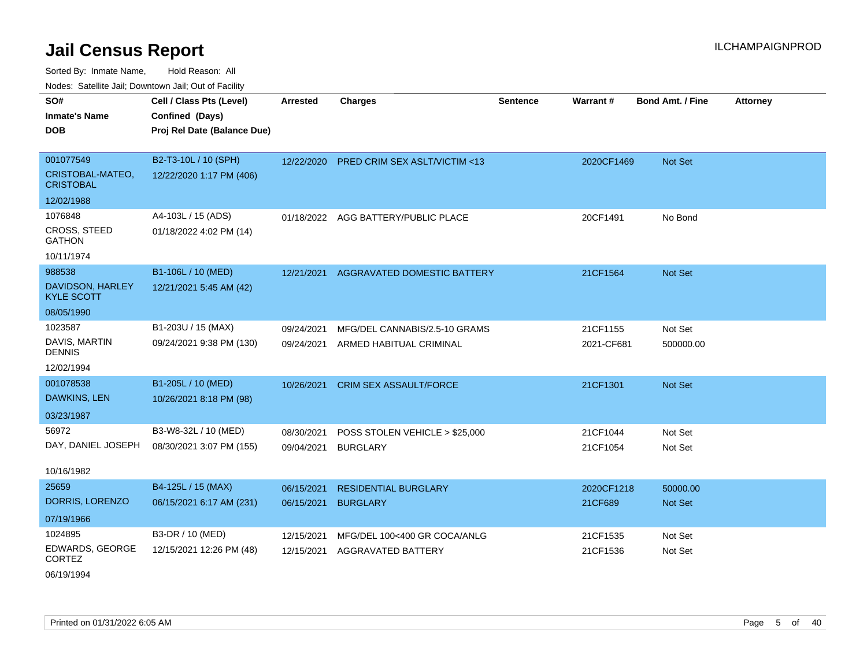Sorted By: Inmate Name, Hold Reason: All Nodes: Satellite Jail; Downtown Jail; Out of Facility

| Noucs. Calcillity sail, Downtown sail, Out of Facility |                             |            |                                         |                 |            |                         |                 |
|--------------------------------------------------------|-----------------------------|------------|-----------------------------------------|-----------------|------------|-------------------------|-----------------|
| SO#                                                    | Cell / Class Pts (Level)    | Arrested   | <b>Charges</b>                          | <b>Sentence</b> | Warrant#   | <b>Bond Amt. / Fine</b> | <b>Attorney</b> |
| <b>Inmate's Name</b>                                   | Confined (Days)             |            |                                         |                 |            |                         |                 |
| DOB.                                                   | Proj Rel Date (Balance Due) |            |                                         |                 |            |                         |                 |
|                                                        |                             |            |                                         |                 |            |                         |                 |
| 001077549                                              | B2-T3-10L / 10 (SPH)        | 12/22/2020 | <b>PRED CRIM SEX ASLT/VICTIM &lt;13</b> |                 | 2020CF1469 | Not Set                 |                 |
| CRISTOBAL-MATEO,<br><b>CRISTOBAL</b>                   | 12/22/2020 1:17 PM (406)    |            |                                         |                 |            |                         |                 |
| 12/02/1988                                             |                             |            |                                         |                 |            |                         |                 |
| 1076848                                                | A4-103L / 15 (ADS)          |            | 01/18/2022 AGG BATTERY/PUBLIC PLACE     |                 | 20CF1491   | No Bond                 |                 |
| <b>CROSS, STEED</b><br><b>GATHON</b>                   | 01/18/2022 4:02 PM (14)     |            |                                         |                 |            |                         |                 |
| 10/11/1974                                             |                             |            |                                         |                 |            |                         |                 |
| 988538                                                 | B1-106L / 10 (MED)          | 12/21/2021 | <b>AGGRAVATED DOMESTIC BATTERY</b>      |                 | 21CF1564   | Not Set                 |                 |
| DAVIDSON, HARLEY<br><b>KYLE SCOTT</b>                  | 12/21/2021 5:45 AM (42)     |            |                                         |                 |            |                         |                 |
| 08/05/1990                                             |                             |            |                                         |                 |            |                         |                 |
| 1023587                                                | B1-203U / 15 (MAX)          | 09/24/2021 | MFG/DEL CANNABIS/2.5-10 GRAMS           |                 | 21CF1155   | Not Set                 |                 |
| DAVIS, MARTIN<br><b>DENNIS</b>                         | 09/24/2021 9:38 PM (130)    | 09/24/2021 | ARMED HABITUAL CRIMINAL                 |                 | 2021-CF681 | 500000.00               |                 |
| 12/02/1994                                             |                             |            |                                         |                 |            |                         |                 |
| 001078538                                              | B1-205L / 10 (MED)          | 10/26/2021 | <b>CRIM SEX ASSAULT/FORCE</b>           |                 | 21CF1301   | Not Set                 |                 |
| DAWKINS, LEN                                           | 10/26/2021 8:18 PM (98)     |            |                                         |                 |            |                         |                 |
| 03/23/1987                                             |                             |            |                                         |                 |            |                         |                 |
| 56972                                                  | B3-W8-32L / 10 (MED)        | 08/30/2021 | POSS STOLEN VEHICLE > \$25,000          |                 | 21CF1044   | Not Set                 |                 |
| DAY, DANIEL JOSEPH                                     | 08/30/2021 3:07 PM (155)    | 09/04/2021 | <b>BURGLARY</b>                         |                 | 21CF1054   | Not Set                 |                 |
|                                                        |                             |            |                                         |                 |            |                         |                 |
| 10/16/1982                                             |                             |            |                                         |                 |            |                         |                 |
| 25659                                                  | B4-125L / 15 (MAX)          | 06/15/2021 | <b>RESIDENTIAL BURGLARY</b>             |                 | 2020CF1218 | 50000.00                |                 |
| DORRIS, LORENZO                                        | 06/15/2021 6:17 AM (231)    | 06/15/2021 | <b>BURGLARY</b>                         |                 | 21CF689    | Not Set                 |                 |
| 07/19/1966                                             |                             |            |                                         |                 |            |                         |                 |
| 1024895                                                | B3-DR / 10 (MED)            | 12/15/2021 | MFG/DEL 100<400 GR COCA/ANLG            |                 | 21CF1535   | Not Set                 |                 |
| EDWARDS, GEORGE<br><b>CORTEZ</b>                       | 12/15/2021 12:26 PM (48)    | 12/15/2021 | <b>AGGRAVATED BATTERY</b>               |                 | 21CF1536   | Not Set                 |                 |

06/19/1994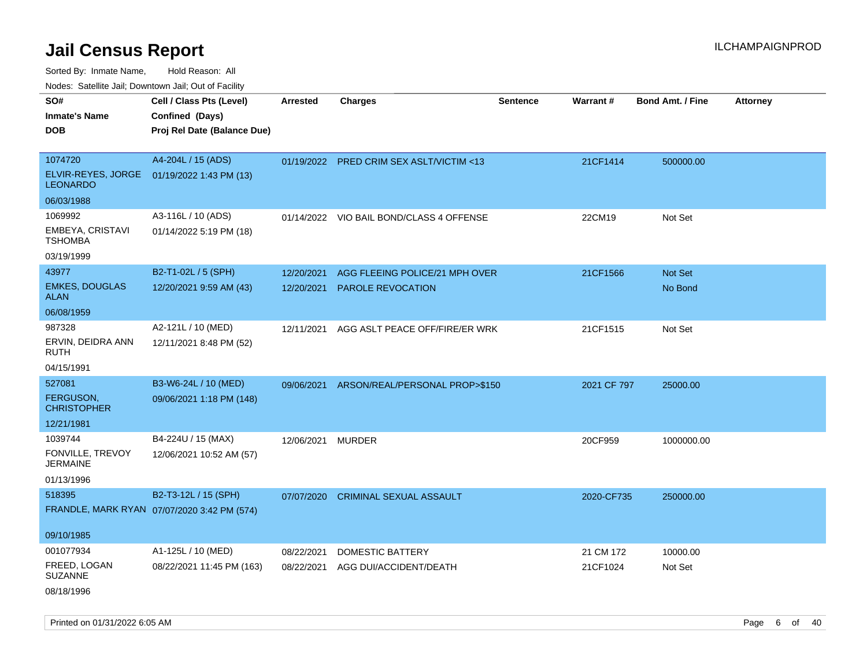Sorted By: Inmate Name, Hold Reason: All

Nodes: Satellite Jail; Downtown Jail; Out of Facility

| roaco. Catolino dall, Downtown dall, Out of Fability |                                             |                 |                                           |                 |             |                         |                 |
|------------------------------------------------------|---------------------------------------------|-----------------|-------------------------------------------|-----------------|-------------|-------------------------|-----------------|
| SO#                                                  | Cell / Class Pts (Level)                    | <b>Arrested</b> | <b>Charges</b>                            | <b>Sentence</b> | Warrant#    | <b>Bond Amt. / Fine</b> | <b>Attorney</b> |
| <b>Inmate's Name</b>                                 | Confined (Days)                             |                 |                                           |                 |             |                         |                 |
| <b>DOB</b>                                           | Proj Rel Date (Balance Due)                 |                 |                                           |                 |             |                         |                 |
|                                                      |                                             |                 |                                           |                 |             |                         |                 |
| 1074720                                              | A4-204L / 15 (ADS)                          |                 | 01/19/2022 PRED CRIM SEX ASLT/VICTIM <13  |                 | 21CF1414    | 500000.00               |                 |
| <b>LEONARDO</b>                                      | ELVIR-REYES, JORGE 01/19/2022 1:43 PM (13)  |                 |                                           |                 |             |                         |                 |
| 06/03/1988                                           |                                             |                 |                                           |                 |             |                         |                 |
| 1069992                                              | A3-116L / 10 (ADS)                          |                 | 01/14/2022 VIO BAIL BOND/CLASS 4 OFFENSE  |                 | 22CM19      | Not Set                 |                 |
| EMBEYA, CRISTAVI<br><b>TSHOMBA</b>                   | 01/14/2022 5:19 PM (18)                     |                 |                                           |                 |             |                         |                 |
| 03/19/1999                                           |                                             |                 |                                           |                 |             |                         |                 |
| 43977                                                | B2-T1-02L / 5 (SPH)                         | 12/20/2021      | AGG FLEEING POLICE/21 MPH OVER            |                 | 21CF1566    | Not Set                 |                 |
| <b>EMKES, DOUGLAS</b><br><b>ALAN</b>                 | 12/20/2021 9:59 AM (43)                     | 12/20/2021      | <b>PAROLE REVOCATION</b>                  |                 |             | No Bond                 |                 |
| 06/08/1959                                           |                                             |                 |                                           |                 |             |                         |                 |
| 987328                                               | A2-121L / 10 (MED)                          | 12/11/2021      | AGG ASLT PEACE OFF/FIRE/ER WRK            |                 | 21CF1515    | Not Set                 |                 |
| ERVIN, DEIDRA ANN<br>RUTH                            | 12/11/2021 8:48 PM (52)                     |                 |                                           |                 |             |                         |                 |
| 04/15/1991                                           |                                             |                 |                                           |                 |             |                         |                 |
| 527081                                               | B3-W6-24L / 10 (MED)                        |                 | 09/06/2021 ARSON/REAL/PERSONAL PROP>\$150 |                 | 2021 CF 797 | 25000.00                |                 |
| FERGUSON,<br><b>CHRISTOPHER</b>                      | 09/06/2021 1:18 PM (148)                    |                 |                                           |                 |             |                         |                 |
| 12/21/1981                                           |                                             |                 |                                           |                 |             |                         |                 |
| 1039744                                              | B4-224U / 15 (MAX)                          | 12/06/2021      | <b>MURDER</b>                             |                 | 20CF959     | 1000000.00              |                 |
| FONVILLE, TREVOY<br><b>JERMAINE</b>                  | 12/06/2021 10:52 AM (57)                    |                 |                                           |                 |             |                         |                 |
| 01/13/1996                                           |                                             |                 |                                           |                 |             |                         |                 |
| 518395                                               | B2-T3-12L / 15 (SPH)                        | 07/07/2020      | <b>CRIMINAL SEXUAL ASSAULT</b>            |                 | 2020-CF735  | 250000.00               |                 |
|                                                      | FRANDLE, MARK RYAN 07/07/2020 3:42 PM (574) |                 |                                           |                 |             |                         |                 |
|                                                      |                                             |                 |                                           |                 |             |                         |                 |
| 09/10/1985                                           |                                             |                 |                                           |                 |             |                         |                 |
| 001077934                                            | A1-125L / 10 (MED)                          | 08/22/2021      | <b>DOMESTIC BATTERY</b>                   |                 | 21 CM 172   | 10000.00                |                 |
| FREED, LOGAN<br><b>SUZANNE</b>                       | 08/22/2021 11:45 PM (163)                   | 08/22/2021      | AGG DUI/ACCIDENT/DEATH                    |                 | 21CF1024    | Not Set                 |                 |
| 08/18/1996                                           |                                             |                 |                                           |                 |             |                         |                 |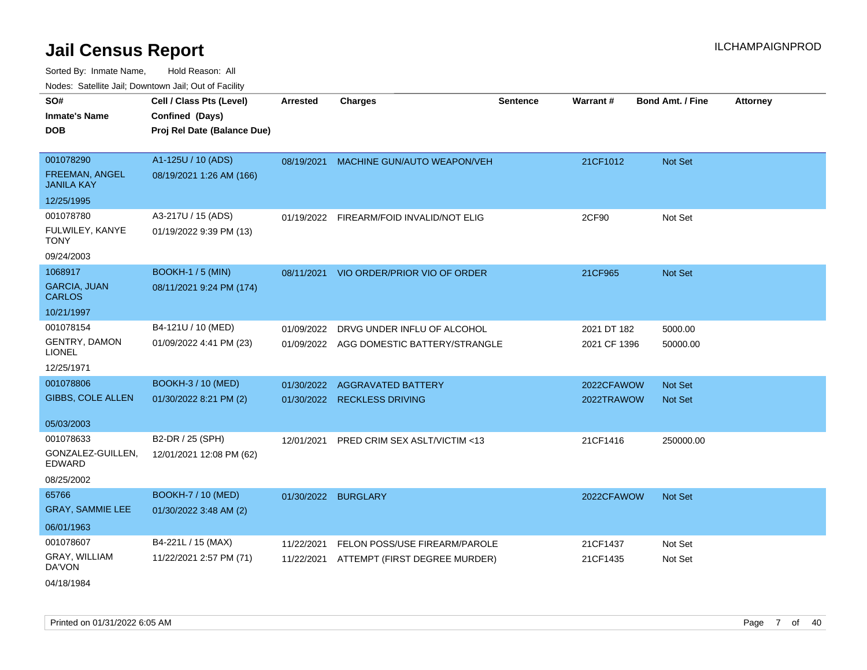|                                      | Nodes: Satellite Jail; Downtown Jail; Out of Facility |                 |                                          |                 |                 |                         |                 |
|--------------------------------------|-------------------------------------------------------|-----------------|------------------------------------------|-----------------|-----------------|-------------------------|-----------------|
| SO#                                  | Cell / Class Pts (Level)                              | <b>Arrested</b> | <b>Charges</b>                           | <b>Sentence</b> | <b>Warrant#</b> | <b>Bond Amt. / Fine</b> | <b>Attorney</b> |
| <b>Inmate's Name</b>                 | Confined (Days)                                       |                 |                                          |                 |                 |                         |                 |
| <b>DOB</b>                           | Proj Rel Date (Balance Due)                           |                 |                                          |                 |                 |                         |                 |
|                                      |                                                       |                 |                                          |                 |                 |                         |                 |
| 001078290                            | A1-125U / 10 (ADS)                                    | 08/19/2021      | MACHINE GUN/AUTO WEAPON/VEH              |                 | 21CF1012        | Not Set                 |                 |
| FREEMAN, ANGEL<br><b>JANILA KAY</b>  | 08/19/2021 1:26 AM (166)                              |                 |                                          |                 |                 |                         |                 |
| 12/25/1995                           |                                                       |                 |                                          |                 |                 |                         |                 |
| 001078780                            | A3-217U / 15 (ADS)                                    |                 | 01/19/2022 FIREARM/FOID INVALID/NOT ELIG |                 | 2CF90           | Not Set                 |                 |
| FULWILEY, KANYE<br><b>TONY</b>       | 01/19/2022 9:39 PM (13)                               |                 |                                          |                 |                 |                         |                 |
| 09/24/2003                           |                                                       |                 |                                          |                 |                 |                         |                 |
| 1068917                              | <b>BOOKH-1 / 5 (MIN)</b>                              |                 | 08/11/2021 VIO ORDER/PRIOR VIO OF ORDER  |                 | 21CF965         | Not Set                 |                 |
| <b>GARCIA, JUAN</b><br><b>CARLOS</b> | 08/11/2021 9:24 PM (174)                              |                 |                                          |                 |                 |                         |                 |
| 10/21/1997                           |                                                       |                 |                                          |                 |                 |                         |                 |
| 001078154                            | B4-121U / 10 (MED)                                    | 01/09/2022      | DRVG UNDER INFLU OF ALCOHOL              |                 | 2021 DT 182     | 5000.00                 |                 |
| GENTRY, DAMON<br><b>LIONEL</b>       | 01/09/2022 4:41 PM (23)                               |                 | 01/09/2022 AGG DOMESTIC BATTERY/STRANGLE |                 | 2021 CF 1396    | 50000.00                |                 |
| 12/25/1971                           |                                                       |                 |                                          |                 |                 |                         |                 |
| 001078806                            | <b>BOOKH-3 / 10 (MED)</b>                             | 01/30/2022      | <b>AGGRAVATED BATTERY</b>                |                 | 2022CFAWOW      | <b>Not Set</b>          |                 |
| <b>GIBBS, COLE ALLEN</b>             | 01/30/2022 8:21 PM (2)                                | 01/30/2022      | <b>RECKLESS DRIVING</b>                  |                 | 2022TRAWOW      | <b>Not Set</b>          |                 |
|                                      |                                                       |                 |                                          |                 |                 |                         |                 |
| 05/03/2003                           |                                                       |                 |                                          |                 |                 |                         |                 |
| 001078633                            | B2-DR / 25 (SPH)                                      | 12/01/2021      | PRED CRIM SEX ASLT/VICTIM <13            |                 | 21CF1416        | 250000.00               |                 |
| GONZALEZ-GUILLEN.<br><b>EDWARD</b>   | 12/01/2021 12:08 PM (62)                              |                 |                                          |                 |                 |                         |                 |
| 08/25/2002                           |                                                       |                 |                                          |                 |                 |                         |                 |
| 65766                                | <b>BOOKH-7 / 10 (MED)</b>                             |                 | 01/30/2022 BURGLARY                      |                 | 2022CFAWOW      | <b>Not Set</b>          |                 |
| <b>GRAY, SAMMIE LEE</b>              | 01/30/2022 3:48 AM (2)                                |                 |                                          |                 |                 |                         |                 |
| 06/01/1963                           |                                                       |                 |                                          |                 |                 |                         |                 |
| 001078607                            | B4-221L / 15 (MAX)                                    | 11/22/2021      | FELON POSS/USE FIREARM/PAROLE            |                 | 21CF1437        | Not Set                 |                 |
| GRAY, WILLIAM<br>DA'VON              | 11/22/2021 2:57 PM (71)                               | 11/22/2021      | ATTEMPT (FIRST DEGREE MURDER)            |                 | 21CF1435        | Not Set                 |                 |
| 04/18/1984                           |                                                       |                 |                                          |                 |                 |                         |                 |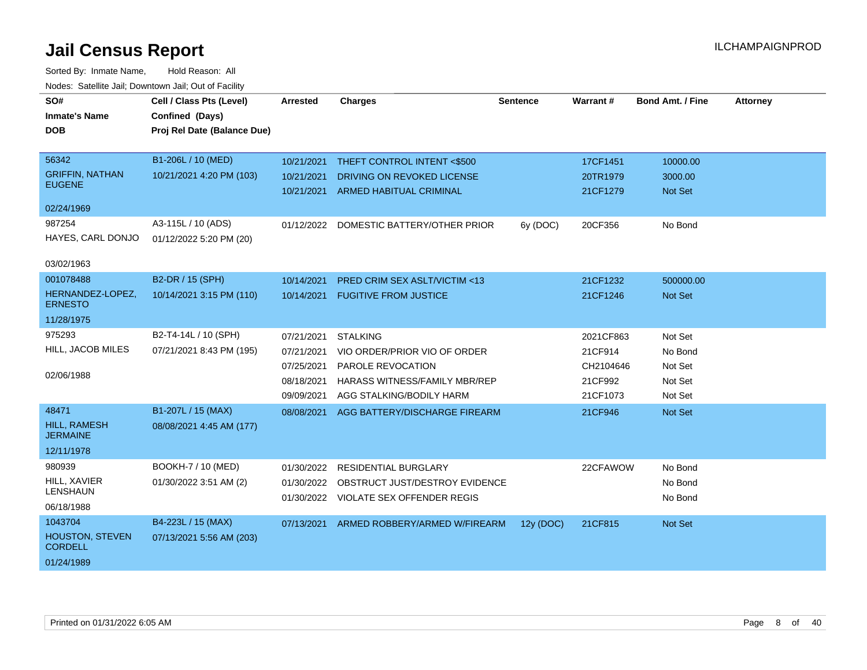| SO#<br><b>Inmate's Name</b><br><b>DOB</b>                      | Cell / Class Pts (Level)<br>Confined (Days)<br>Proj Rel Date (Balance Due) | <b>Arrested</b>                                                    | <b>Charges</b>                                                                                                                           | <b>Sentence</b> | <b>Warrant#</b>                                          | <b>Bond Amt. / Fine</b>                             | <b>Attorney</b> |
|----------------------------------------------------------------|----------------------------------------------------------------------------|--------------------------------------------------------------------|------------------------------------------------------------------------------------------------------------------------------------------|-----------------|----------------------------------------------------------|-----------------------------------------------------|-----------------|
| 56342<br><b>GRIFFIN, NATHAN</b><br><b>EUGENE</b><br>02/24/1969 | B1-206L / 10 (MED)<br>10/21/2021 4:20 PM (103)                             | 10/21/2021<br>10/21/2021<br>10/21/2021                             | THEFT CONTROL INTENT <\$500<br>DRIVING ON REVOKED LICENSE<br><b>ARMED HABITUAL CRIMINAL</b>                                              |                 | 17CF1451<br>20TR1979<br>21CF1279                         | 10000.00<br>3000.00<br>Not Set                      |                 |
| 987254<br>HAYES, CARL DONJO<br>03/02/1963                      | A3-115L / 10 (ADS)<br>01/12/2022 5:20 PM (20)                              | 01/12/2022                                                         | DOMESTIC BATTERY/OTHER PRIOR                                                                                                             | 6y (DOC)        | 20CF356                                                  | No Bond                                             |                 |
| 001078488<br>HERNANDEZ-LOPEZ,<br><b>ERNESTO</b><br>11/28/1975  | B2-DR / 15 (SPH)<br>10/14/2021 3:15 PM (110)                               | 10/14/2021<br>10/14/2021                                           | <b>PRED CRIM SEX ASLT/VICTIM &lt;13</b><br><b>FUGITIVE FROM JUSTICE</b>                                                                  |                 | 21CF1232<br>21CF1246                                     | 500000.00<br><b>Not Set</b>                         |                 |
| 975293<br>HILL, JACOB MILES<br>02/06/1988                      | B2-T4-14L / 10 (SPH)<br>07/21/2021 8:43 PM (195)                           | 07/21/2021<br>07/21/2021<br>07/25/2021<br>08/18/2021<br>09/09/2021 | <b>STALKING</b><br>VIO ORDER/PRIOR VIO OF ORDER<br><b>PAROLE REVOCATION</b><br>HARASS WITNESS/FAMILY MBR/REP<br>AGG STALKING/BODILY HARM |                 | 2021CF863<br>21CF914<br>CH2104646<br>21CF992<br>21CF1073 | Not Set<br>No Bond<br>Not Set<br>Not Set<br>Not Set |                 |
| 48471<br>HILL, RAMESH<br><b>JERMAINE</b><br>12/11/1978         | B1-207L / 15 (MAX)<br>08/08/2021 4:45 AM (177)                             | 08/08/2021                                                         | AGG BATTERY/DISCHARGE FIREARM                                                                                                            |                 | 21CF946                                                  | Not Set                                             |                 |
| 980939<br>HILL, XAVIER<br><b>LENSHAUN</b><br>06/18/1988        | BOOKH-7 / 10 (MED)<br>01/30/2022 3:51 AM (2)                               | 01/30/2022<br>01/30/2022<br>01/30/2022                             | <b>RESIDENTIAL BURGLARY</b><br>OBSTRUCT JUST/DESTROY EVIDENCE<br><b>VIOLATE SEX OFFENDER REGIS</b>                                       |                 | 22CFAWOW                                                 | No Bond<br>No Bond<br>No Bond                       |                 |
| 1043704<br>HOUSTON, STEVEN<br><b>CORDELL</b><br>01/24/1989     | B4-223L / 15 (MAX)<br>07/13/2021 5:56 AM (203)                             | 07/13/2021                                                         | ARMED ROBBERY/ARMED W/FIREARM                                                                                                            | 12y (DOC)       | 21CF815                                                  | <b>Not Set</b>                                      |                 |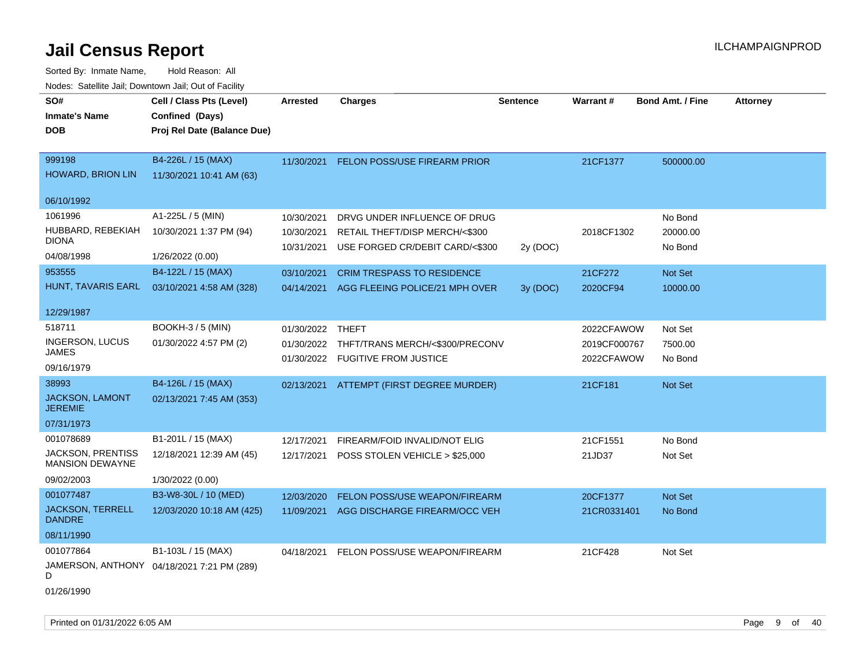Sorted By: Inmate Name, Hold Reason: All Nodes: Satellite Jail; Downtown Jail; Out of Facility

|                                                    | vouco. Catolino cali, Downtown cali, Out of Fability |                  |                                            |                 |                 |                         |                 |
|----------------------------------------------------|------------------------------------------------------|------------------|--------------------------------------------|-----------------|-----------------|-------------------------|-----------------|
| SO#                                                | Cell / Class Pts (Level)                             | Arrested         | <b>Charges</b>                             | <b>Sentence</b> | <b>Warrant#</b> | <b>Bond Amt. / Fine</b> | <b>Attorney</b> |
| <b>Inmate's Name</b>                               | Confined (Days)                                      |                  |                                            |                 |                 |                         |                 |
| <b>DOB</b>                                         | Proj Rel Date (Balance Due)                          |                  |                                            |                 |                 |                         |                 |
|                                                    |                                                      |                  |                                            |                 |                 |                         |                 |
| 999198                                             | B4-226L / 15 (MAX)                                   | 11/30/2021       | FELON POSS/USE FIREARM PRIOR               |                 | 21CF1377        | 500000.00               |                 |
| <b>HOWARD, BRION LIN</b>                           | 11/30/2021 10:41 AM (63)                             |                  |                                            |                 |                 |                         |                 |
| 06/10/1992                                         |                                                      |                  |                                            |                 |                 |                         |                 |
| 1061996                                            | A1-225L / 5 (MIN)                                    | 10/30/2021       | DRVG UNDER INFLUENCE OF DRUG               |                 |                 | No Bond                 |                 |
| HUBBARD, REBEKIAH                                  | 10/30/2021 1:37 PM (94)                              | 10/30/2021       | RETAIL THEFT/DISP MERCH/<\$300             |                 | 2018CF1302      | 20000.00                |                 |
| DIONA                                              |                                                      | 10/31/2021       | USE FORGED CR/DEBIT CARD/<\$300            | 2y (DOC)        |                 | No Bond                 |                 |
| 04/08/1998                                         | 1/26/2022 (0.00)                                     |                  |                                            |                 |                 |                         |                 |
| 953555                                             | B4-122L / 15 (MAX)                                   | 03/10/2021       | <b>CRIM TRESPASS TO RESIDENCE</b>          |                 | 21CF272         | Not Set                 |                 |
| HUNT, TAVARIS EARL                                 | 03/10/2021 4:58 AM (328)                             | 04/14/2021       | AGG FLEEING POLICE/21 MPH OVER             | 3y (DOC)        | 2020CF94        | 10000.00                |                 |
|                                                    |                                                      |                  |                                            |                 |                 |                         |                 |
| 12/29/1987                                         |                                                      |                  |                                            |                 |                 |                         |                 |
| 518711                                             | <b>BOOKH-3 / 5 (MIN)</b>                             | 01/30/2022 THEFT |                                            |                 | 2022CFAWOW      | Not Set                 |                 |
| <b>INGERSON, LUCUS</b>                             | 01/30/2022 4:57 PM (2)                               |                  | 01/30/2022 THFT/TRANS MERCH/<\$300/PRECONV |                 | 2019CF000767    | 7500.00                 |                 |
| JAMES                                              |                                                      | 01/30/2022       | <b>FUGITIVE FROM JUSTICE</b>               |                 | 2022CFAWOW      | No Bond                 |                 |
| 09/16/1979                                         |                                                      |                  |                                            |                 |                 |                         |                 |
| 38993                                              | B4-126L / 15 (MAX)                                   | 02/13/2021       | ATTEMPT (FIRST DEGREE MURDER)              |                 | 21CF181         | Not Set                 |                 |
| <b>JACKSON, LAMONT</b><br><b>JEREMIE</b>           | 02/13/2021 7:45 AM (353)                             |                  |                                            |                 |                 |                         |                 |
| 07/31/1973                                         |                                                      |                  |                                            |                 |                 |                         |                 |
| 001078689                                          | B1-201L / 15 (MAX)                                   | 12/17/2021       | FIREARM/FOID INVALID/NOT ELIG              |                 | 21CF1551        | No Bond                 |                 |
| <b>JACKSON, PRENTISS</b><br><b>MANSION DEWAYNE</b> | 12/18/2021 12:39 AM (45)                             | 12/17/2021       | POSS STOLEN VEHICLE > \$25,000             |                 | 21JD37          | Not Set                 |                 |
| 09/02/2003                                         | 1/30/2022 (0.00)                                     |                  |                                            |                 |                 |                         |                 |
| 001077487                                          | B3-W8-30L / 10 (MED)                                 | 12/03/2020       | <b>FELON POSS/USE WEAPON/FIREARM</b>       |                 | 20CF1377        | Not Set                 |                 |
| <b>JACKSON, TERRELL</b><br><b>DANDRE</b>           | 12/03/2020 10:18 AM (425)                            | 11/09/2021       | AGG DISCHARGE FIREARM/OCC VEH              |                 | 21CR0331401     | No Bond                 |                 |
| 08/11/1990                                         |                                                      |                  |                                            |                 |                 |                         |                 |
| 001077864                                          | B1-103L / 15 (MAX)                                   | 04/18/2021       | FELON POSS/USE WEAPON/FIREARM              |                 | 21CF428         | Not Set                 |                 |
| D                                                  | JAMERSON, ANTHONY 04/18/2021 7:21 PM (289)           |                  |                                            |                 |                 |                         |                 |

01/26/1990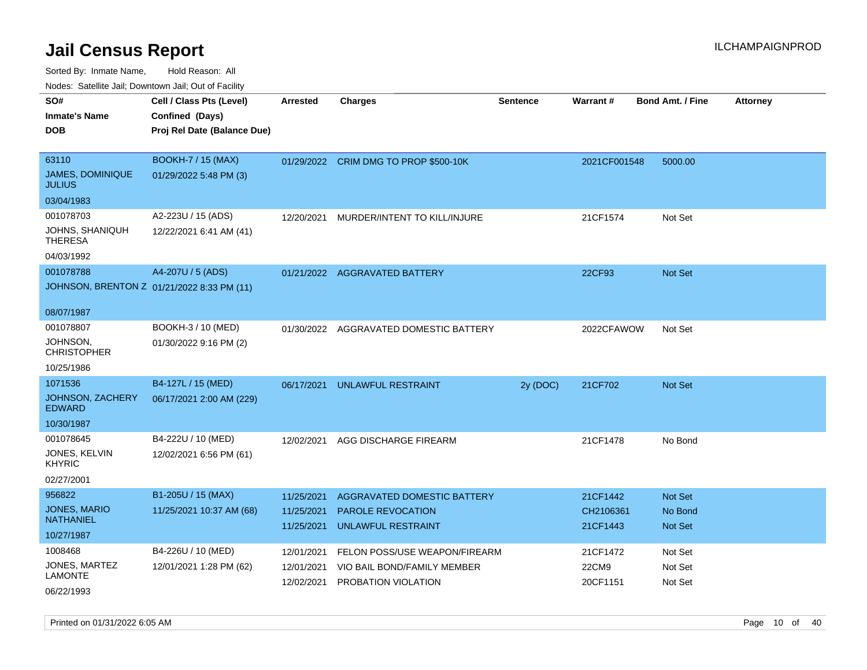| 10000. Catolino can, Domntonn can, Oat or I domt      |                                                                            |                                        |                                                                                      |                 |                                   |                                             |                 |
|-------------------------------------------------------|----------------------------------------------------------------------------|----------------------------------------|--------------------------------------------------------------------------------------|-----------------|-----------------------------------|---------------------------------------------|-----------------|
| SO#<br><b>Inmate's Name</b><br>DOB                    | Cell / Class Pts (Level)<br>Confined (Days)<br>Proj Rel Date (Balance Due) | <b>Arrested</b>                        | <b>Charges</b>                                                                       | <b>Sentence</b> | <b>Warrant#</b>                   | <b>Bond Amt. / Fine</b>                     | <b>Attorney</b> |
| 63110<br>JAMES, DOMINIQUE<br>JULIUS                   | <b>BOOKH-7 / 15 (MAX)</b><br>01/29/2022 5:48 PM (3)                        |                                        | 01/29/2022 CRIM DMG TO PROP \$500-10K                                                |                 | 2021CF001548                      | 5000.00                                     |                 |
| 03/04/1983                                            |                                                                            |                                        |                                                                                      |                 |                                   |                                             |                 |
| 001078703<br>JOHNS, SHANIQUH<br>THERESA<br>04/03/1992 | A2-223U / 15 (ADS)<br>12/22/2021 6:41 AM (41)                              | 12/20/2021                             | MURDER/INTENT TO KILL/INJURE                                                         |                 | 21CF1574                          | Not Set                                     |                 |
| 001078788                                             | A4-207U / 5 (ADS)                                                          |                                        | 01/21/2022 AGGRAVATED BATTERY                                                        |                 | 22CF93                            | <b>Not Set</b>                              |                 |
|                                                       | JOHNSON, BRENTON Z 01/21/2022 8:33 PM (11)                                 |                                        |                                                                                      |                 |                                   |                                             |                 |
| 08/07/1987                                            |                                                                            |                                        |                                                                                      |                 |                                   |                                             |                 |
| 001078807<br>JOHNSON,<br>CHRISTOPHER                  | BOOKH-3 / 10 (MED)<br>01/30/2022 9:16 PM (2)                               |                                        | 01/30/2022 AGGRAVATED DOMESTIC BATTERY                                               |                 | 2022CFAWOW                        | Not Set                                     |                 |
| 10/25/1986                                            |                                                                            |                                        |                                                                                      |                 |                                   |                                             |                 |
| 1071536<br>JOHNSON, ZACHERY<br>EDWARD<br>10/30/1987   | B4-127L / 15 (MED)<br>06/17/2021 2:00 AM (229)                             | 06/17/2021                             | UNLAWFUL RESTRAINT                                                                   | 2y (DOC)        | 21CF702                           | <b>Not Set</b>                              |                 |
| 001078645<br>JONES, KELVIN<br>KHYRIC<br>02/27/2001    | B4-222U / 10 (MED)<br>12/02/2021 6:56 PM (61)                              | 12/02/2021                             | AGG DISCHARGE FIREARM                                                                |                 | 21CF1478                          | No Bond                                     |                 |
| 956822<br>JONES, MARIO<br>NATHANIEL<br>10/27/1987     | B1-205U / 15 (MAX)<br>11/25/2021 10:37 AM (68)                             | 11/25/2021<br>11/25/2021<br>11/25/2021 | AGGRAVATED DOMESTIC BATTERY<br><b>PAROLE REVOCATION</b><br><b>UNLAWFUL RESTRAINT</b> |                 | 21CF1442<br>CH2106361<br>21CF1443 | <b>Not Set</b><br>No Bond<br><b>Not Set</b> |                 |
| 1008468<br>JONES, MARTEZ<br>LAMONTE<br>06/22/1993     | B4-226U / 10 (MED)<br>12/01/2021 1:28 PM (62)                              | 12/01/2021<br>12/01/2021<br>12/02/2021 | FELON POSS/USE WEAPON/FIREARM<br>VIO BAIL BOND/FAMILY MEMBER<br>PROBATION VIOLATION  |                 | 21CF1472<br>22CM9<br>20CF1151     | Not Set<br>Not Set<br>Not Set               |                 |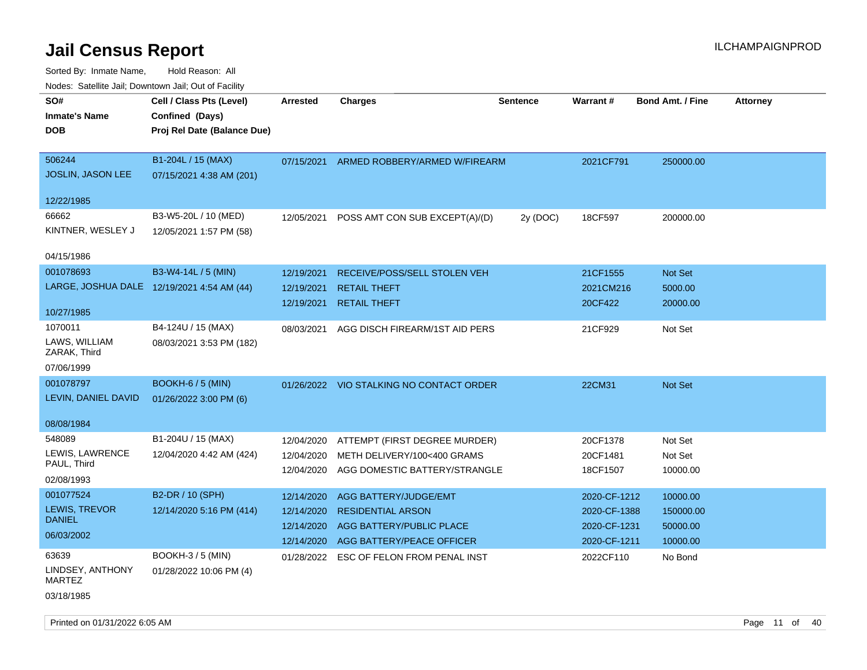| roaco. Oatomto dan, Downtown dan, Oat or Fability |                                            |                 |                                          |                 |              |                         |                 |
|---------------------------------------------------|--------------------------------------------|-----------------|------------------------------------------|-----------------|--------------|-------------------------|-----------------|
| SO#                                               | Cell / Class Pts (Level)                   | <b>Arrested</b> | <b>Charges</b>                           | <b>Sentence</b> | Warrant#     | <b>Bond Amt. / Fine</b> | <b>Attorney</b> |
| <b>Inmate's Name</b>                              | Confined (Days)                            |                 |                                          |                 |              |                         |                 |
| <b>DOB</b>                                        | Proj Rel Date (Balance Due)                |                 |                                          |                 |              |                         |                 |
|                                                   |                                            |                 |                                          |                 |              |                         |                 |
| 506244                                            | B1-204L / 15 (MAX)                         |                 | 07/15/2021 ARMED ROBBERY/ARMED W/FIREARM |                 | 2021CF791    | 250000.00               |                 |
| JOSLIN, JASON LEE                                 | 07/15/2021 4:38 AM (201)                   |                 |                                          |                 |              |                         |                 |
|                                                   |                                            |                 |                                          |                 |              |                         |                 |
| 12/22/1985                                        |                                            |                 |                                          |                 |              |                         |                 |
| 66662                                             | B3-W5-20L / 10 (MED)                       | 12/05/2021      | POSS AMT CON SUB EXCEPT(A)/(D)           | 2y (DOC)        | 18CF597      | 200000.00               |                 |
| KINTNER, WESLEY J                                 | 12/05/2021 1:57 PM (58)                    |                 |                                          |                 |              |                         |                 |
|                                                   |                                            |                 |                                          |                 |              |                         |                 |
| 04/15/1986                                        |                                            |                 |                                          |                 |              |                         |                 |
| 001078693                                         | B3-W4-14L / 5 (MIN)                        | 12/19/2021      | RECEIVE/POSS/SELL STOLEN VEH             |                 | 21CF1555     | Not Set                 |                 |
|                                                   | LARGE, JOSHUA DALE 12/19/2021 4:54 AM (44) | 12/19/2021      | <b>RETAIL THEFT</b>                      |                 | 2021CM216    | 5000.00                 |                 |
|                                                   |                                            | 12/19/2021      | <b>RETAIL THEFT</b>                      |                 | 20CF422      | 20000.00                |                 |
| 10/27/1985                                        |                                            |                 |                                          |                 |              |                         |                 |
| 1070011                                           | B4-124U / 15 (MAX)                         | 08/03/2021      | AGG DISCH FIREARM/1ST AID PERS           |                 | 21CF929      | Not Set                 |                 |
| LAWS, WILLIAM<br>ZARAK, Third                     | 08/03/2021 3:53 PM (182)                   |                 |                                          |                 |              |                         |                 |
|                                                   |                                            |                 |                                          |                 |              |                         |                 |
| 07/06/1999                                        |                                            |                 |                                          |                 |              |                         |                 |
| 001078797                                         | <b>BOOKH-6 / 5 (MIN)</b>                   |                 | 01/26/2022 VIO STALKING NO CONTACT ORDER |                 | 22CM31       | Not Set                 |                 |
| LEVIN, DANIEL DAVID                               | 01/26/2022 3:00 PM (6)                     |                 |                                          |                 |              |                         |                 |
| 08/08/1984                                        |                                            |                 |                                          |                 |              |                         |                 |
| 548089                                            | B1-204U / 15 (MAX)                         |                 |                                          |                 |              |                         |                 |
| LEWIS, LAWRENCE                                   |                                            | 12/04/2020      | ATTEMPT (FIRST DEGREE MURDER)            |                 | 20CF1378     | Not Set                 |                 |
| PAUL, Third                                       | 12/04/2020 4:42 AM (424)                   | 12/04/2020      | METH DELIVERY/100<400 GRAMS              |                 | 20CF1481     | Not Set                 |                 |
| 02/08/1993                                        |                                            | 12/04/2020      | AGG DOMESTIC BATTERY/STRANGLE            |                 | 18CF1507     | 10000.00                |                 |
| 001077524                                         | B2-DR / 10 (SPH)                           | 12/14/2020      | AGG BATTERY/JUDGE/EMT                    |                 | 2020-CF-1212 | 10000.00                |                 |
| LEWIS, TREVOR                                     | 12/14/2020 5:16 PM (414)                   | 12/14/2020      | <b>RESIDENTIAL ARSON</b>                 |                 | 2020-CF-1388 | 150000.00               |                 |
| <b>DANIEL</b>                                     |                                            | 12/14/2020      | AGG BATTERY/PUBLIC PLACE                 |                 | 2020-CF-1231 | 50000.00                |                 |
| 06/03/2002                                        |                                            |                 | AGG BATTERY/PEACE OFFICER                |                 | 2020-CF-1211 |                         |                 |
|                                                   |                                            | 12/14/2020      |                                          |                 |              | 10000.00                |                 |
| 63639                                             | <b>BOOKH-3 / 5 (MIN)</b>                   |                 | 01/28/2022 ESC OF FELON FROM PENAL INST  |                 | 2022CF110    | No Bond                 |                 |
| LINDSEY, ANTHONY<br><b>MARTEZ</b>                 | 01/28/2022 10:06 PM (4)                    |                 |                                          |                 |              |                         |                 |
| 03/18/1985                                        |                                            |                 |                                          |                 |              |                         |                 |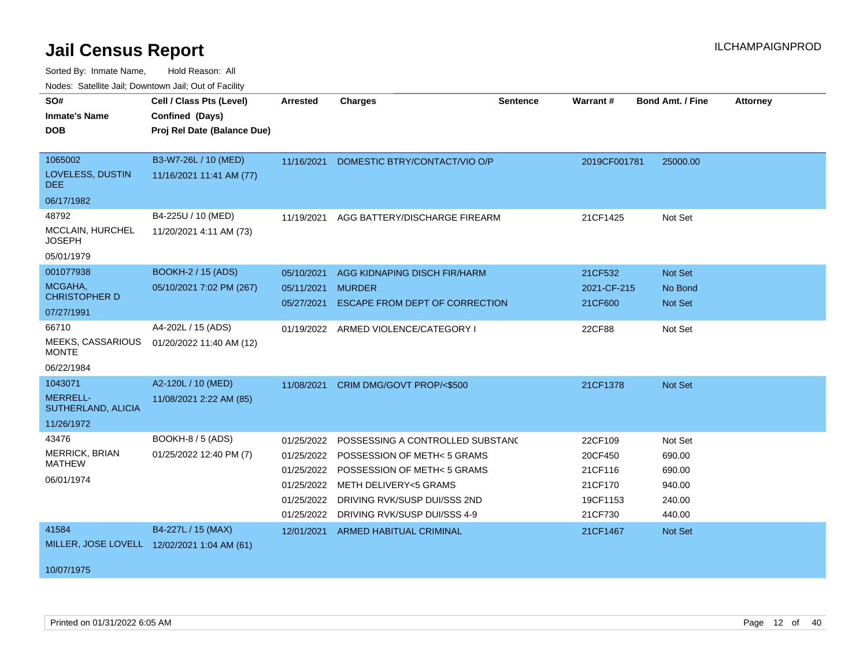| roucs. Oatchite sail, Downtown sail, Out of Facility |                                             |                 |                                        |                 |              |                         |                 |
|------------------------------------------------------|---------------------------------------------|-----------------|----------------------------------------|-----------------|--------------|-------------------------|-----------------|
| SO#                                                  | Cell / Class Pts (Level)                    | <b>Arrested</b> | <b>Charges</b>                         | <b>Sentence</b> | Warrant#     | <b>Bond Amt. / Fine</b> | <b>Attorney</b> |
| <b>Inmate's Name</b>                                 | Confined (Days)                             |                 |                                        |                 |              |                         |                 |
| <b>DOB</b>                                           | Proj Rel Date (Balance Due)                 |                 |                                        |                 |              |                         |                 |
|                                                      |                                             |                 |                                        |                 |              |                         |                 |
| 1065002                                              | B3-W7-26L / 10 (MED)                        | 11/16/2021      | DOMESTIC BTRY/CONTACT/VIO O/P          |                 | 2019CF001781 | 25000.00                |                 |
| LOVELESS, DUSTIN<br>DEE.                             | 11/16/2021 11:41 AM (77)                    |                 |                                        |                 |              |                         |                 |
| 06/17/1982                                           |                                             |                 |                                        |                 |              |                         |                 |
| 48792                                                | B4-225U / 10 (MED)                          | 11/19/2021      | AGG BATTERY/DISCHARGE FIREARM          |                 | 21CF1425     | Not Set                 |                 |
| MCCLAIN, HURCHEL<br><b>JOSEPH</b>                    | 11/20/2021 4:11 AM (73)                     |                 |                                        |                 |              |                         |                 |
| 05/01/1979                                           |                                             |                 |                                        |                 |              |                         |                 |
| 001077938                                            | <b>BOOKH-2 / 15 (ADS)</b>                   | 05/10/2021      | AGG KIDNAPING DISCH FIR/HARM           |                 | 21CF532      | Not Set                 |                 |
| MCGAHA,<br><b>CHRISTOPHER D</b>                      | 05/10/2021 7:02 PM (267)                    | 05/11/2021      | <b>MURDER</b>                          |                 | 2021-CF-215  | No Bond                 |                 |
| 07/27/1991                                           |                                             | 05/27/2021      | ESCAPE FROM DEPT OF CORRECTION         |                 | 21CF600      | Not Set                 |                 |
| 66710                                                | A4-202L / 15 (ADS)                          |                 | 01/19/2022 ARMED VIOLENCE/CATEGORY I   |                 | 22CF88       | Not Set                 |                 |
| MEEKS, CASSARIOUS<br><b>MONTE</b>                    | 01/20/2022 11:40 AM (12)                    |                 |                                        |                 |              |                         |                 |
| 06/22/1984                                           |                                             |                 |                                        |                 |              |                         |                 |
| 1043071                                              | A2-120L / 10 (MED)                          | 11/08/2021      | CRIM DMG/GOVT PROP/<\$500              |                 | 21CF1378     | Not Set                 |                 |
| <b>MERRELL-</b><br>SUTHERLAND, ALICIA                | 11/08/2021 2:22 AM (85)                     |                 |                                        |                 |              |                         |                 |
| 11/26/1972                                           |                                             |                 |                                        |                 |              |                         |                 |
| 43476                                                | BOOKH-8 / 5 (ADS)                           | 01/25/2022      | POSSESSING A CONTROLLED SUBSTANC       |                 | 22CF109      | Not Set                 |                 |
| MERRICK, BRIAN                                       | 01/25/2022 12:40 PM (7)                     | 01/25/2022      | POSSESSION OF METH< 5 GRAMS            |                 | 20CF450      | 690.00                  |                 |
| <b>MATHEW</b>                                        |                                             |                 | 01/25/2022 POSSESSION OF METH< 5 GRAMS |                 | 21CF116      | 690.00                  |                 |
| 06/01/1974                                           |                                             | 01/25/2022      | <b>METH DELIVERY&lt;5 GRAMS</b>        |                 | 21CF170      | 940.00                  |                 |
|                                                      |                                             | 01/25/2022      | DRIVING RVK/SUSP DUI/SSS 2ND           |                 | 19CF1153     | 240.00                  |                 |
|                                                      |                                             | 01/25/2022      | DRIVING RVK/SUSP DUI/SSS 4-9           |                 | 21CF730      | 440.00                  |                 |
| 41584                                                | B4-227L / 15 (MAX)                          | 12/01/2021      | ARMED HABITUAL CRIMINAL                |                 | 21CF1467     | Not Set                 |                 |
|                                                      | MILLER, JOSE LOVELL 12/02/2021 1:04 AM (61) |                 |                                        |                 |              |                         |                 |
|                                                      |                                             |                 |                                        |                 |              |                         |                 |
| 10/07/1975                                           |                                             |                 |                                        |                 |              |                         |                 |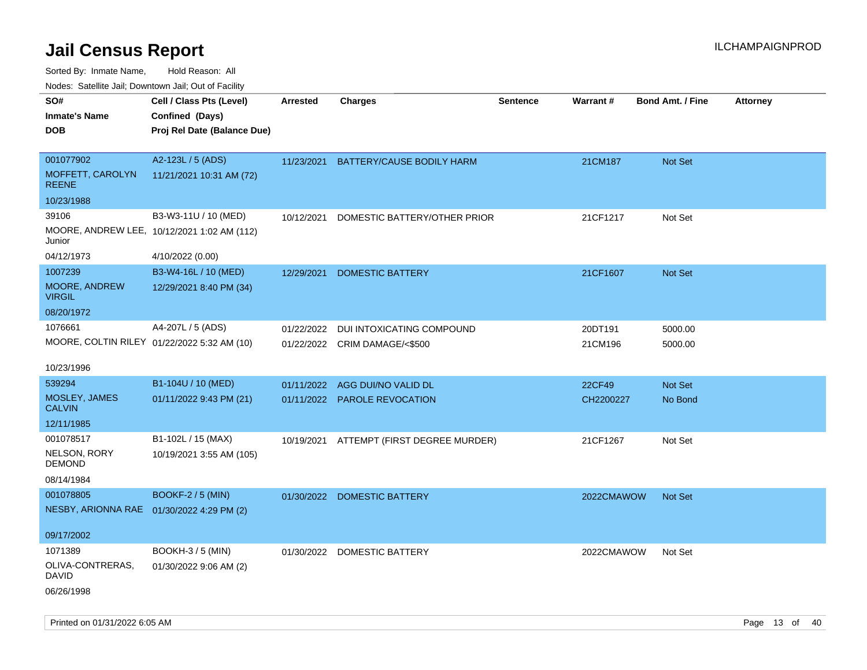Sorted By: Inmate Name, Hold Reason: All

Nodes: Satellite Jail; Downtown Jail; Out of Facility

| SO#                                         | Cell / Class Pts (Level)                    | <b>Arrested</b> | <b>Charges</b>                           | Sentence | Warrant#   | <b>Bond Amt. / Fine</b> | <b>Attorney</b> |
|---------------------------------------------|---------------------------------------------|-----------------|------------------------------------------|----------|------------|-------------------------|-----------------|
| <b>Inmate's Name</b>                        | Confined (Days)                             |                 |                                          |          |            |                         |                 |
| <b>DOB</b>                                  | Proj Rel Date (Balance Due)                 |                 |                                          |          |            |                         |                 |
|                                             |                                             |                 |                                          |          |            |                         |                 |
| 001077902                                   | A2-123L / 5 (ADS)                           | 11/23/2021      | BATTERY/CAUSE BODILY HARM                |          | 21CM187    | Not Set                 |                 |
| MOFFETT, CAROLYN<br><b>REENE</b>            | 11/21/2021 10:31 AM (72)                    |                 |                                          |          |            |                         |                 |
| 10/23/1988                                  |                                             |                 |                                          |          |            |                         |                 |
| 39106                                       | B3-W3-11U / 10 (MED)                        | 10/12/2021      | DOMESTIC BATTERY/OTHER PRIOR             |          | 21CF1217   | Not Set                 |                 |
| Junior                                      | MOORE, ANDREW LEE, 10/12/2021 1:02 AM (112) |                 |                                          |          |            |                         |                 |
| 04/12/1973                                  | 4/10/2022 (0.00)                            |                 |                                          |          |            |                         |                 |
| 1007239                                     | B3-W4-16L / 10 (MED)                        | 12/29/2021      | <b>DOMESTIC BATTERY</b>                  |          | 21CF1607   | Not Set                 |                 |
| MOORE, ANDREW<br><b>VIRGIL</b>              | 12/29/2021 8:40 PM (34)                     |                 |                                          |          |            |                         |                 |
| 08/20/1972                                  |                                             |                 |                                          |          |            |                         |                 |
| 1076661                                     | A4-207L / 5 (ADS)                           | 01/22/2022      | DUI INTOXICATING COMPOUND                |          | 20DT191    | 5000.00                 |                 |
| MOORE, COLTIN RILEY 01/22/2022 5:32 AM (10) |                                             |                 | 01/22/2022 CRIM DAMAGE/<\$500            |          | 21CM196    | 5000.00                 |                 |
|                                             |                                             |                 |                                          |          |            |                         |                 |
| 10/23/1996                                  |                                             |                 |                                          |          |            |                         |                 |
| 539294                                      | B1-104U / 10 (MED)                          |                 | 01/11/2022 AGG DUI/NO VALID DL           |          | 22CF49     | Not Set                 |                 |
| MOSLEY, JAMES<br><b>CALVIN</b>              | 01/11/2022 9:43 PM (21)                     |                 | 01/11/2022 PAROLE REVOCATION             |          | CH2200227  | No Bond                 |                 |
| 12/11/1985                                  |                                             |                 |                                          |          |            |                         |                 |
| 001078517                                   | B1-102L / 15 (MAX)                          |                 | 10/19/2021 ATTEMPT (FIRST DEGREE MURDER) |          | 21CF1267   | Not Set                 |                 |
| NELSON, RORY<br><b>DEMOND</b>               | 10/19/2021 3:55 AM (105)                    |                 |                                          |          |            |                         |                 |
| 08/14/1984                                  |                                             |                 |                                          |          |            |                         |                 |
| 001078805                                   | <b>BOOKF-2 / 5 (MIN)</b>                    |                 | 01/30/2022 DOMESTIC BATTERY              |          | 2022CMAWOW | Not Set                 |                 |
| NESBY, ARIONNA RAE 01/30/2022 4:29 PM (2)   |                                             |                 |                                          |          |            |                         |                 |
|                                             |                                             |                 |                                          |          |            |                         |                 |
| 09/17/2002                                  |                                             |                 |                                          |          |            |                         |                 |
| 1071389                                     | BOOKH-3 / 5 (MIN)                           |                 | 01/30/2022 DOMESTIC BATTERY              |          | 2022CMAWOW | Not Set                 |                 |
| OLIVA-CONTRERAS,<br><b>DAVID</b>            | 01/30/2022 9:06 AM (2)                      |                 |                                          |          |            |                         |                 |
| 06/26/1998                                  |                                             |                 |                                          |          |            |                         |                 |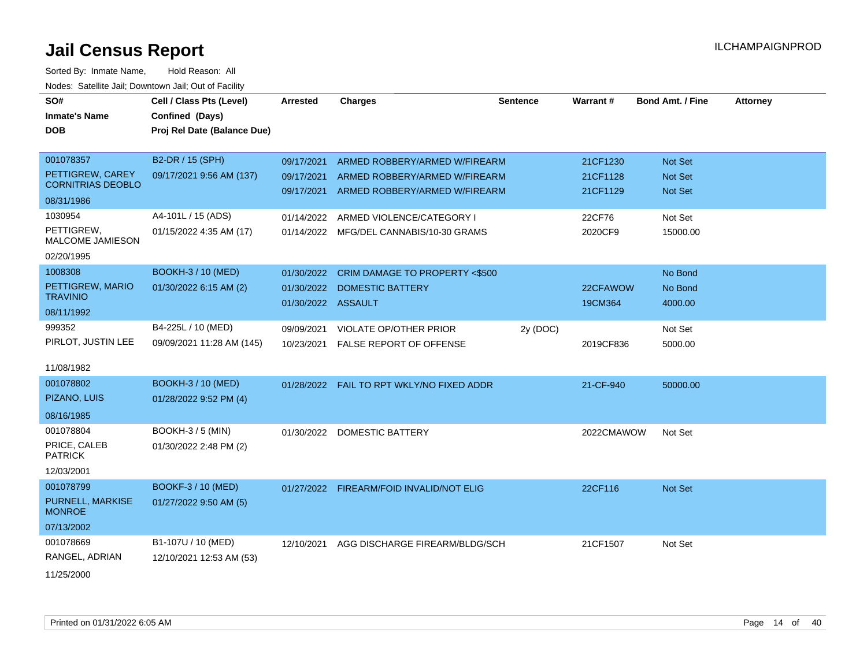Sorted By: Inmate Name, Hold Reason: All Nodes: Satellite Jail; Downtown Jail; Out of Facility

| SO#                               | Cell / Class Pts (Level)    | <b>Arrested</b>    | <b>Charges</b>                             | <b>Sentence</b> | Warrant#   | <b>Bond Amt. / Fine</b> | <b>Attorney</b> |
|-----------------------------------|-----------------------------|--------------------|--------------------------------------------|-----------------|------------|-------------------------|-----------------|
| <b>Inmate's Name</b>              | Confined (Days)             |                    |                                            |                 |            |                         |                 |
| <b>DOB</b>                        | Proj Rel Date (Balance Due) |                    |                                            |                 |            |                         |                 |
|                                   |                             |                    |                                            |                 |            |                         |                 |
| 001078357                         | B2-DR / 15 (SPH)            | 09/17/2021         | ARMED ROBBERY/ARMED W/FIREARM              |                 | 21CF1230   | Not Set                 |                 |
| PETTIGREW, CAREY                  | 09/17/2021 9:56 AM (137)    | 09/17/2021         | ARMED ROBBERY/ARMED W/FIREARM              |                 | 21CF1128   | <b>Not Set</b>          |                 |
| <b>CORNITRIAS DEOBLO</b>          |                             | 09/17/2021         | ARMED ROBBERY/ARMED W/FIREARM              |                 | 21CF1129   | <b>Not Set</b>          |                 |
| 08/31/1986                        |                             |                    |                                            |                 |            |                         |                 |
| 1030954                           | A4-101L / 15 (ADS)          | 01/14/2022         | ARMED VIOLENCE/CATEGORY I                  |                 | 22CF76     | Not Set                 |                 |
| PETTIGREW,<br>MALCOME JAMIESON    | 01/15/2022 4:35 AM (17)     | 01/14/2022         | MFG/DEL CANNABIS/10-30 GRAMS               |                 | 2020CF9    | 15000.00                |                 |
| 02/20/1995                        |                             |                    |                                            |                 |            |                         |                 |
| 1008308                           | BOOKH-3 / 10 (MED)          | 01/30/2022         | CRIM DAMAGE TO PROPERTY <\$500             |                 |            | No Bond                 |                 |
| PETTIGREW, MARIO                  | 01/30/2022 6:15 AM (2)      | 01/30/2022         | <b>DOMESTIC BATTERY</b>                    |                 | 22CFAWOW   | No Bond                 |                 |
| <b>TRAVINIO</b>                   |                             | 01/30/2022 ASSAULT |                                            |                 | 19CM364    | 4000.00                 |                 |
| 08/11/1992                        |                             |                    |                                            |                 |            |                         |                 |
| 999352                            | B4-225L / 10 (MED)          | 09/09/2021         | <b>VIOLATE OP/OTHER PRIOR</b>              | 2y (DOC)        |            | Not Set                 |                 |
| PIRLOT, JUSTIN LEE                | 09/09/2021 11:28 AM (145)   | 10/23/2021         | FALSE REPORT OF OFFENSE                    |                 | 2019CF836  | 5000.00                 |                 |
| 11/08/1982                        |                             |                    |                                            |                 |            |                         |                 |
| 001078802                         | BOOKH-3 / 10 (MED)          |                    | 01/28/2022  FAIL TO RPT WKLY/NO FIXED ADDR |                 | 21-CF-940  | 50000.00                |                 |
| PIZANO, LUIS                      | 01/28/2022 9:52 PM (4)      |                    |                                            |                 |            |                         |                 |
| 08/16/1985                        |                             |                    |                                            |                 |            |                         |                 |
| 001078804                         | <b>BOOKH-3 / 5 (MIN)</b>    |                    | 01/30/2022 DOMESTIC BATTERY                |                 | 2022CMAWOW | Not Set                 |                 |
| PRICE, CALEB<br><b>PATRICK</b>    | 01/30/2022 2:48 PM (2)      |                    |                                            |                 |            |                         |                 |
| 12/03/2001                        |                             |                    |                                            |                 |            |                         |                 |
| 001078799                         | BOOKF-3 / 10 (MED)          |                    | 01/27/2022 FIREARM/FOID INVALID/NOT ELIG   |                 | 22CF116    | <b>Not Set</b>          |                 |
| PURNELL, MARKISE<br><b>MONROE</b> | 01/27/2022 9:50 AM (5)      |                    |                                            |                 |            |                         |                 |
| 07/13/2002                        |                             |                    |                                            |                 |            |                         |                 |
| 001078669                         | B1-107U / 10 (MED)          | 12/10/2021         | AGG DISCHARGE FIREARM/BLDG/SCH             |                 | 21CF1507   | Not Set                 |                 |
| RANGEL, ADRIAN                    | 12/10/2021 12:53 AM (53)    |                    |                                            |                 |            |                         |                 |
| 11/25/2000                        |                             |                    |                                            |                 |            |                         |                 |

11/25/2000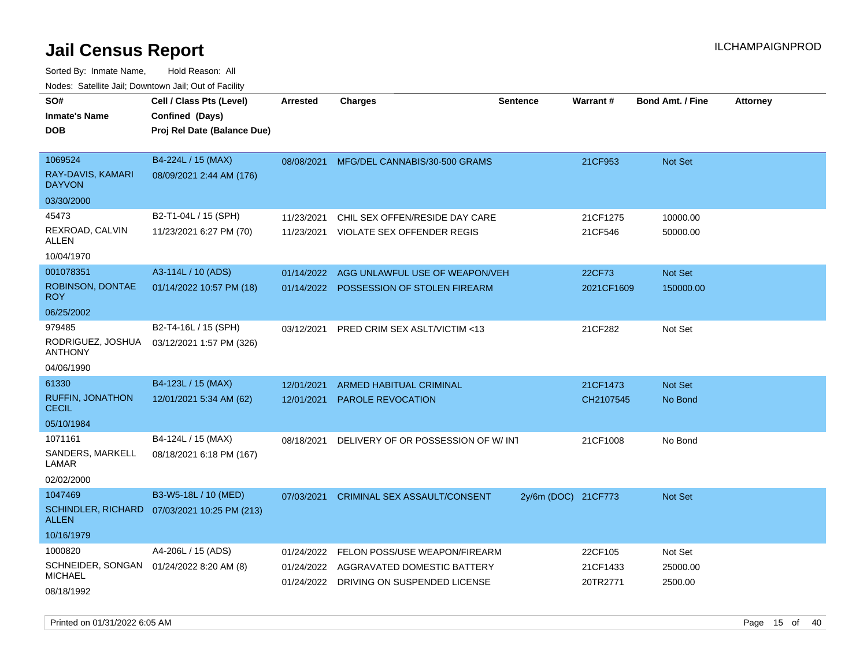| SO#<br>Inmate's Name<br>DOB                         | Cell / Class Pts (Level)<br>Confined (Days)<br>Proj Rel Date (Balance Due) | <b>Arrested</b> | <b>Charges</b>                          | <b>Sentence</b>     | <b>Warrant#</b> | <b>Bond Amt. / Fine</b> | <b>Attorney</b> |
|-----------------------------------------------------|----------------------------------------------------------------------------|-----------------|-----------------------------------------|---------------------|-----------------|-------------------------|-----------------|
| 1069524<br>RAY-DAVIS, KAMARI<br><b>DAYVON</b>       | B4-224L / 15 (MAX)<br>08/09/2021 2:44 AM (176)                             | 08/08/2021      | MFG/DEL CANNABIS/30-500 GRAMS           |                     | 21CF953         | <b>Not Set</b>          |                 |
| 03/30/2000                                          |                                                                            |                 |                                         |                     |                 |                         |                 |
| 45473                                               | B2-T1-04L / 15 (SPH)                                                       | 11/23/2021      | CHIL SEX OFFEN/RESIDE DAY CARE          |                     | 21CF1275        | 10000.00                |                 |
| REXROAD, CALVIN<br>ALLEN                            | 11/23/2021 6:27 PM (70)                                                    | 11/23/2021      | VIOLATE SEX OFFENDER REGIS              |                     | 21CF546         | 50000.00                |                 |
| 10/04/1970                                          |                                                                            |                 |                                         |                     |                 |                         |                 |
| 001078351                                           | A3-114L / 10 (ADS)                                                         | 01/14/2022      | AGG UNLAWFUL USE OF WEAPON/VEH          |                     | 22CF73          | Not Set                 |                 |
| ROBINSON, DONTAE<br>ROY.                            | 01/14/2022 10:57 PM (18)                                                   | 01/14/2022      | POSSESSION OF STOLEN FIREARM            |                     | 2021CF1609      | 150000.00               |                 |
| 06/25/2002                                          |                                                                            |                 |                                         |                     |                 |                         |                 |
| 979485                                              | B2-T4-16L / 15 (SPH)                                                       | 03/12/2021      | PRED CRIM SEX ASLT/VICTIM <13           |                     | 21CF282         | Not Set                 |                 |
| RODRIGUEZ, JOSHUA<br>ANTHONY                        | 03/12/2021 1:57 PM (326)                                                   |                 |                                         |                     |                 |                         |                 |
| 04/06/1990                                          |                                                                            |                 |                                         |                     |                 |                         |                 |
| 61330                                               | B4-123L / 15 (MAX)                                                         | 12/01/2021      | ARMED HABITUAL CRIMINAL                 |                     | 21CF1473        | <b>Not Set</b>          |                 |
| <b>RUFFIN, JONATHON</b><br><b>CECIL</b>             | 12/01/2021 5:34 AM (62)                                                    | 12/01/2021      | PAROLE REVOCATION                       |                     | CH2107545       | No Bond                 |                 |
| 05/10/1984                                          |                                                                            |                 |                                         |                     |                 |                         |                 |
| 1071161                                             | B4-124L / 15 (MAX)                                                         | 08/18/2021      | DELIVERY OF OR POSSESSION OF W/INT      |                     | 21CF1008        | No Bond                 |                 |
| SANDERS, MARKELL<br>LAMAR                           | 08/18/2021 6:18 PM (167)                                                   |                 |                                         |                     |                 |                         |                 |
| 02/02/2000                                          |                                                                            |                 |                                         |                     |                 |                         |                 |
| 1047469                                             | B3-W5-18L / 10 (MED)                                                       | 07/03/2021      | <b>CRIMINAL SEX ASSAULT/CONSENT</b>     | 2y/6m (DOC) 21CF773 |                 | <b>Not Set</b>          |                 |
| ALLEN                                               | SCHINDLER, RICHARD 07/03/2021 10:25 PM (213)                               |                 |                                         |                     |                 |                         |                 |
| 10/16/1979                                          |                                                                            |                 |                                         |                     |                 |                         |                 |
| 1000820                                             | A4-206L / 15 (ADS)                                                         | 01/24/2022      | FELON POSS/USE WEAPON/FIREARM           |                     | 22CF105         | Not Set                 |                 |
| SCHNEIDER, SONGAN 01/24/2022 8:20 AM (8)<br>MICHAEL |                                                                            | 01/24/2022      | AGGRAVATED DOMESTIC BATTERY             |                     | 21CF1433        | 25000.00                |                 |
| 08/18/1992                                          |                                                                            |                 | 01/24/2022 DRIVING ON SUSPENDED LICENSE |                     | 20TR2771        | 2500.00                 |                 |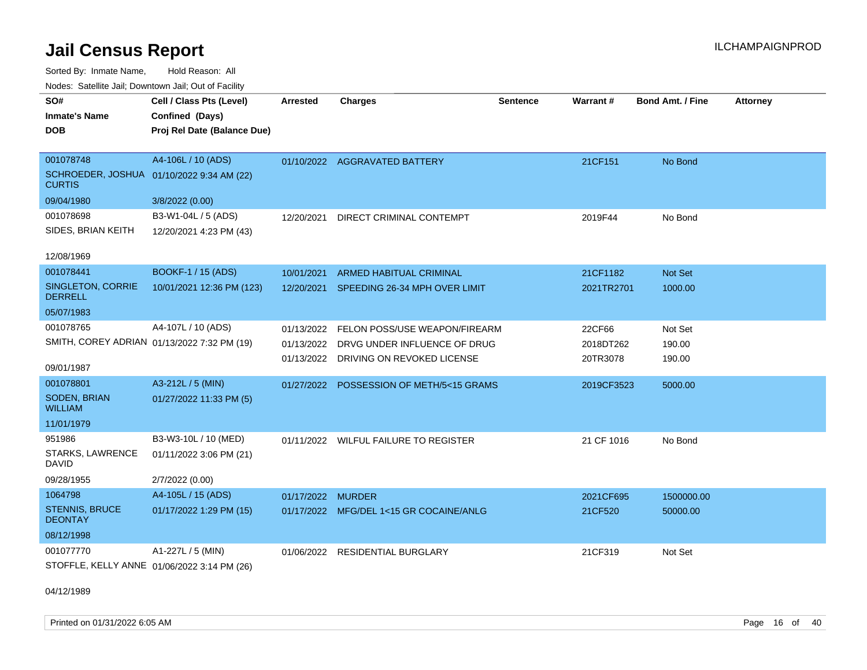Sorted By: Inmate Name, Hold Reason: All Nodes: Satellite Jail; Downtown Jail; Out of Facility

| roucs. Oatomic Jan, Downtown Jan, Out or Facility          |                                             |                   |                                          |                 |            |                  |                 |
|------------------------------------------------------------|---------------------------------------------|-------------------|------------------------------------------|-----------------|------------|------------------|-----------------|
| SO#                                                        | Cell / Class Pts (Level)                    | <b>Arrested</b>   | <b>Charges</b>                           | <b>Sentence</b> | Warrant#   | Bond Amt. / Fine | <b>Attorney</b> |
| <b>Inmate's Name</b>                                       | Confined (Days)                             |                   |                                          |                 |            |                  |                 |
| <b>DOB</b>                                                 | Proj Rel Date (Balance Due)                 |                   |                                          |                 |            |                  |                 |
|                                                            |                                             |                   |                                          |                 |            |                  |                 |
| 001078748                                                  | A4-106L / 10 (ADS)                          |                   | 01/10/2022 AGGRAVATED BATTERY            |                 | 21CF151    | No Bond          |                 |
| SCHROEDER, JOSHUA 01/10/2022 9:34 AM (22)<br><b>CURTIS</b> |                                             |                   |                                          |                 |            |                  |                 |
| 09/04/1980                                                 | 3/8/2022 (0.00)                             |                   |                                          |                 |            |                  |                 |
| 001078698                                                  | B3-W1-04L / 5 (ADS)                         | 12/20/2021        | DIRECT CRIMINAL CONTEMPT                 |                 | 2019F44    | No Bond          |                 |
| SIDES, BRIAN KEITH                                         | 12/20/2021 4:23 PM (43)                     |                   |                                          |                 |            |                  |                 |
|                                                            |                                             |                   |                                          |                 |            |                  |                 |
| 12/08/1969                                                 |                                             |                   |                                          |                 |            |                  |                 |
| 001078441                                                  | BOOKF-1 / 15 (ADS)                          | 10/01/2021        | <b>ARMED HABITUAL CRIMINAL</b>           |                 | 21CF1182   | Not Set          |                 |
| SINGLETON, CORRIE<br><b>DERRELL</b>                        | 10/01/2021 12:36 PM (123)                   |                   | 12/20/2021 SPEEDING 26-34 MPH OVER LIMIT |                 | 2021TR2701 | 1000.00          |                 |
| 05/07/1983                                                 |                                             |                   |                                          |                 |            |                  |                 |
| 001078765                                                  | A4-107L / 10 (ADS)                          |                   | 01/13/2022 FELON POSS/USE WEAPON/FIREARM |                 | 22CF66     | Not Set          |                 |
|                                                            | SMITH, COREY ADRIAN 01/13/2022 7:32 PM (19) | 01/13/2022        | DRVG UNDER INFLUENCE OF DRUG             |                 | 2018DT262  | 190.00           |                 |
|                                                            |                                             |                   | 01/13/2022 DRIVING ON REVOKED LICENSE    |                 | 20TR3078   | 190.00           |                 |
| 09/01/1987                                                 |                                             |                   |                                          |                 |            |                  |                 |
| 001078801                                                  | A3-212L / 5 (MIN)                           |                   | 01/27/2022 POSSESSION OF METH/5<15 GRAMS |                 | 2019CF3523 | 5000.00          |                 |
| SODEN, BRIAN<br><b>WILLIAM</b>                             | 01/27/2022 11:33 PM (5)                     |                   |                                          |                 |            |                  |                 |
| 11/01/1979                                                 |                                             |                   |                                          |                 |            |                  |                 |
| 951986                                                     | B3-W3-10L / 10 (MED)                        |                   | 01/11/2022 WILFUL FAILURE TO REGISTER    |                 | 21 CF 1016 | No Bond          |                 |
| STARKS, LAWRENCE<br>DAVID                                  | 01/11/2022 3:06 PM (21)                     |                   |                                          |                 |            |                  |                 |
| 09/28/1955                                                 | 2/7/2022 (0.00)                             |                   |                                          |                 |            |                  |                 |
| 1064798                                                    | A4-105L / 15 (ADS)                          | 01/17/2022 MURDER |                                          |                 | 2021CF695  | 1500000.00       |                 |
| <b>STENNIS, BRUCE</b><br><b>DEONTAY</b>                    | 01/17/2022 1:29 PM (15)                     |                   | 01/17/2022 MFG/DEL 1<15 GR COCAINE/ANLG  |                 | 21CF520    | 50000.00         |                 |
| 08/12/1998                                                 |                                             |                   |                                          |                 |            |                  |                 |
| 001077770                                                  | A1-227L / 5 (MIN)                           | 01/06/2022        | <b>RESIDENTIAL BURGLARY</b>              |                 | 21CF319    | Not Set          |                 |
| STOFFLE, KELLY ANNE 01/06/2022 3:14 PM (26)                |                                             |                   |                                          |                 |            |                  |                 |

04/12/1989

Printed on 01/31/2022 6:05 AM Page 16 of 40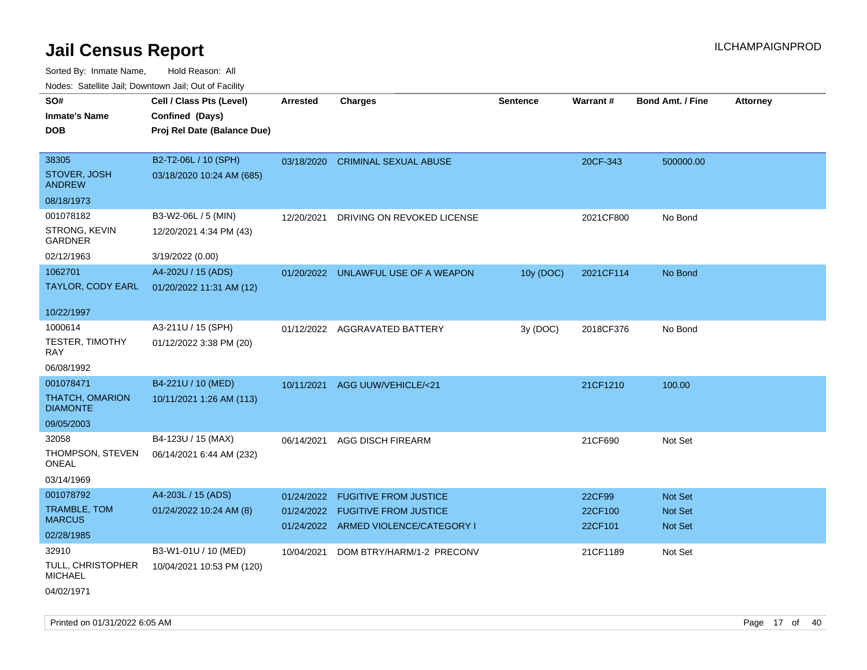| roacs. Calcinic Jan, Downtown Jan, Out of Facility |                             |                 |                                                                          |                 |                    |                           |                 |
|----------------------------------------------------|-----------------------------|-----------------|--------------------------------------------------------------------------|-----------------|--------------------|---------------------------|-----------------|
| SO#                                                | Cell / Class Pts (Level)    | <b>Arrested</b> | <b>Charges</b>                                                           | <b>Sentence</b> | Warrant#           | <b>Bond Amt. / Fine</b>   | <b>Attorney</b> |
| <b>Inmate's Name</b>                               | Confined (Days)             |                 |                                                                          |                 |                    |                           |                 |
| <b>DOB</b>                                         | Proj Rel Date (Balance Due) |                 |                                                                          |                 |                    |                           |                 |
|                                                    |                             |                 |                                                                          |                 |                    |                           |                 |
| 38305                                              | B2-T2-06L / 10 (SPH)        |                 | 03/18/2020 CRIMINAL SEXUAL ABUSE                                         |                 | 20CF-343           | 500000.00                 |                 |
| STOVER, JOSH<br><b>ANDREW</b>                      | 03/18/2020 10:24 AM (685)   |                 |                                                                          |                 |                    |                           |                 |
| 08/18/1973                                         |                             |                 |                                                                          |                 |                    |                           |                 |
| 001078182                                          | B3-W2-06L / 5 (MIN)         | 12/20/2021      | DRIVING ON REVOKED LICENSE                                               |                 | 2021CF800          | No Bond                   |                 |
| STRONG, KEVIN<br><b>GARDNER</b>                    | 12/20/2021 4:34 PM (43)     |                 |                                                                          |                 |                    |                           |                 |
| 02/12/1963                                         | 3/19/2022 (0.00)            |                 |                                                                          |                 |                    |                           |                 |
| 1062701                                            | A4-202U / 15 (ADS)          |                 | 01/20/2022 UNLAWFUL USE OF A WEAPON                                      | 10y (DOC)       | 2021CF114          | No Bond                   |                 |
| TAYLOR, CODY EARL                                  | 01/20/2022 11:31 AM (12)    |                 |                                                                          |                 |                    |                           |                 |
| 10/22/1997                                         |                             |                 |                                                                          |                 |                    |                           |                 |
| 1000614                                            | A3-211U / 15 (SPH)          |                 | 01/12/2022 AGGRAVATED BATTERY                                            | 3y (DOC)        | 2018CF376          | No Bond                   |                 |
| <b>TESTER, TIMOTHY</b><br>RAY                      | 01/12/2022 3:38 PM (20)     |                 |                                                                          |                 |                    |                           |                 |
| 06/08/1992                                         |                             |                 |                                                                          |                 |                    |                           |                 |
| 001078471                                          | B4-221U / 10 (MED)          | 10/11/2021      | AGG UUW/VEHICLE/<21                                                      |                 | 21CF1210           | 100.00                    |                 |
| <b>THATCH, OMARION</b><br><b>DIAMONTE</b>          | 10/11/2021 1:26 AM (113)    |                 |                                                                          |                 |                    |                           |                 |
| 09/05/2003                                         |                             |                 |                                                                          |                 |                    |                           |                 |
| 32058                                              | B4-123U / 15 (MAX)          | 06/14/2021      | <b>AGG DISCH FIREARM</b>                                                 |                 | 21CF690            | Not Set                   |                 |
| THOMPSON, STEVEN<br><b>ONEAL</b>                   | 06/14/2021 6:44 AM (232)    |                 |                                                                          |                 |                    |                           |                 |
| 03/14/1969                                         |                             |                 |                                                                          |                 |                    |                           |                 |
| 001078792                                          | A4-203L / 15 (ADS)          | 01/24/2022      | <b>FUGITIVE FROM JUSTICE</b>                                             |                 | 22CF99             | <b>Not Set</b>            |                 |
| <b>TRAMBLE, TOM</b><br><b>MARCUS</b>               | 01/24/2022 10:24 AM (8)     |                 | 01/24/2022 FUGITIVE FROM JUSTICE<br>01/24/2022 ARMED VIOLENCE/CATEGORY I |                 | 22CF100<br>22CF101 | <b>Not Set</b><br>Not Set |                 |
| 02/28/1985                                         |                             |                 |                                                                          |                 |                    |                           |                 |
| 32910                                              | B3-W1-01U / 10 (MED)        | 10/04/2021      | DOM BTRY/HARM/1-2 PRECONV                                                |                 | 21CF1189           | Not Set                   |                 |
| TULL, CHRISTOPHER<br><b>MICHAEL</b>                | 10/04/2021 10:53 PM (120)   |                 |                                                                          |                 |                    |                           |                 |
| 04/02/1971                                         |                             |                 |                                                                          |                 |                    |                           |                 |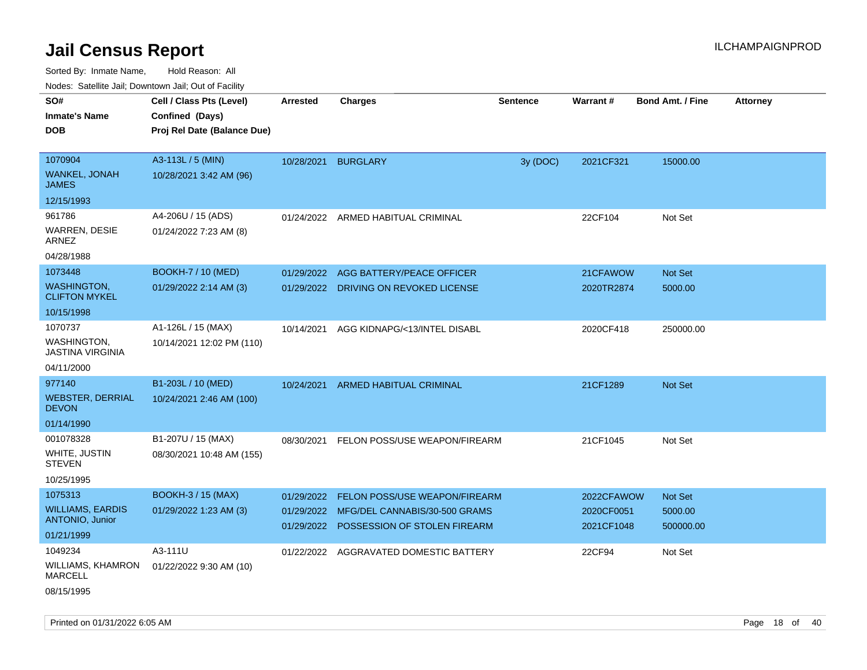Sorted By: Inmate Name, Hold Reason: All Nodes: Satellite Jail; Downtown Jail; Out of Facility

| Noues. Salenne Jan, Downlown Jan, Out or Facility |                             |            |                                                                          |                 |                          |                         |                 |
|---------------------------------------------------|-----------------------------|------------|--------------------------------------------------------------------------|-----------------|--------------------------|-------------------------|-----------------|
| SO#                                               | Cell / Class Pts (Level)    | Arrested   | <b>Charges</b>                                                           | <b>Sentence</b> | <b>Warrant#</b>          | <b>Bond Amt. / Fine</b> | <b>Attorney</b> |
| <b>Inmate's Name</b>                              | Confined (Days)             |            |                                                                          |                 |                          |                         |                 |
| <b>DOB</b>                                        | Proj Rel Date (Balance Due) |            |                                                                          |                 |                          |                         |                 |
|                                                   |                             |            |                                                                          |                 |                          |                         |                 |
| 1070904                                           | A3-113L / 5 (MIN)           | 10/28/2021 | <b>BURGLARY</b>                                                          | 3y (DOC)        | 2021CF321                | 15000.00                |                 |
| <b>WANKEL, JONAH</b><br><b>JAMES</b>              | 10/28/2021 3:42 AM (96)     |            |                                                                          |                 |                          |                         |                 |
| 12/15/1993                                        |                             |            |                                                                          |                 |                          |                         |                 |
| 961786                                            | A4-206U / 15 (ADS)          | 01/24/2022 | ARMED HABITUAL CRIMINAL                                                  |                 | 22CF104                  | Not Set                 |                 |
| <b>WARREN, DESIE</b><br>ARNEZ                     | 01/24/2022 7:23 AM (8)      |            |                                                                          |                 |                          |                         |                 |
| 04/28/1988                                        |                             |            |                                                                          |                 |                          |                         |                 |
| 1073448                                           | <b>BOOKH-7 / 10 (MED)</b>   | 01/29/2022 | AGG BATTERY/PEACE OFFICER                                                |                 | 21CFAWOW                 | <b>Not Set</b>          |                 |
| <b>WASHINGTON,</b><br><b>CLIFTON MYKEL</b>        | 01/29/2022 2:14 AM (3)      |            | 01/29/2022 DRIVING ON REVOKED LICENSE                                    |                 | 2020TR2874               | 5000.00                 |                 |
| 10/15/1998                                        |                             |            |                                                                          |                 |                          |                         |                 |
| 1070737                                           | A1-126L / 15 (MAX)          | 10/14/2021 | AGG KIDNAPG/<13/INTEL DISABL                                             |                 | 2020CF418                | 250000.00               |                 |
| WASHINGTON,<br>JASTINA VIRGINIA                   | 10/14/2021 12:02 PM (110)   |            |                                                                          |                 |                          |                         |                 |
| 04/11/2000                                        |                             |            |                                                                          |                 |                          |                         |                 |
| 977140                                            | B1-203L / 10 (MED)          | 10/24/2021 | <b>ARMED HABITUAL CRIMINAL</b>                                           |                 | 21CF1289                 | <b>Not Set</b>          |                 |
| <b>WEBSTER, DERRIAL</b><br><b>DEVON</b>           | 10/24/2021 2:46 AM (100)    |            |                                                                          |                 |                          |                         |                 |
| 01/14/1990                                        |                             |            |                                                                          |                 |                          |                         |                 |
| 001078328                                         | B1-207U / 15 (MAX)          | 08/30/2021 | FELON POSS/USE WEAPON/FIREARM                                            |                 | 21CF1045                 | Not Set                 |                 |
| WHITE, JUSTIN<br>STEVEN                           | 08/30/2021 10:48 AM (155)   |            |                                                                          |                 |                          |                         |                 |
| 10/25/1995                                        |                             |            |                                                                          |                 |                          |                         |                 |
| 1075313                                           | <b>BOOKH-3 / 15 (MAX)</b>   | 01/29/2022 | <b>FELON POSS/USE WEAPON/FIREARM</b>                                     |                 | 2022CFAWOW               | Not Set                 |                 |
| <b>WILLIAMS, EARDIS</b><br><b>ANTONIO, Junior</b> | 01/29/2022 1:23 AM (3)      | 01/29/2022 | MFG/DEL CANNABIS/30-500 GRAMS<br>01/29/2022 POSSESSION OF STOLEN FIREARM |                 | 2020CF0051<br>2021CF1048 | 5000.00<br>500000.00    |                 |
| 01/21/1999                                        |                             |            |                                                                          |                 |                          |                         |                 |
| 1049234                                           | A3-111U                     | 01/22/2022 | AGGRAVATED DOMESTIC BATTERY                                              |                 | 22CF94                   | Not Set                 |                 |
| WILLIAMS, KHAMRON<br>MARCELL                      | 01/22/2022 9:30 AM (10)     |            |                                                                          |                 |                          |                         |                 |
| 08/15/1995                                        |                             |            |                                                                          |                 |                          |                         |                 |

Printed on 01/31/2022 6:05 AM **Page 18** of 40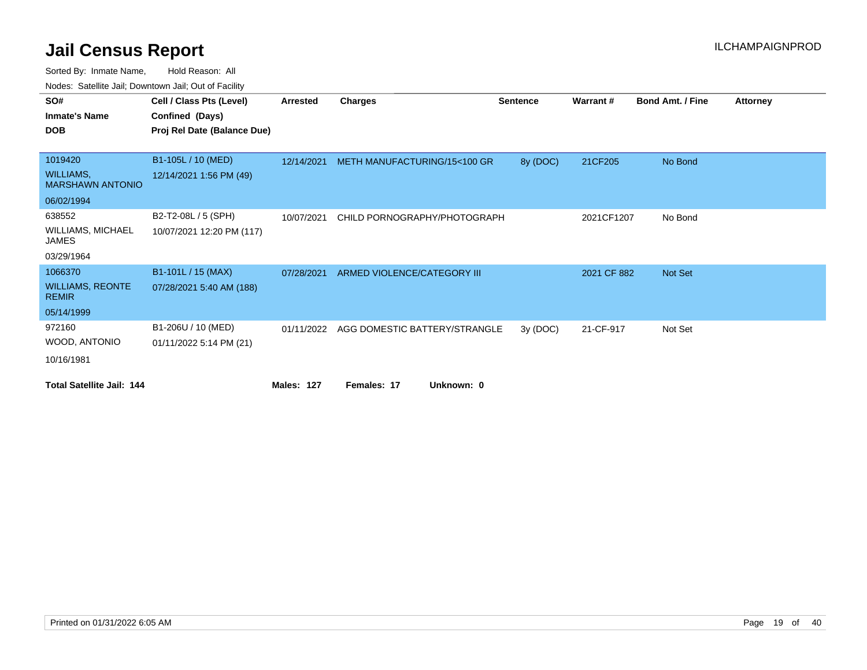| roaco. Calcillo dall, Downtown dall, Out of Fability |                             |                 |                               |                 |             |                         |                 |
|------------------------------------------------------|-----------------------------|-----------------|-------------------------------|-----------------|-------------|-------------------------|-----------------|
| SO#                                                  | Cell / Class Pts (Level)    | <b>Arrested</b> | <b>Charges</b>                | <b>Sentence</b> | Warrant#    | <b>Bond Amt. / Fine</b> | <b>Attorney</b> |
| <b>Inmate's Name</b>                                 | Confined (Days)             |                 |                               |                 |             |                         |                 |
| <b>DOB</b>                                           | Proj Rel Date (Balance Due) |                 |                               |                 |             |                         |                 |
|                                                      |                             |                 |                               |                 |             |                         |                 |
| 1019420                                              | B1-105L / 10 (MED)          | 12/14/2021      | METH MANUFACTURING/15<100 GR  | 8y (DOC)        | 21CF205     | No Bond                 |                 |
| <b>WILLIAMS,</b><br><b>MARSHAWN ANTONIO</b>          | 12/14/2021 1:56 PM (49)     |                 |                               |                 |             |                         |                 |
| 06/02/1994                                           |                             |                 |                               |                 |             |                         |                 |
| 638552                                               | B2-T2-08L / 5 (SPH)         | 10/07/2021      | CHILD PORNOGRAPHY/PHOTOGRAPH  |                 | 2021CF1207  | No Bond                 |                 |
| <b>WILLIAMS, MICHAEL</b><br><b>JAMES</b>             | 10/07/2021 12:20 PM (117)   |                 |                               |                 |             |                         |                 |
| 03/29/1964                                           |                             |                 |                               |                 |             |                         |                 |
| 1066370                                              | B1-101L / 15 (MAX)          | 07/28/2021      | ARMED VIOLENCE/CATEGORY III   |                 | 2021 CF 882 | Not Set                 |                 |
| <b>WILLIAMS, REONTE</b><br><b>REMIR</b>              | 07/28/2021 5:40 AM (188)    |                 |                               |                 |             |                         |                 |
| 05/14/1999                                           |                             |                 |                               |                 |             |                         |                 |
| 972160                                               | B1-206U / 10 (MED)          | 01/11/2022      | AGG DOMESTIC BATTERY/STRANGLE | 3y(DOC)         | 21-CF-917   | Not Set                 |                 |
| WOOD, ANTONIO                                        | 01/11/2022 5:14 PM (21)     |                 |                               |                 |             |                         |                 |
| 10/16/1981                                           |                             |                 |                               |                 |             |                         |                 |
| <b>Total Satellite Jail: 144</b>                     |                             | Males: 127      | Females: 17<br>Unknown: 0     |                 |             |                         |                 |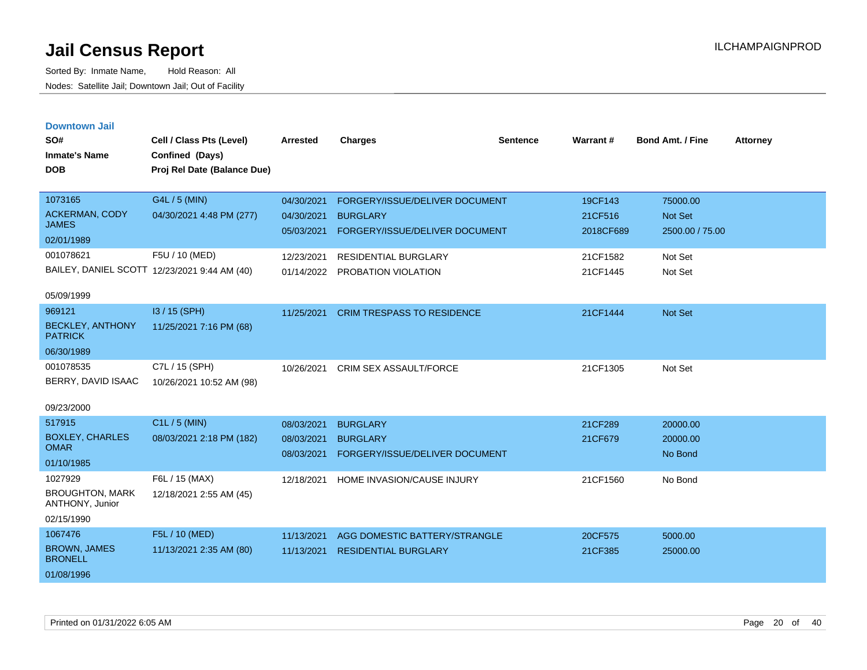| <b>Downtown Jail</b> |  |
|----------------------|--|
|                      |  |

| SO#<br><b>Inmate's Name</b><br><b>DOB</b>                                   | Cell / Class Pts (Level)<br>Confined (Days)<br>Proj Rel Date (Balance Due) | <b>Arrested</b>                                      | <b>Charges</b>                                                                                              | <b>Sentence</b> | <b>Warrant#</b>                             | <b>Bond Amt. / Fine</b>                           | <b>Attorney</b> |
|-----------------------------------------------------------------------------|----------------------------------------------------------------------------|------------------------------------------------------|-------------------------------------------------------------------------------------------------------------|-----------------|---------------------------------------------|---------------------------------------------------|-----------------|
| 1073165<br><b>ACKERMAN, CODY</b><br><b>JAMES</b><br>02/01/1989<br>001078621 | G4L / 5 (MIN)<br>04/30/2021 4:48 PM (277)<br>F5U / 10 (MED)                | 04/30/2021<br>04/30/2021<br>05/03/2021<br>12/23/2021 | FORGERY/ISSUE/DELIVER DOCUMENT<br><b>BURGLARY</b><br>FORGERY/ISSUE/DELIVER DOCUMENT<br>RESIDENTIAL BURGLARY |                 | 19CF143<br>21CF516<br>2018CF689<br>21CF1582 | 75000.00<br>Not Set<br>2500.00 / 75.00<br>Not Set |                 |
| 05/09/1999                                                                  | BAILEY, DANIEL SCOTT 12/23/2021 9:44 AM (40)                               | 01/14/2022                                           | PROBATION VIOLATION                                                                                         |                 | 21CF1445                                    | Not Set                                           |                 |
| 969121<br><b>BECKLEY, ANTHONY</b><br><b>PATRICK</b><br>06/30/1989           | I3 / 15 (SPH)<br>11/25/2021 7:16 PM (68)                                   | 11/25/2021                                           | <b>CRIM TRESPASS TO RESIDENCE</b>                                                                           |                 | 21CF1444                                    | Not Set                                           |                 |
| 001078535<br>BERRY, DAVID ISAAC<br>09/23/2000                               | C7L / 15 (SPH)<br>10/26/2021 10:52 AM (98)                                 | 10/26/2021                                           | CRIM SEX ASSAULT/FORCE                                                                                      |                 | 21CF1305                                    | Not Set                                           |                 |
| 517915<br><b>BOXLEY, CHARLES</b><br><b>OMAR</b><br>01/10/1985               | C1L / 5 (MIN)<br>08/03/2021 2:18 PM (182)                                  | 08/03/2021<br>08/03/2021<br>08/03/2021               | <b>BURGLARY</b><br><b>BURGLARY</b><br>FORGERY/ISSUE/DELIVER DOCUMENT                                        |                 | 21CF289<br>21CF679                          | 20000.00<br>20000.00<br>No Bond                   |                 |
| 1027929<br><b>BROUGHTON, MARK</b><br>ANTHONY, Junior<br>02/15/1990          | F6L / 15 (MAX)<br>12/18/2021 2:55 AM (45)                                  | 12/18/2021                                           | HOME INVASION/CAUSE INJURY                                                                                  |                 | 21CF1560                                    | No Bond                                           |                 |
| 1067476<br><b>BROWN, JAMES</b><br><b>BRONELL</b><br>01/08/1996              | F5L / 10 (MED)<br>11/13/2021 2:35 AM (80)                                  | 11/13/2021<br>11/13/2021                             | AGG DOMESTIC BATTERY/STRANGLE<br><b>RESIDENTIAL BURGLARY</b>                                                |                 | 20CF575<br>21CF385                          | 5000.00<br>25000.00                               |                 |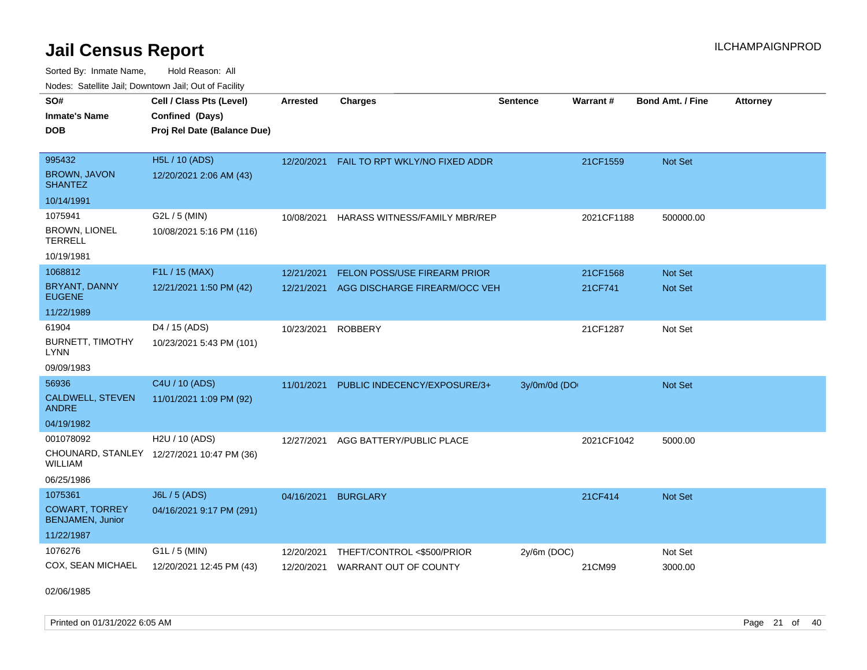Sorted By: Inmate Name, Hold Reason: All Nodes: Satellite Jail; Downtown Jail; Out of Facility

| SO#<br><b>Inmate's Name</b><br><b>DOB</b>                                 | Cell / Class Pts (Level)<br>Confined (Days)<br>Proj Rel Date (Balance Due) | <b>Arrested</b>          | <b>Charges</b>                                             | <b>Sentence</b> | <b>Warrant#</b> | <b>Bond Amt. / Fine</b> | <b>Attorney</b> |
|---------------------------------------------------------------------------|----------------------------------------------------------------------------|--------------------------|------------------------------------------------------------|-----------------|-----------------|-------------------------|-----------------|
| 995432<br><b>BROWN, JAVON</b><br><b>SHANTEZ</b>                           | H5L / 10 (ADS)<br>12/20/2021 2:06 AM (43)                                  | 12/20/2021               | FAIL TO RPT WKLY/NO FIXED ADDR                             |                 | 21CF1559        | Not Set                 |                 |
| 10/14/1991                                                                |                                                                            |                          |                                                            |                 |                 |                         |                 |
| 1075941<br>BROWN, LIONEL<br><b>TERRELL</b><br>10/19/1981                  | G2L / 5 (MIN)<br>10/08/2021 5:16 PM (116)                                  | 10/08/2021               | HARASS WITNESS/FAMILY MBR/REP                              |                 | 2021CF1188      | 500000.00               |                 |
| 1068812                                                                   | F1L / 15 (MAX)                                                             | 12/21/2021               | FELON POSS/USE FIREARM PRIOR                               |                 | 21CF1568        | Not Set                 |                 |
| <b>BRYANT, DANNY</b><br><b>EUGENE</b>                                     | 12/21/2021 1:50 PM (42)                                                    | 12/21/2021               | AGG DISCHARGE FIREARM/OCC VEH                              |                 | 21CF741         | Not Set                 |                 |
| 11/22/1989                                                                |                                                                            |                          |                                                            |                 |                 |                         |                 |
| 61904<br><b>BURNETT, TIMOTHY</b><br><b>LYNN</b><br>09/09/1983             | D4 / 15 (ADS)<br>10/23/2021 5:43 PM (101)                                  | 10/23/2021               | <b>ROBBERY</b>                                             |                 | 21CF1287        | Not Set                 |                 |
| 56936                                                                     | C4U / 10 (ADS)                                                             | 11/01/2021               | PUBLIC INDECENCY/EXPOSURE/3+                               | 3y/0m/0d (DO    |                 | Not Set                 |                 |
| CALDWELL, STEVEN<br><b>ANDRE</b>                                          | 11/01/2021 1:09 PM (92)                                                    |                          |                                                            |                 |                 |                         |                 |
| 04/19/1982                                                                |                                                                            |                          |                                                            |                 |                 |                         |                 |
| 001078092<br><b>WILLIAM</b><br>06/25/1986                                 | H2U / 10 (ADS)<br>CHOUNARD, STANLEY 12/27/2021 10:47 PM (36)               | 12/27/2021               | AGG BATTERY/PUBLIC PLACE                                   |                 | 2021CF1042      | 5000.00                 |                 |
| 1075361<br><b>COWART, TORREY</b><br><b>BENJAMEN, Junior</b><br>11/22/1987 | J6L / 5 (ADS)<br>04/16/2021 9:17 PM (291)                                  | 04/16/2021               | <b>BURGLARY</b>                                            |                 | 21CF414         | Not Set                 |                 |
| 1076276<br>COX, SEAN MICHAEL                                              | G1L / 5 (MIN)<br>12/20/2021 12:45 PM (43)                                  | 12/20/2021<br>12/20/2021 | THEFT/CONTROL <\$500/PRIOR<br><b>WARRANT OUT OF COUNTY</b> | 2y/6m (DOC)     | 21CM99          | Not Set<br>3000.00      |                 |

02/06/1985

Printed on 01/31/2022 6:05 AM Page 21 of 40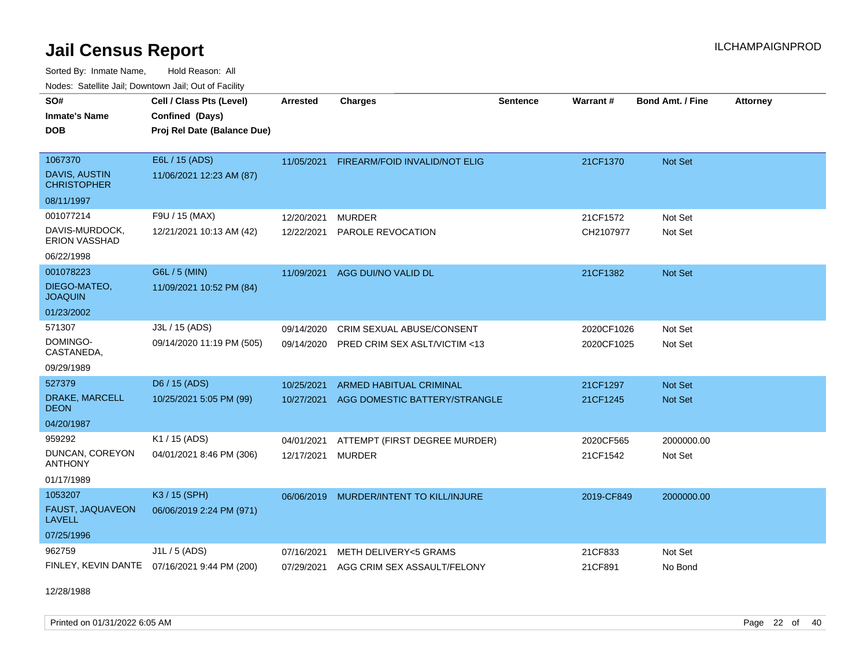Sorted By: Inmate Name, Hold Reason: All Nodes: Satellite Jail; Downtown Jail; Out of Facility

| <b>Neget Calculus Vall, Downlown Vall, Out of Fability</b> |                                              |                 |                                        |                 |                 |                         |                 |
|------------------------------------------------------------|----------------------------------------------|-----------------|----------------------------------------|-----------------|-----------------|-------------------------|-----------------|
| SO#                                                        | Cell / Class Pts (Level)                     | <b>Arrested</b> | <b>Charges</b>                         | <b>Sentence</b> | <b>Warrant#</b> | <b>Bond Amt. / Fine</b> | <b>Attorney</b> |
| <b>Inmate's Name</b>                                       | Confined (Days)                              |                 |                                        |                 |                 |                         |                 |
| <b>DOB</b>                                                 | Proj Rel Date (Balance Due)                  |                 |                                        |                 |                 |                         |                 |
|                                                            |                                              |                 |                                        |                 |                 |                         |                 |
| 1067370                                                    | E6L / 15 (ADS)                               | 11/05/2021      | <b>FIREARM/FOID INVALID/NOT ELIG</b>   |                 | 21CF1370        | Not Set                 |                 |
| <b>DAVIS, AUSTIN</b><br><b>CHRISTOPHER</b>                 | 11/06/2021 12:23 AM (87)                     |                 |                                        |                 |                 |                         |                 |
| 08/11/1997                                                 |                                              |                 |                                        |                 |                 |                         |                 |
| 001077214                                                  | F9U / 15 (MAX)                               | 12/20/2021      | <b>MURDER</b>                          |                 | 21CF1572        | Not Set                 |                 |
| DAVIS-MURDOCK,<br><b>ERION VASSHAD</b>                     | 12/21/2021 10:13 AM (42)                     | 12/22/2021      | PAROLE REVOCATION                      |                 | CH2107977       | Not Set                 |                 |
| 06/22/1998                                                 |                                              |                 |                                        |                 |                 |                         |                 |
| 001078223                                                  | G6L / 5 (MIN)                                | 11/09/2021      | AGG DUI/NO VALID DL                    |                 | 21CF1382        | Not Set                 |                 |
| DIEGO-MATEO,<br><b>JOAQUIN</b>                             | 11/09/2021 10:52 PM (84)                     |                 |                                        |                 |                 |                         |                 |
| 01/23/2002                                                 |                                              |                 |                                        |                 |                 |                         |                 |
| 571307                                                     | J3L / 15 (ADS)                               | 09/14/2020      | <b>CRIM SEXUAL ABUSE/CONSENT</b>       |                 | 2020CF1026      | Not Set                 |                 |
| DOMINGO-<br>CASTANEDA,                                     | 09/14/2020 11:19 PM (505)                    | 09/14/2020      | PRED CRIM SEX ASLT/VICTIM <13          |                 | 2020CF1025      | Not Set                 |                 |
| 09/29/1989                                                 |                                              |                 |                                        |                 |                 |                         |                 |
| 527379                                                     | D6 / 15 (ADS)                                | 10/25/2021      | <b>ARMED HABITUAL CRIMINAL</b>         |                 | 21CF1297        | <b>Not Set</b>          |                 |
| DRAKE, MARCELL<br><b>DEON</b>                              | 10/25/2021 5:05 PM (99)                      | 10/27/2021      | AGG DOMESTIC BATTERY/STRANGLE          |                 | 21CF1245        | Not Set                 |                 |
| 04/20/1987                                                 |                                              |                 |                                        |                 |                 |                         |                 |
| 959292                                                     | K1 / 15 (ADS)                                | 04/01/2021      | ATTEMPT (FIRST DEGREE MURDER)          |                 | 2020CF565       | 2000000.00              |                 |
| DUNCAN, COREYON<br><b>ANTHONY</b>                          | 04/01/2021 8:46 PM (306)                     | 12/17/2021      | <b>MURDER</b>                          |                 | 21CF1542        | Not Set                 |                 |
| 01/17/1989                                                 |                                              |                 |                                        |                 |                 |                         |                 |
| 1053207                                                    | K3 / 15 (SPH)                                | 06/06/2019      | MURDER/INTENT TO KILL/INJURE           |                 | 2019-CF849      | 2000000.00              |                 |
| FAUST, JAQUAVEON<br><b>LAVELL</b>                          | 06/06/2019 2:24 PM (971)                     |                 |                                        |                 |                 |                         |                 |
| 07/25/1996                                                 |                                              |                 |                                        |                 |                 |                         |                 |
| 962759                                                     | J1L / 5 (ADS)                                | 07/16/2021      | METH DELIVERY<5 GRAMS                  |                 | 21CF833         | Not Set                 |                 |
|                                                            | FINLEY, KEVIN DANTE 07/16/2021 9:44 PM (200) |                 | 07/29/2021 AGG CRIM SEX ASSAULT/FELONY |                 | 21CF891         | No Bond                 |                 |
|                                                            |                                              |                 |                                        |                 |                 |                         |                 |

12/28/1988

Printed on 01/31/2022 6:05 AM Page 22 of 40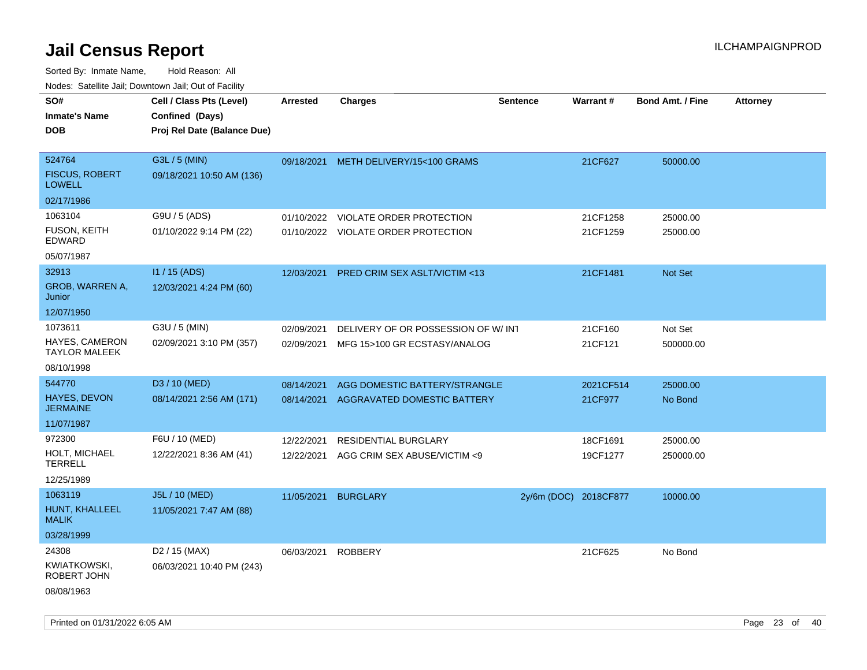| rouco. Calcinic Jan, Downtown Jan, Out of Facility |                                                                            |                 |                                         |                       |           |                         |                 |
|----------------------------------------------------|----------------------------------------------------------------------------|-----------------|-----------------------------------------|-----------------------|-----------|-------------------------|-----------------|
| SO#<br>Inmate's Name<br><b>DOB</b>                 | Cell / Class Pts (Level)<br>Confined (Days)<br>Proj Rel Date (Balance Due) | <b>Arrested</b> | <b>Charges</b>                          | <b>Sentence</b>       | Warrant#  | <b>Bond Amt. / Fine</b> | <b>Attorney</b> |
| 524764<br><b>FISCUS, ROBERT</b><br><b>LOWELL</b>   | G3L / 5 (MIN)<br>09/18/2021 10:50 AM (136)                                 |                 | 09/18/2021 METH DELIVERY/15<100 GRAMS   |                       | 21CF627   | 50000.00                |                 |
| 02/17/1986                                         |                                                                            |                 |                                         |                       |           |                         |                 |
| 1063104                                            | G9U / 5 (ADS)                                                              | 01/10/2022      | VIOLATE ORDER PROTECTION                |                       | 21CF1258  | 25000.00                |                 |
| FUSON, KEITH<br>EDWARD                             | 01/10/2022 9:14 PM (22)                                                    |                 | 01/10/2022 VIOLATE ORDER PROTECTION     |                       | 21CF1259  | 25000.00                |                 |
| 05/07/1987                                         |                                                                            |                 |                                         |                       |           |                         |                 |
| 32913                                              | I1 / 15 (ADS)                                                              | 12/03/2021      | <b>PRED CRIM SEX ASLT/VICTIM &lt;13</b> |                       | 21CF1481  | <b>Not Set</b>          |                 |
| <b>GROB, WARREN A,</b><br>Junior                   | 12/03/2021 4:24 PM (60)                                                    |                 |                                         |                       |           |                         |                 |
| 12/07/1950                                         |                                                                            |                 |                                         |                       |           |                         |                 |
| 1073611                                            | G3U / 5 (MIN)                                                              | 02/09/2021      | DELIVERY OF OR POSSESSION OF W/INT      |                       | 21CF160   | Not Set                 |                 |
| HAYES, CAMERON<br>TAYLOR MALEEK                    | 02/09/2021 3:10 PM (357)                                                   | 02/09/2021      | MFG 15>100 GR ECSTASY/ANALOG            |                       | 21CF121   | 500000.00               |                 |
| 08/10/1998                                         |                                                                            |                 |                                         |                       |           |                         |                 |
| 544770                                             | D3 / 10 (MED)                                                              | 08/14/2021      | AGG DOMESTIC BATTERY/STRANGLE           |                       | 2021CF514 | 25000.00                |                 |
| <b>HAYES, DEVON</b><br>JERMAINE                    | 08/14/2021 2:56 AM (171)                                                   | 08/14/2021      | AGGRAVATED DOMESTIC BATTERY             |                       | 21CF977   | No Bond                 |                 |
| 11/07/1987                                         |                                                                            |                 |                                         |                       |           |                         |                 |
| 972300                                             | F6U / 10 (MED)                                                             | 12/22/2021      | RESIDENTIAL BURGLARY                    |                       | 18CF1691  | 25000.00                |                 |
| HOLT, MICHAEL<br>TERRELL                           | 12/22/2021 8:36 AM (41)                                                    | 12/22/2021      | AGG CRIM SEX ABUSE/VICTIM <9            |                       | 19CF1277  | 250000.00               |                 |
| 12/25/1989                                         |                                                                            |                 |                                         |                       |           |                         |                 |
| 1063119                                            | J5L / 10 (MED)                                                             | 11/05/2021      | <b>BURGLARY</b>                         | 2y/6m (DOC) 2018CF877 |           | 10000.00                |                 |
| HUNT, KHALLEEL<br>MALIK                            | 11/05/2021 7:47 AM (88)                                                    |                 |                                         |                       |           |                         |                 |
| 03/28/1999                                         |                                                                            |                 |                                         |                       |           |                         |                 |
| 24308                                              | D <sub>2</sub> / 15 (MAX)                                                  | 06/03/2021      | <b>ROBBERY</b>                          |                       | 21CF625   | No Bond                 |                 |
| KWIATKOWSKI,<br>ROBERT JOHN                        | 06/03/2021 10:40 PM (243)                                                  |                 |                                         |                       |           |                         |                 |
| 08/08/1963                                         |                                                                            |                 |                                         |                       |           |                         |                 |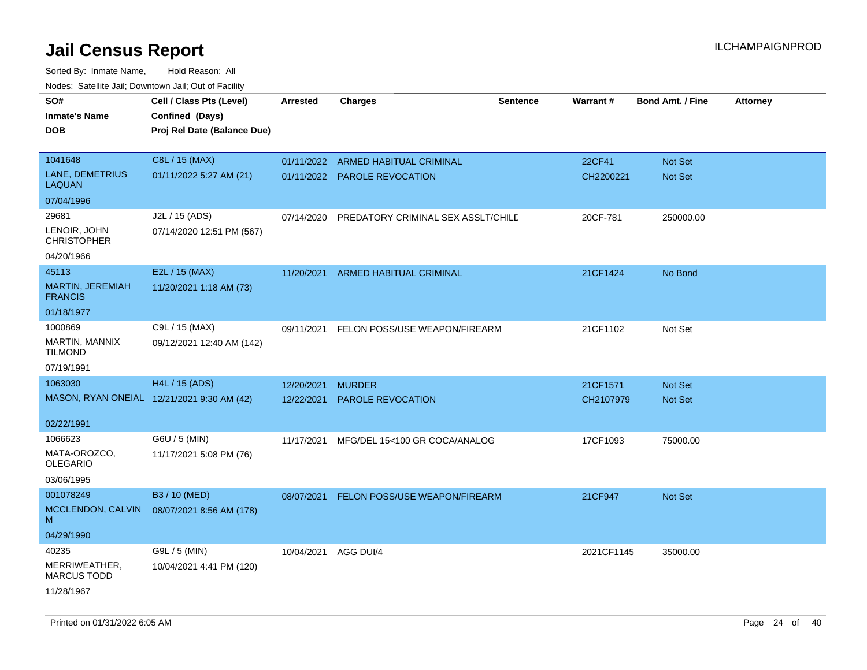| roaco. Catolino dall, Downtown dall, Out of Fability |                                            |                 |                                    |                 |                 |                         |                 |
|------------------------------------------------------|--------------------------------------------|-----------------|------------------------------------|-----------------|-----------------|-------------------------|-----------------|
| SO#                                                  | Cell / Class Pts (Level)                   | <b>Arrested</b> | Charges                            | <b>Sentence</b> | <b>Warrant#</b> | <b>Bond Amt. / Fine</b> | <b>Attorney</b> |
| <b>Inmate's Name</b>                                 | Confined (Days)                            |                 |                                    |                 |                 |                         |                 |
| <b>DOB</b>                                           | Proj Rel Date (Balance Due)                |                 |                                    |                 |                 |                         |                 |
|                                                      |                                            |                 |                                    |                 |                 |                         |                 |
| 1041648                                              | C8L / 15 (MAX)                             |                 | 01/11/2022 ARMED HABITUAL CRIMINAL |                 | 22CF41          | <b>Not Set</b>          |                 |
| LANE, DEMETRIUS<br><b>LAQUAN</b>                     | 01/11/2022 5:27 AM (21)                    |                 | 01/11/2022 PAROLE REVOCATION       |                 | CH2200221       | Not Set                 |                 |
| 07/04/1996                                           |                                            |                 |                                    |                 |                 |                         |                 |
| 29681                                                | J2L / 15 (ADS)                             | 07/14/2020      | PREDATORY CRIMINAL SEX ASSLT/CHILD |                 | 20CF-781        | 250000.00               |                 |
| LENOIR, JOHN<br><b>CHRISTOPHER</b>                   | 07/14/2020 12:51 PM (567)                  |                 |                                    |                 |                 |                         |                 |
| 04/20/1966                                           |                                            |                 |                                    |                 |                 |                         |                 |
| 45113                                                | E2L / 15 (MAX)                             | 11/20/2021      | ARMED HABITUAL CRIMINAL            |                 | 21CF1424        | No Bond                 |                 |
| MARTIN, JEREMIAH<br><b>FRANCIS</b>                   | 11/20/2021 1:18 AM (73)                    |                 |                                    |                 |                 |                         |                 |
| 01/18/1977                                           |                                            |                 |                                    |                 |                 |                         |                 |
| 1000869                                              | C9L / 15 (MAX)                             | 09/11/2021      | FELON POSS/USE WEAPON/FIREARM      |                 | 21CF1102        | Not Set                 |                 |
| MARTIN, MANNIX<br><b>TILMOND</b>                     | 09/12/2021 12:40 AM (142)                  |                 |                                    |                 |                 |                         |                 |
| 07/19/1991                                           |                                            |                 |                                    |                 |                 |                         |                 |
| 1063030                                              | <b>H4L / 15 (ADS)</b>                      | 12/20/2021      | <b>MURDER</b>                      |                 | 21CF1571        | <b>Not Set</b>          |                 |
|                                                      | MASON, RYAN ONEIAL 12/21/2021 9:30 AM (42) | 12/22/2021      | <b>PAROLE REVOCATION</b>           |                 | CH2107979       | <b>Not Set</b>          |                 |
|                                                      |                                            |                 |                                    |                 |                 |                         |                 |
| 02/22/1991                                           |                                            |                 |                                    |                 |                 |                         |                 |
| 1066623                                              | G6U / 5 (MIN)                              | 11/17/2021      | MFG/DEL 15<100 GR COCA/ANALOG      |                 | 17CF1093        | 75000.00                |                 |
| MATA-OROZCO.<br>OLEGARIO                             | 11/17/2021 5:08 PM (76)                    |                 |                                    |                 |                 |                         |                 |
| 03/06/1995                                           |                                            |                 |                                    |                 |                 |                         |                 |
| 001078249                                            | B3 / 10 (MED)                              |                 | FELON POSS/USE WEAPON/FIREARM      |                 | 21CF947         | <b>Not Set</b>          |                 |
| MCCLENDON, CALVIN                                    | 08/07/2021 8:56 AM (178)                   | 08/07/2021      |                                    |                 |                 |                         |                 |
| М                                                    |                                            |                 |                                    |                 |                 |                         |                 |
| 04/29/1990                                           |                                            |                 |                                    |                 |                 |                         |                 |
| 40235                                                | G9L / 5 (MIN)                              | 10/04/2021      | AGG DUI/4                          |                 | 2021CF1145      | 35000.00                |                 |
| MERRIWEATHER,<br><b>MARCUS TODD</b>                  | 10/04/2021 4:41 PM (120)                   |                 |                                    |                 |                 |                         |                 |
| 11/28/1967                                           |                                            |                 |                                    |                 |                 |                         |                 |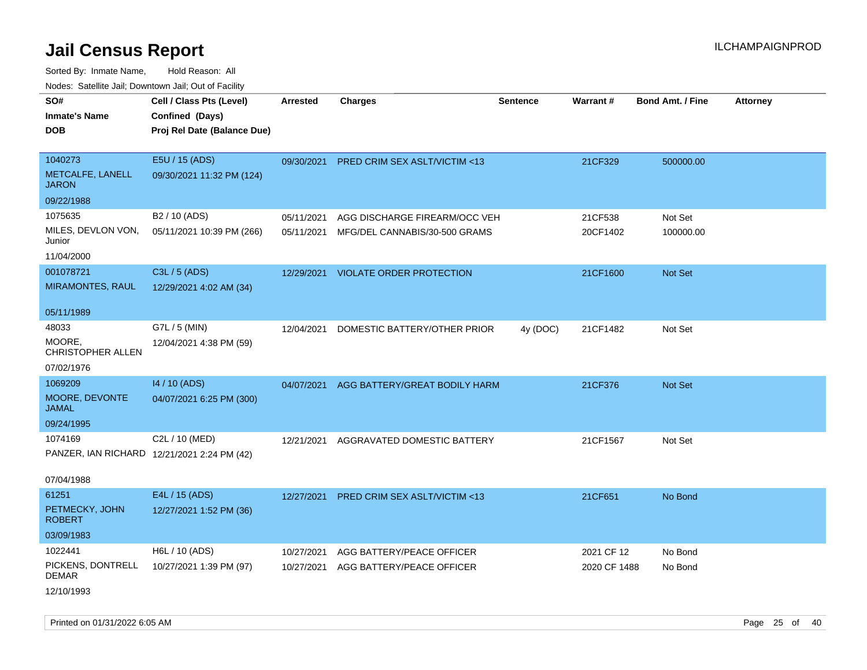| ivouss. Satellite Jali, Downtown Jali, Out of Facility |                                             |                 |                                         |                 |              |                         |                 |
|--------------------------------------------------------|---------------------------------------------|-----------------|-----------------------------------------|-----------------|--------------|-------------------------|-----------------|
| SO#                                                    | Cell / Class Pts (Level)                    | <b>Arrested</b> | <b>Charges</b>                          | <b>Sentence</b> | Warrant#     | <b>Bond Amt. / Fine</b> | <b>Attorney</b> |
| Inmate's Name                                          | Confined (Days)                             |                 |                                         |                 |              |                         |                 |
| <b>DOB</b>                                             | Proj Rel Date (Balance Due)                 |                 |                                         |                 |              |                         |                 |
|                                                        |                                             |                 |                                         |                 |              |                         |                 |
| 1040273                                                | E5U / 15 (ADS)                              | 09/30/2021      | PRED CRIM SEX ASLT/VICTIM <13           |                 | 21CF329      | 500000.00               |                 |
| METCALFE, LANELL<br>JARON                              | 09/30/2021 11:32 PM (124)                   |                 |                                         |                 |              |                         |                 |
| 09/22/1988                                             |                                             |                 |                                         |                 |              |                         |                 |
| 1075635                                                | B <sub>2</sub> / 10 (ADS)                   | 05/11/2021      | AGG DISCHARGE FIREARM/OCC VEH           |                 | 21CF538      | Not Set                 |                 |
| MILES, DEVLON VON,<br>Junior                           | 05/11/2021 10:39 PM (266)                   | 05/11/2021      | MFG/DEL CANNABIS/30-500 GRAMS           |                 | 20CF1402     | 100000.00               |                 |
| 11/04/2000                                             |                                             |                 |                                         |                 |              |                         |                 |
| 001078721                                              | C3L / 5 (ADS)                               | 12/29/2021      | <b>VIOLATE ORDER PROTECTION</b>         |                 | 21CF1600     | Not Set                 |                 |
| MIRAMONTES, RAUL                                       | 12/29/2021 4:02 AM (34)                     |                 |                                         |                 |              |                         |                 |
|                                                        |                                             |                 |                                         |                 |              |                         |                 |
| 05/11/1989                                             |                                             |                 |                                         |                 |              |                         |                 |
| 48033                                                  | G7L / 5 (MIN)                               | 12/04/2021      | DOMESTIC BATTERY/OTHER PRIOR            | 4y (DOC)        | 21CF1482     | Not Set                 |                 |
| MOORE.<br>CHRISTOPHER ALLEN                            | 12/04/2021 4:38 PM (59)                     |                 |                                         |                 |              |                         |                 |
| 07/02/1976                                             |                                             |                 |                                         |                 |              |                         |                 |
| 1069209                                                | 14 / 10 (ADS)                               | 04/07/2021      | AGG BATTERY/GREAT BODILY HARM           |                 | 21CF376      | <b>Not Set</b>          |                 |
| <b>MOORE, DEVONTE</b><br>JAMAL                         | 04/07/2021 6:25 PM (300)                    |                 |                                         |                 |              |                         |                 |
| 09/24/1995                                             |                                             |                 |                                         |                 |              |                         |                 |
| 1074169                                                | C2L / 10 (MED)                              | 12/21/2021      | AGGRAVATED DOMESTIC BATTERY             |                 | 21CF1567     | Not Set                 |                 |
|                                                        | PANZER, IAN RICHARD 12/21/2021 2:24 PM (42) |                 |                                         |                 |              |                         |                 |
|                                                        |                                             |                 |                                         |                 |              |                         |                 |
| 07/04/1988                                             |                                             |                 |                                         |                 |              |                         |                 |
| 61251                                                  | E4L / 15 (ADS)                              | 12/27/2021      | <b>PRED CRIM SEX ASLT/VICTIM &lt;13</b> |                 | 21CF651      | No Bond                 |                 |
| PETMECKY, JOHN<br><b>ROBERT</b>                        | 12/27/2021 1:52 PM (36)                     |                 |                                         |                 |              |                         |                 |
| 03/09/1983                                             |                                             |                 |                                         |                 |              |                         |                 |
| 1022441                                                | H6L / 10 (ADS)                              | 10/27/2021      | AGG BATTERY/PEACE OFFICER               |                 | 2021 CF 12   | No Bond                 |                 |
| PICKENS, DONTRELL<br>DEMAR                             | 10/27/2021 1:39 PM (97)                     | 10/27/2021      | AGG BATTERY/PEACE OFFICER               |                 | 2020 CF 1488 | No Bond                 |                 |
| 12/10/1993                                             |                                             |                 |                                         |                 |              |                         |                 |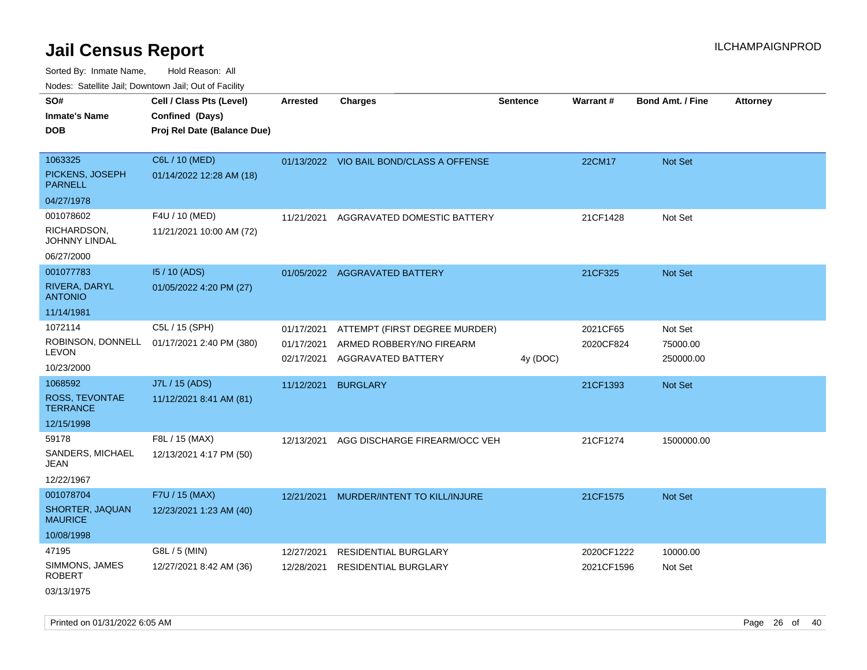Sorted By: Inmate Name, Hold Reason: All Nodes: Satellite Jail; Downtown Jail; Out of Facility

| rouco. Calcinic Jan, Downtown Jan, Out of Facility                |                                                                            |                                        |                                                                                 |                 |                          |                                  |                 |
|-------------------------------------------------------------------|----------------------------------------------------------------------------|----------------------------------------|---------------------------------------------------------------------------------|-----------------|--------------------------|----------------------------------|-----------------|
| SO#<br>Inmate's Name<br><b>DOB</b>                                | Cell / Class Pts (Level)<br>Confined (Days)<br>Proj Rel Date (Balance Due) | <b>Arrested</b>                        | <b>Charges</b>                                                                  | <b>Sentence</b> | Warrant#                 | <b>Bond Amt. / Fine</b>          | <b>Attorney</b> |
| 1063325<br>PICKENS, JOSEPH<br><b>PARNELL</b>                      | C6L / 10 (MED)<br>01/14/2022 12:28 AM (18)                                 |                                        | 01/13/2022 VIO BAIL BOND/CLASS A OFFENSE                                        |                 | 22CM17                   | Not Set                          |                 |
| 04/27/1978<br>001078602<br>RICHARDSON,<br>JOHNNY LINDAL           | F4U / 10 (MED)<br>11/21/2021 10:00 AM (72)                                 | 11/21/2021                             | AGGRAVATED DOMESTIC BATTERY                                                     |                 | 21CF1428                 | Not Set                          |                 |
| 06/27/2000<br>001077783<br>RIVERA, DARYL<br><b>ANTONIO</b>        | 15 / 10 (ADS)<br>01/05/2022 4:20 PM (27)                                   |                                        | 01/05/2022 AGGRAVATED BATTERY                                                   |                 | 21CF325                  | Not Set                          |                 |
| 11/14/1981<br>1072114<br>ROBINSON, DONNELL<br>LEVON<br>10/23/2000 | C5L / 15 (SPH)<br>01/17/2021 2:40 PM (380)                                 | 01/17/2021<br>01/17/2021<br>02/17/2021 | ATTEMPT (FIRST DEGREE MURDER)<br>ARMED ROBBERY/NO FIREARM<br>AGGRAVATED BATTERY | 4y (DOC)        | 2021CF65<br>2020CF824    | Not Set<br>75000.00<br>250000.00 |                 |
| 1068592<br>ROSS, TEVONTAE<br>TERRANCE<br>12/15/1998               | J7L / 15 (ADS)<br>11/12/2021 8:41 AM (81)                                  | 11/12/2021                             | <b>BURGLARY</b>                                                                 |                 | 21CF1393                 | <b>Not Set</b>                   |                 |
| 59178<br>SANDERS, MICHAEL<br>JEAN<br>12/22/1967                   | F8L / 15 (MAX)<br>12/13/2021 4:17 PM (50)                                  | 12/13/2021                             | AGG DISCHARGE FIREARM/OCC VEH                                                   |                 | 21CF1274                 | 1500000.00                       |                 |
| 001078704<br>SHORTER, JAQUAN<br>MAURICE<br>10/08/1998             | F7U / 15 (MAX)<br>12/23/2021 1:23 AM (40)                                  | 12/21/2021                             | MURDER/INTENT TO KILL/INJURE                                                    |                 | 21CF1575                 | Not Set                          |                 |
| 47195<br>SIMMONS, JAMES<br>ROBERT<br>03/13/1975                   | G8L / 5 (MIN)<br>12/27/2021 8:42 AM (36)                                   | 12/27/2021<br>12/28/2021               | <b>RESIDENTIAL BURGLARY</b><br><b>RESIDENTIAL BURGLARY</b>                      |                 | 2020CF1222<br>2021CF1596 | 10000.00<br>Not Set              |                 |

Printed on 01/31/2022 6:05 AM Page 26 of 40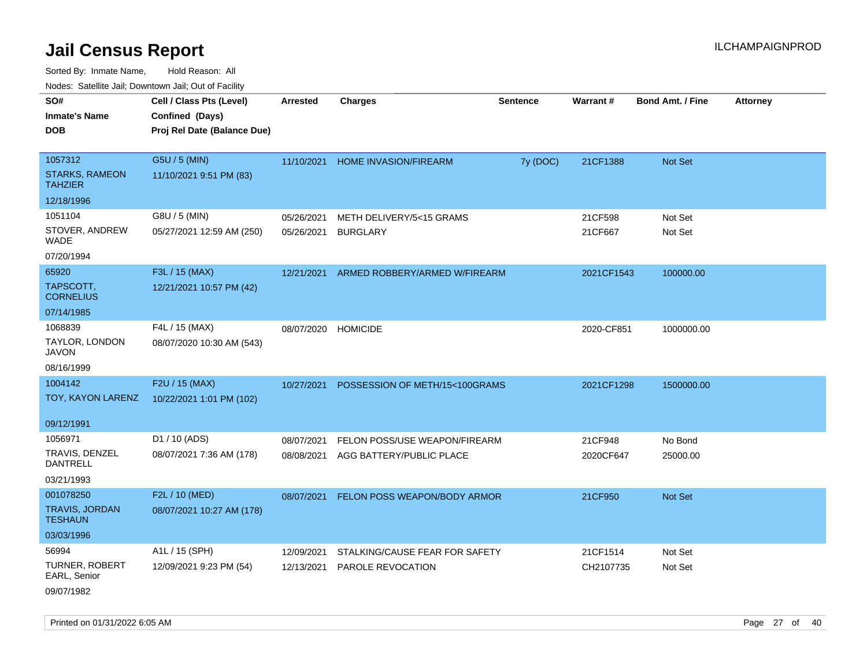Sorted By: Inmate Name, Hold Reason: All Nodes: Satellite Jail; Downtown Jail; Out of Facility

|                                         | Nodes: Satellite Jail; Downtown Jail; Out of Facility |                 |                                |                 |            |                         |                 |
|-----------------------------------------|-------------------------------------------------------|-----------------|--------------------------------|-----------------|------------|-------------------------|-----------------|
| SO#                                     | Cell / Class Pts (Level)                              | <b>Arrested</b> | <b>Charges</b>                 | <b>Sentence</b> | Warrant#   | <b>Bond Amt. / Fine</b> | <b>Attorney</b> |
| <b>Inmate's Name</b>                    | Confined (Days)                                       |                 |                                |                 |            |                         |                 |
| <b>DOB</b>                              | Proj Rel Date (Balance Due)                           |                 |                                |                 |            |                         |                 |
|                                         |                                                       |                 |                                |                 |            |                         |                 |
| 1057312                                 | G5U / 5 (MIN)                                         | 11/10/2021      | HOME INVASION/FIREARM          | 7y (DOC)        | 21CF1388   | Not Set                 |                 |
| <b>STARKS, RAMEON</b><br><b>TAHZIER</b> | 11/10/2021 9:51 PM (83)                               |                 |                                |                 |            |                         |                 |
| 12/18/1996                              |                                                       |                 |                                |                 |            |                         |                 |
| 1051104                                 | G8U / 5 (MIN)                                         | 05/26/2021      | METH DELIVERY/5<15 GRAMS       |                 | 21CF598    | Not Set                 |                 |
| STOVER, ANDREW<br><b>WADE</b>           | 05/27/2021 12:59 AM (250)                             | 05/26/2021      | <b>BURGLARY</b>                |                 | 21CF667    | Not Set                 |                 |
| 07/20/1994                              |                                                       |                 |                                |                 |            |                         |                 |
| 65920                                   | F3L / 15 (MAX)                                        | 12/21/2021      | ARMED ROBBERY/ARMED W/FIREARM  |                 | 2021CF1543 | 100000.00               |                 |
| TAPSCOTT,<br><b>CORNELIUS</b>           | 12/21/2021 10:57 PM (42)                              |                 |                                |                 |            |                         |                 |
| 07/14/1985                              |                                                       |                 |                                |                 |            |                         |                 |
| 1068839                                 | F4L / 15 (MAX)                                        | 08/07/2020      | <b>HOMICIDE</b>                |                 | 2020-CF851 | 1000000.00              |                 |
| TAYLOR, LONDON<br><b>JAVON</b>          | 08/07/2020 10:30 AM (543)                             |                 |                                |                 |            |                         |                 |
| 08/16/1999                              |                                                       |                 |                                |                 |            |                         |                 |
| 1004142                                 | F2U / 15 (MAX)                                        | 10/27/2021      | POSSESSION OF METH/15<100GRAMS |                 | 2021CF1298 | 1500000.00              |                 |
| TOY, KAYON LARENZ                       | 10/22/2021 1:01 PM (102)                              |                 |                                |                 |            |                         |                 |
|                                         |                                                       |                 |                                |                 |            |                         |                 |
| 09/12/1991                              |                                                       |                 |                                |                 |            |                         |                 |
| 1056971                                 | D1 / 10 (ADS)                                         | 08/07/2021      | FELON POSS/USE WEAPON/FIREARM  |                 | 21CF948    | No Bond                 |                 |
| TRAVIS, DENZEL<br><b>DANTRELL</b>       | 08/07/2021 7:36 AM (178)                              | 08/08/2021      | AGG BATTERY/PUBLIC PLACE       |                 | 2020CF647  | 25000.00                |                 |
| 03/21/1993                              |                                                       |                 |                                |                 |            |                         |                 |
| 001078250                               | F2L / 10 (MED)                                        | 08/07/2021      | FELON POSS WEAPON/BODY ARMOR   |                 | 21CF950    | Not Set                 |                 |
| <b>TRAVIS, JORDAN</b><br><b>TESHAUN</b> | 08/07/2021 10:27 AM (178)                             |                 |                                |                 |            |                         |                 |
| 03/03/1996                              |                                                       |                 |                                |                 |            |                         |                 |
| 56994                                   | A1L / 15 (SPH)                                        | 12/09/2021      | STALKING/CAUSE FEAR FOR SAFETY |                 | 21CF1514   | Not Set                 |                 |
| TURNER, ROBERT<br>EARL, Senior          | 12/09/2021 9:23 PM (54)                               | 12/13/2021      | PAROLE REVOCATION              |                 | CH2107735  | Not Set                 |                 |
| 09/07/1982                              |                                                       |                 |                                |                 |            |                         |                 |

Printed on 01/31/2022 6:05 AM Page 27 of 40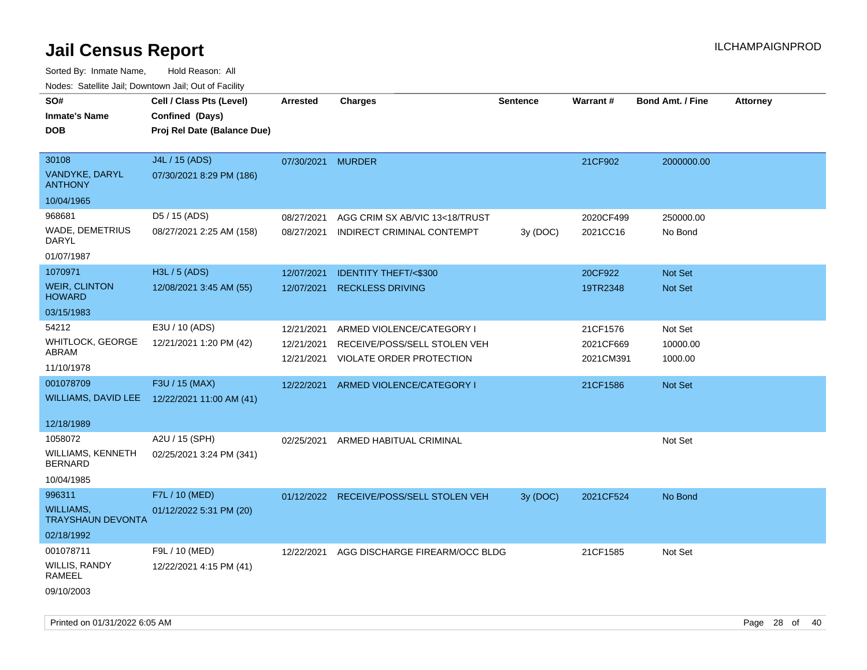| roaco. Catolino cali, Domntonn cali, Out of Facility |                             |                 |                                         |                 |           |                         |                 |
|------------------------------------------------------|-----------------------------|-----------------|-----------------------------------------|-----------------|-----------|-------------------------|-----------------|
| SO#                                                  | Cell / Class Pts (Level)    | <b>Arrested</b> | <b>Charges</b>                          | <b>Sentence</b> | Warrant#  | <b>Bond Amt. / Fine</b> | <b>Attorney</b> |
| <b>Inmate's Name</b>                                 | Confined (Days)             |                 |                                         |                 |           |                         |                 |
| <b>DOB</b>                                           | Proj Rel Date (Balance Due) |                 |                                         |                 |           |                         |                 |
|                                                      |                             |                 |                                         |                 |           |                         |                 |
| 30108                                                | J4L / 15 (ADS)              | 07/30/2021      | <b>MURDER</b>                           |                 | 21CF902   | 2000000.00              |                 |
| <b>VANDYKE, DARYL</b><br><b>ANTHONY</b>              | 07/30/2021 8:29 PM (186)    |                 |                                         |                 |           |                         |                 |
| 10/04/1965                                           |                             |                 |                                         |                 |           |                         |                 |
| 968681                                               | D5 / 15 (ADS)               | 08/27/2021      | AGG CRIM SX AB/VIC 13<18/TRUST          |                 | 2020CF499 | 250000.00               |                 |
| WADE, DEMETRIUS<br>DARYL                             | 08/27/2021 2:25 AM (158)    | 08/27/2021      | INDIRECT CRIMINAL CONTEMPT              | 3y (DOC)        | 2021CC16  | No Bond                 |                 |
| 01/07/1987                                           |                             |                 |                                         |                 |           |                         |                 |
| 1070971                                              | H3L / 5 (ADS)               | 12/07/2021      | <b>IDENTITY THEFT/&lt;\$300</b>         |                 | 20CF922   | Not Set                 |                 |
| <b>WEIR, CLINTON</b><br><b>HOWARD</b>                | 12/08/2021 3:45 AM (55)     | 12/07/2021      | <b>RECKLESS DRIVING</b>                 |                 | 19TR2348  | Not Set                 |                 |
| 03/15/1983                                           |                             |                 |                                         |                 |           |                         |                 |
| 54212                                                | E3U / 10 (ADS)              | 12/21/2021      | ARMED VIOLENCE/CATEGORY I               |                 | 21CF1576  | Not Set                 |                 |
| WHITLOCK, GEORGE                                     | 12/21/2021 1:20 PM (42)     | 12/21/2021      | RECEIVE/POSS/SELL STOLEN VEH            |                 | 2021CF669 | 10000.00                |                 |
| ABRAM                                                |                             | 12/21/2021      | VIOLATE ORDER PROTECTION                |                 | 2021CM391 | 1000.00                 |                 |
| 11/10/1978                                           |                             |                 |                                         |                 |           |                         |                 |
| 001078709                                            | F3U / 15 (MAX)              | 12/22/2021      | ARMED VIOLENCE/CATEGORY I               |                 | 21CF1586  | Not Set                 |                 |
| WILLIAMS, DAVID LEE                                  | 12/22/2021 11:00 AM (41)    |                 |                                         |                 |           |                         |                 |
| 12/18/1989                                           |                             |                 |                                         |                 |           |                         |                 |
| 1058072                                              | A2U / 15 (SPH)              |                 |                                         |                 |           |                         |                 |
| WILLIAMS, KENNETH                                    |                             | 02/25/2021      | ARMED HABITUAL CRIMINAL                 |                 |           | Not Set                 |                 |
| <b>BERNARD</b>                                       | 02/25/2021 3:24 PM (341)    |                 |                                         |                 |           |                         |                 |
| 10/04/1985                                           |                             |                 |                                         |                 |           |                         |                 |
| 996311                                               | F7L / 10 (MED)              |                 | 01/12/2022 RECEIVE/POSS/SELL STOLEN VEH | 3y (DOC)        | 2021CF524 | No Bond                 |                 |
| <b>WILLIAMS,</b><br><b>TRAYSHAUN DEVONTA</b>         | 01/12/2022 5:31 PM (20)     |                 |                                         |                 |           |                         |                 |
| 02/18/1992                                           |                             |                 |                                         |                 |           |                         |                 |
| 001078711                                            | F9L / 10 (MED)              | 12/22/2021      | AGG DISCHARGE FIREARM/OCC BLDG          |                 | 21CF1585  | Not Set                 |                 |
| WILLIS, RANDY<br>RAMEEL                              | 12/22/2021 4:15 PM (41)     |                 |                                         |                 |           |                         |                 |
| 09/10/2003                                           |                             |                 |                                         |                 |           |                         |                 |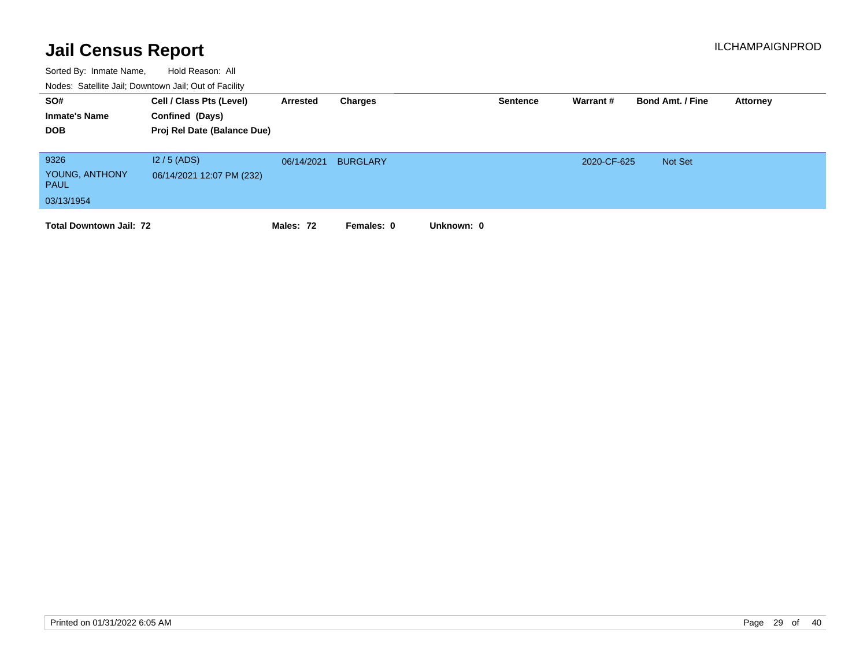| SO#<br><b>Inmate's Name</b><br><b>DOB</b>           | Cell / Class Pts (Level)<br>Confined (Days)<br>Proj Rel Date (Balance Due) | Arrested   | Charges         |            | <b>Sentence</b> | Warrant #   | <b>Bond Amt. / Fine</b> | Attorney |
|-----------------------------------------------------|----------------------------------------------------------------------------|------------|-----------------|------------|-----------------|-------------|-------------------------|----------|
| 9326<br>YOUNG, ANTHONY<br><b>PAUL</b><br>03/13/1954 | $12/5$ (ADS)<br>06/14/2021 12:07 PM (232)                                  | 06/14/2021 | <b>BURGLARY</b> |            |                 | 2020-CF-625 | <b>Not Set</b>          |          |
| <b>Total Downtown Jail: 72</b>                      |                                                                            | Males: 72  | Females: 0      | Unknown: 0 |                 |             |                         |          |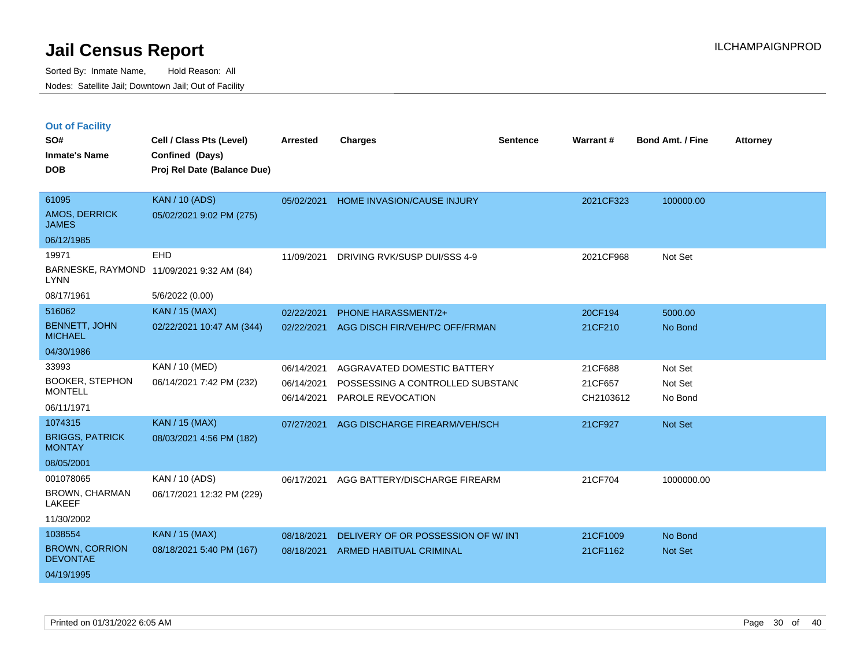| <b>Out of Facility</b> |  |  |
|------------------------|--|--|
|------------------------|--|--|

| SO#<br><b>Inmate's Name</b><br><b>DOB</b>                                                                             | Cell / Class Pts (Level)<br>Confined (Days)<br>Proj Rel Date (Balance Due)                      | <b>Arrested</b>                                      | <b>Charges</b>                                                                                                        | <b>Sentence</b> | Warrant#                                   | <b>Bond Amt. / Fine</b>                  | <b>Attorney</b> |
|-----------------------------------------------------------------------------------------------------------------------|-------------------------------------------------------------------------------------------------|------------------------------------------------------|-----------------------------------------------------------------------------------------------------------------------|-----------------|--------------------------------------------|------------------------------------------|-----------------|
| 61095<br><b>AMOS, DERRICK</b><br><b>JAMES</b><br>06/12/1985                                                           | <b>KAN / 10 (ADS)</b><br>05/02/2021 9:02 PM (275)                                               | 05/02/2021                                           | HOME INVASION/CAUSE INJURY                                                                                            |                 | 2021CF323                                  | 100000.00                                |                 |
| 19971<br><b>LYNN</b><br>08/17/1961                                                                                    | <b>EHD</b><br>BARNESKE, RAYMOND 11/09/2021 9:32 AM (84)<br>5/6/2022 (0.00)                      | 11/09/2021                                           | DRIVING RVK/SUSP DUI/SSS 4-9                                                                                          |                 | 2021CF968                                  | Not Set                                  |                 |
| 516062<br><b>BENNETT, JOHN</b><br><b>MICHAEL</b><br>04/30/1986                                                        | <b>KAN / 15 (MAX)</b><br>02/22/2021 10:47 AM (344)                                              | 02/22/2021<br>02/22/2021                             | PHONE HARASSMENT/2+<br>AGG DISCH FIR/VEH/PC OFF/FRMAN                                                                 |                 | 20CF194<br>21CF210                         | 5000.00<br>No Bond                       |                 |
| 33993<br><b>BOOKER, STEPHON</b><br><b>MONTELL</b><br>06/11/1971<br>1074315<br><b>BRIGGS, PATRICK</b><br><b>MONTAY</b> | KAN / 10 (MED)<br>06/14/2021 7:42 PM (232)<br><b>KAN / 15 (MAX)</b><br>08/03/2021 4:56 PM (182) | 06/14/2021<br>06/14/2021<br>06/14/2021<br>07/27/2021 | AGGRAVATED DOMESTIC BATTERY<br>POSSESSING A CONTROLLED SUBSTAND<br>PAROLE REVOCATION<br>AGG DISCHARGE FIREARM/VEH/SCH |                 | 21CF688<br>21CF657<br>CH2103612<br>21CF927 | Not Set<br>Not Set<br>No Bond<br>Not Set |                 |
| 08/05/2001<br>001078065<br><b>BROWN, CHARMAN</b><br>LAKEEF<br>11/30/2002                                              | KAN / 10 (ADS)<br>06/17/2021 12:32 PM (229)                                                     | 06/17/2021                                           | AGG BATTERY/DISCHARGE FIREARM                                                                                         |                 | 21CF704                                    | 1000000.00                               |                 |
| 1038554<br><b>BROWN, CORRION</b><br><b>DEVONTAE</b><br>04/19/1995                                                     | <b>KAN / 15 (MAX)</b><br>08/18/2021 5:40 PM (167)                                               | 08/18/2021<br>08/18/2021                             | DELIVERY OF OR POSSESSION OF W/INT<br>ARMED HABITUAL CRIMINAL                                                         |                 | 21CF1009<br>21CF1162                       | No Bond<br>Not Set                       |                 |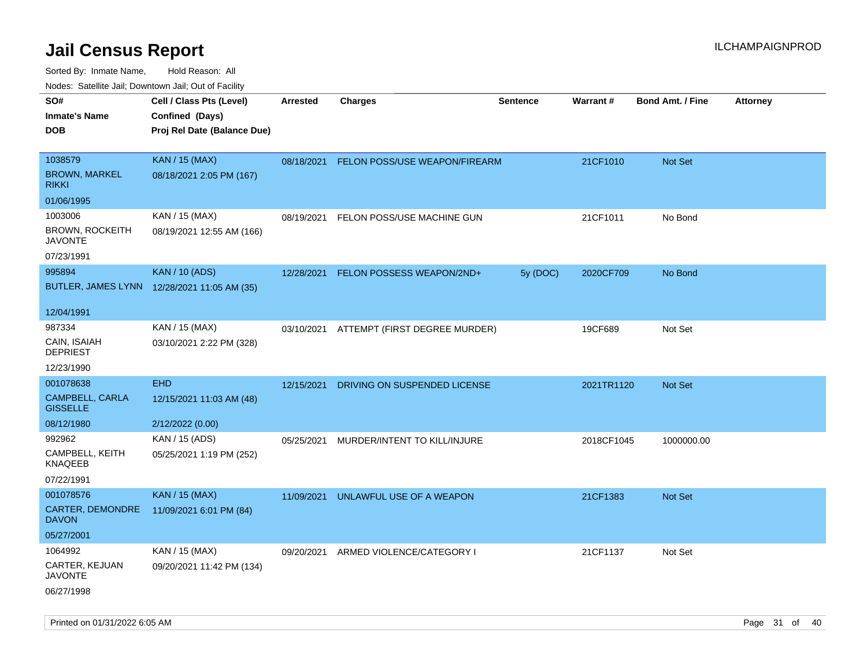| ivouss. Satellite Jali, Downtown Jali, Out of Facility |                                             |            |                                          |                 |            |                         |                 |
|--------------------------------------------------------|---------------------------------------------|------------|------------------------------------------|-----------------|------------|-------------------------|-----------------|
| SO#                                                    | Cell / Class Pts (Level)<br>Confined (Days) | Arrested   | <b>Charges</b>                           | <b>Sentence</b> | Warrant#   | <b>Bond Amt. / Fine</b> | <b>Attorney</b> |
| Inmate's Name                                          |                                             |            |                                          |                 |            |                         |                 |
| DOB                                                    | Proj Rel Date (Balance Due)                 |            |                                          |                 |            |                         |                 |
| 1038579                                                | <b>KAN / 15 (MAX)</b>                       | 08/18/2021 | FELON POSS/USE WEAPON/FIREARM            |                 | 21CF1010   | Not Set                 |                 |
| <b>BROWN, MARKEL</b><br>rikki                          | 08/18/2021 2:05 PM (167)                    |            |                                          |                 |            |                         |                 |
| 01/06/1995                                             |                                             |            |                                          |                 |            |                         |                 |
| 1003006                                                | KAN / 15 (MAX)                              | 08/19/2021 | FELON POSS/USE MACHINE GUN               |                 | 21CF1011   | No Bond                 |                 |
| <b>BROWN, ROCKEITH</b><br>JAVONTE                      | 08/19/2021 12:55 AM (166)                   |            |                                          |                 |            |                         |                 |
| 07/23/1991                                             |                                             |            |                                          |                 |            |                         |                 |
| 995894                                                 | <b>KAN / 10 (ADS)</b>                       | 12/28/2021 | FELON POSSESS WEAPON/2ND+                | 5y (DOC)        | 2020CF709  | No Bond                 |                 |
|                                                        | BUTLER, JAMES LYNN 12/28/2021 11:05 AM (35) |            |                                          |                 |            |                         |                 |
| 12/04/1991                                             |                                             |            |                                          |                 |            |                         |                 |
| 987334                                                 | KAN / 15 (MAX)                              |            | 03/10/2021 ATTEMPT (FIRST DEGREE MURDER) |                 | 19CF689    | Not Set                 |                 |
| CAIN, ISAIAH<br><b>DEPRIEST</b>                        | 03/10/2021 2:22 PM (328)                    |            |                                          |                 |            |                         |                 |
| 12/23/1990                                             |                                             |            |                                          |                 |            |                         |                 |
| 001078638                                              | <b>EHD</b>                                  | 12/15/2021 | DRIVING ON SUSPENDED LICENSE             |                 | 2021TR1120 | Not Set                 |                 |
| CAMPBELL, CARLA<br><b>GISSELLE</b>                     | 12/15/2021 11:03 AM (48)                    |            |                                          |                 |            |                         |                 |
| 08/12/1980                                             | 2/12/2022 (0.00)                            |            |                                          |                 |            |                         |                 |
| 992962                                                 | KAN / 15 (ADS)                              | 05/25/2021 | MURDER/INTENT TO KILL/INJURE             |                 | 2018CF1045 | 1000000.00              |                 |
| CAMPBELL, KEITH<br>KNAQEEB                             | 05/25/2021 1:19 PM (252)                    |            |                                          |                 |            |                         |                 |
| 07/22/1991                                             |                                             |            |                                          |                 |            |                         |                 |
| 001078576                                              | <b>KAN / 15 (MAX)</b>                       | 11/09/2021 | UNLAWFUL USE OF A WEAPON                 |                 | 21CF1383   | Not Set                 |                 |
| CARTER, DEMONDRE<br><b>DAVON</b>                       | 11/09/2021 6:01 PM (84)                     |            |                                          |                 |            |                         |                 |
| 05/27/2001                                             |                                             |            |                                          |                 |            |                         |                 |
| 1064992                                                | KAN / 15 (MAX)                              | 09/20/2021 | ARMED VIOLENCE/CATEGORY I                |                 | 21CF1137   | Not Set                 |                 |
| CARTER, KEJUAN<br>JAVONTE                              | 09/20/2021 11:42 PM (134)                   |            |                                          |                 |            |                         |                 |
| 06/27/1998                                             |                                             |            |                                          |                 |            |                         |                 |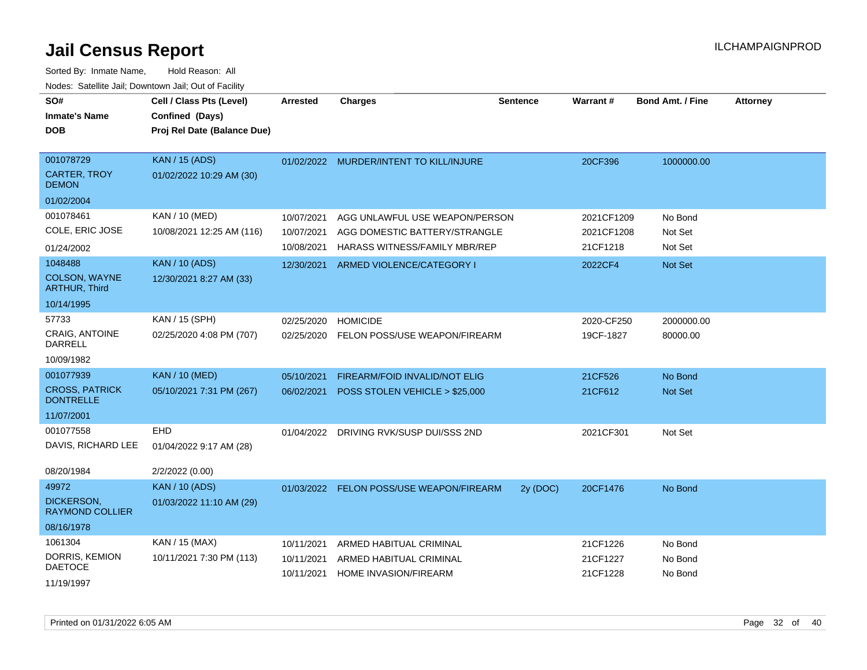| SO#<br><b>Inmate's Name</b><br><b>DOB</b> | Cell / Class Pts (Level)<br>Confined (Days)<br>Proj Rel Date (Balance Due) | <b>Arrested</b> | <b>Charges</b>                           | <b>Sentence</b> | <b>Warrant#</b> | <b>Bond Amt. / Fine</b> | <b>Attorney</b> |
|-------------------------------------------|----------------------------------------------------------------------------|-----------------|------------------------------------------|-----------------|-----------------|-------------------------|-----------------|
| 001078729                                 | <b>KAN / 15 (ADS)</b>                                                      |                 | 01/02/2022 MURDER/INTENT TO KILL/INJURE  |                 | 20CF396         | 1000000.00              |                 |
| <b>CARTER, TROY</b><br><b>DEMON</b>       | 01/02/2022 10:29 AM (30)                                                   |                 |                                          |                 |                 |                         |                 |
| 01/02/2004                                |                                                                            |                 |                                          |                 |                 |                         |                 |
| 001078461                                 | KAN / 10 (MED)                                                             | 10/07/2021      | AGG UNLAWFUL USE WEAPON/PERSON           |                 | 2021CF1209      | No Bond                 |                 |
| COLE, ERIC JOSE                           | 10/08/2021 12:25 AM (116)                                                  | 10/07/2021      | AGG DOMESTIC BATTERY/STRANGLE            |                 | 2021CF1208      | Not Set                 |                 |
| 01/24/2002                                |                                                                            | 10/08/2021      | HARASS WITNESS/FAMILY MBR/REP            |                 | 21CF1218        | Not Set                 |                 |
| 1048488                                   | <b>KAN / 10 (ADS)</b>                                                      | 12/30/2021      | ARMED VIOLENCE/CATEGORY I                |                 | 2022CF4         | Not Set                 |                 |
| <b>COLSON, WAYNE</b><br>ARTHUR, Third     | 12/30/2021 8:27 AM (33)                                                    |                 |                                          |                 |                 |                         |                 |
| 10/14/1995                                |                                                                            |                 |                                          |                 |                 |                         |                 |
| 57733                                     | KAN / 15 (SPH)                                                             | 02/25/2020      | <b>HOMICIDE</b>                          |                 | 2020-CF250      | 2000000.00              |                 |
| CRAIG, ANTOINE<br><b>DARRELL</b>          | 02/25/2020 4:08 PM (707)                                                   |                 | 02/25/2020 FELON POSS/USE WEAPON/FIREARM |                 | 19CF-1827       | 80000.00                |                 |
| 10/09/1982                                |                                                                            |                 |                                          |                 |                 |                         |                 |
| 001077939                                 | <b>KAN / 10 (MED)</b>                                                      | 05/10/2021      | FIREARM/FOID INVALID/NOT ELIG            |                 | 21CF526         | No Bond                 |                 |
| <b>CROSS, PATRICK</b><br><b>DONTRELLE</b> | 05/10/2021 7:31 PM (267)                                                   | 06/02/2021      | POSS STOLEN VEHICLE > \$25,000           |                 | 21CF612         | Not Set                 |                 |
| 11/07/2001                                |                                                                            |                 |                                          |                 |                 |                         |                 |
| 001077558                                 | <b>EHD</b>                                                                 |                 | 01/04/2022 DRIVING RVK/SUSP DUI/SSS 2ND  |                 | 2021CF301       | Not Set                 |                 |
| DAVIS, RICHARD LEE                        | 01/04/2022 9:17 AM (28)                                                    |                 |                                          |                 |                 |                         |                 |
| 08/20/1984                                | 2/2/2022 (0.00)                                                            |                 |                                          |                 |                 |                         |                 |
| 49972                                     | <b>KAN / 10 (ADS)</b>                                                      |                 | 01/03/2022 FELON POSS/USE WEAPON/FIREARM | 2y (DOC)        | 20CF1476        | No Bond                 |                 |
| DICKERSON,<br><b>RAYMOND COLLIER</b>      | 01/03/2022 11:10 AM (29)                                                   |                 |                                          |                 |                 |                         |                 |
| 08/16/1978                                |                                                                            |                 |                                          |                 |                 |                         |                 |
| 1061304                                   | KAN / 15 (MAX)                                                             | 10/11/2021      | ARMED HABITUAL CRIMINAL                  |                 | 21CF1226        | No Bond                 |                 |
| DORRIS, KEMION<br><b>DAETOCE</b>          | 10/11/2021 7:30 PM (113)                                                   | 10/11/2021      | ARMED HABITUAL CRIMINAL                  |                 | 21CF1227        | No Bond                 |                 |
| 11/19/1997                                |                                                                            | 10/11/2021      | <b>HOME INVASION/FIREARM</b>             |                 | 21CF1228        | No Bond                 |                 |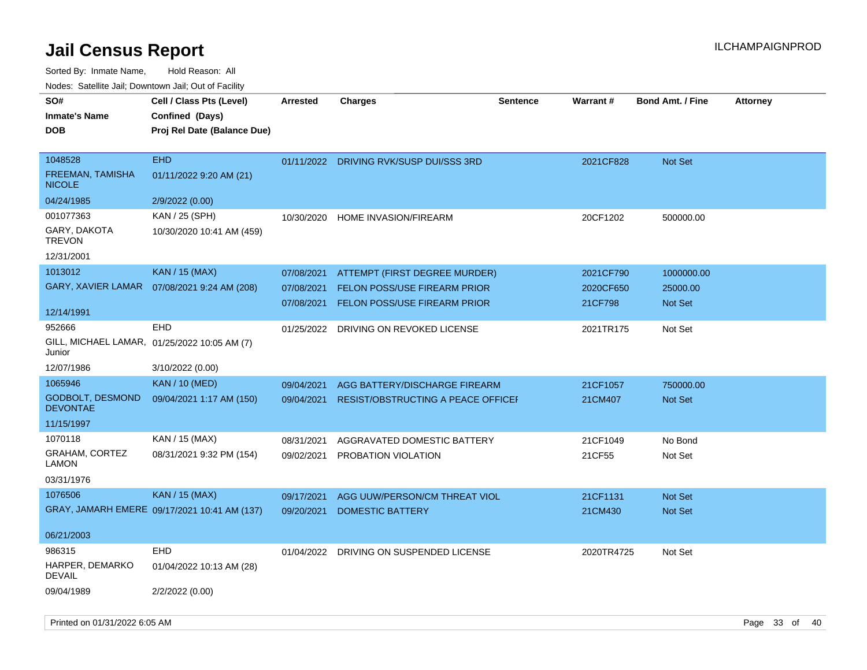| SO#<br><b>Inmate's Name</b><br><b>DOB</b>    | Cell / Class Pts (Level)<br>Confined (Days)<br>Proj Rel Date (Balance Due) | Arrested   | <b>Charges</b>                            | <b>Sentence</b> | <b>Warrant#</b> | <b>Bond Amt. / Fine</b> | <b>Attorney</b> |
|----------------------------------------------|----------------------------------------------------------------------------|------------|-------------------------------------------|-----------------|-----------------|-------------------------|-----------------|
| 1048528<br>FREEMAN, TAMISHA<br><b>NICOLE</b> | <b>EHD</b><br>01/11/2022 9:20 AM (21)                                      |            | 01/11/2022 DRIVING RVK/SUSP DUI/SSS 3RD   |                 | 2021CF828       | Not Set                 |                 |
| 04/24/1985                                   | 2/9/2022 (0.00)                                                            |            |                                           |                 |                 |                         |                 |
| 001077363                                    | KAN / 25 (SPH)                                                             | 10/30/2020 | HOME INVASION/FIREARM                     |                 | 20CF1202        | 500000.00               |                 |
| GARY, DAKOTA<br><b>TREVON</b>                | 10/30/2020 10:41 AM (459)                                                  |            |                                           |                 |                 |                         |                 |
| 12/31/2001                                   |                                                                            |            |                                           |                 |                 |                         |                 |
| 1013012                                      | <b>KAN / 15 (MAX)</b>                                                      | 07/08/2021 | ATTEMPT (FIRST DEGREE MURDER)             |                 | 2021CF790       | 1000000.00              |                 |
| <b>GARY, XAVIER LAMAR</b>                    | 07/08/2021 9:24 AM (208)                                                   | 07/08/2021 | <b>FELON POSS/USE FIREARM PRIOR</b>       |                 | 2020CF650       | 25000.00                |                 |
| 12/14/1991                                   |                                                                            | 07/08/2021 | <b>FELON POSS/USE FIREARM PRIOR</b>       |                 | 21CF798         | <b>Not Set</b>          |                 |
| 952666<br>Junior                             | <b>EHD</b><br>GILL, MICHAEL LAMAR, 01/25/2022 10:05 AM (7)                 | 01/25/2022 | DRIVING ON REVOKED LICENSE                |                 | 2021TR175       | Not Set                 |                 |
| 12/07/1986                                   | 3/10/2022 (0.00)                                                           |            |                                           |                 |                 |                         |                 |
| 1065946                                      | <b>KAN / 10 (MED)</b>                                                      | 09/04/2021 | AGG BATTERY/DISCHARGE FIREARM             |                 | 21CF1057        | 750000.00               |                 |
| <b>GODBOLT, DESMOND</b><br><b>DEVONTAE</b>   | 09/04/2021 1:17 AM (150)                                                   | 09/04/2021 | <b>RESIST/OBSTRUCTING A PEACE OFFICEF</b> |                 | 21CM407         | <b>Not Set</b>          |                 |
| 11/15/1997                                   |                                                                            |            |                                           |                 |                 |                         |                 |
| 1070118                                      | KAN / 15 (MAX)                                                             | 08/31/2021 | AGGRAVATED DOMESTIC BATTERY               |                 | 21CF1049        | No Bond                 |                 |
| GRAHAM, CORTEZ<br><b>LAMON</b>               | 08/31/2021 9:32 PM (154)                                                   | 09/02/2021 | PROBATION VIOLATION                       |                 | 21CF55          | Not Set                 |                 |
| 03/31/1976                                   |                                                                            |            |                                           |                 |                 |                         |                 |
| 1076506                                      | <b>KAN / 15 (MAX)</b>                                                      | 09/17/2021 | AGG UUW/PERSON/CM THREAT VIOL             |                 | 21CF1131        | Not Set                 |                 |
|                                              | GRAY, JAMARH EMERE 09/17/2021 10:41 AM (137)                               | 09/20/2021 | <b>DOMESTIC BATTERY</b>                   |                 | 21CM430         | <b>Not Set</b>          |                 |
| 06/21/2003                                   |                                                                            |            |                                           |                 |                 |                         |                 |
| 986315<br>HARPER, DEMARKO<br><b>DEVAIL</b>   | <b>EHD</b><br>01/04/2022 10:13 AM (28)                                     | 01/04/2022 | DRIVING ON SUSPENDED LICENSE              |                 | 2020TR4725      | Not Set                 |                 |
| 09/04/1989                                   | 2/2/2022 (0.00)                                                            |            |                                           |                 |                 |                         |                 |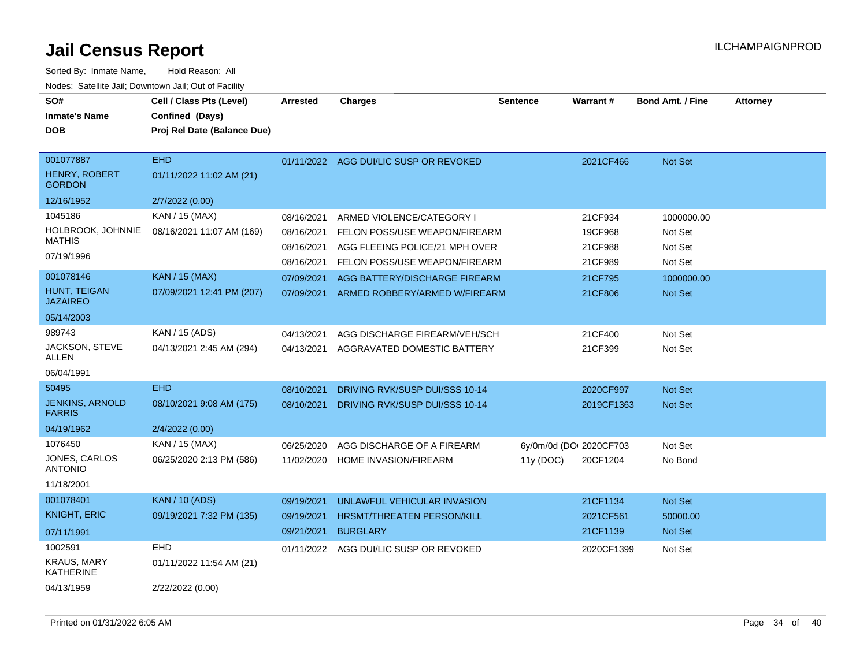| SO#<br><b>Inmate's Name</b><br><b>DOB</b>          | Cell / Class Pts (Level)<br>Confined (Days)<br>Proj Rel Date (Balance Due) | <b>Arrested</b>          | <b>Charges</b>                                                  | <b>Sentence</b>         | <b>Warrant#</b>    | <b>Bond Amt. / Fine</b> | <b>Attorney</b> |
|----------------------------------------------------|----------------------------------------------------------------------------|--------------------------|-----------------------------------------------------------------|-------------------------|--------------------|-------------------------|-----------------|
| 001077887<br><b>HENRY, ROBERT</b><br><b>GORDON</b> | <b>EHD</b><br>01/11/2022 11:02 AM (21)                                     | 01/11/2022               | AGG DUI/LIC SUSP OR REVOKED                                     |                         | 2021CF466          | <b>Not Set</b>          |                 |
| 12/16/1952                                         | 2/7/2022 (0.00)                                                            |                          |                                                                 |                         |                    |                         |                 |
| 1045186                                            | KAN / 15 (MAX)                                                             | 08/16/2021               | ARMED VIOLENCE/CATEGORY I                                       |                         | 21CF934            | 1000000.00              |                 |
| HOLBROOK, JOHNNIE<br><b>MATHIS</b>                 | 08/16/2021 11:07 AM (169)                                                  | 08/16/2021               | FELON POSS/USE WEAPON/FIREARM                                   |                         | 19CF968            | Not Set                 |                 |
| 07/19/1996                                         |                                                                            | 08/16/2021<br>08/16/2021 | AGG FLEEING POLICE/21 MPH OVER<br>FELON POSS/USE WEAPON/FIREARM |                         | 21CF988<br>21CF989 | Not Set<br>Not Set      |                 |
| 001078146                                          | <b>KAN / 15 (MAX)</b>                                                      | 07/09/2021               | AGG BATTERY/DISCHARGE FIREARM                                   |                         | 21CF795            | 1000000.00              |                 |
| HUNT, TEIGAN<br><b>JAZAIREO</b>                    | 07/09/2021 12:41 PM (207)                                                  | 07/09/2021               | ARMED ROBBERY/ARMED W/FIREARM                                   |                         | 21CF806            | <b>Not Set</b>          |                 |
| 05/14/2003                                         |                                                                            |                          |                                                                 |                         |                    |                         |                 |
| 989743                                             | KAN / 15 (ADS)                                                             | 04/13/2021               | AGG DISCHARGE FIREARM/VEH/SCH                                   |                         | 21CF400            | Not Set                 |                 |
| JACKSON, STEVE<br><b>ALLEN</b>                     | 04/13/2021 2:45 AM (294)                                                   | 04/13/2021               | AGGRAVATED DOMESTIC BATTERY                                     |                         | 21CF399            | Not Set                 |                 |
| 06/04/1991                                         |                                                                            |                          |                                                                 |                         |                    |                         |                 |
| 50495                                              | <b>EHD</b>                                                                 | 08/10/2021               | DRIVING RVK/SUSP DUI/SSS 10-14                                  |                         | 2020CF997          | <b>Not Set</b>          |                 |
| <b>JENKINS, ARNOLD</b><br><b>FARRIS</b>            | 08/10/2021 9:08 AM (175)                                                   | 08/10/2021               | DRIVING RVK/SUSP DUI/SSS 10-14                                  |                         | 2019CF1363         | <b>Not Set</b>          |                 |
| 04/19/1962                                         | 2/4/2022 (0.00)                                                            |                          |                                                                 |                         |                    |                         |                 |
| 1076450                                            | KAN / 15 (MAX)                                                             | 06/25/2020               | AGG DISCHARGE OF A FIREARM                                      | 6y/0m/0d (DOI 2020CF703 |                    | Not Set                 |                 |
| JONES, CARLOS<br><b>ANTONIO</b>                    | 06/25/2020 2:13 PM (586)                                                   | 11/02/2020               | HOME INVASION/FIREARM                                           | 11y(DOC)                | 20CF1204           | No Bond                 |                 |
| 11/18/2001                                         |                                                                            |                          |                                                                 |                         |                    |                         |                 |
| 001078401                                          | <b>KAN / 10 (ADS)</b>                                                      | 09/19/2021               | UNLAWFUL VEHICULAR INVASION                                     |                         | 21CF1134           | Not Set                 |                 |
| <b>KNIGHT, ERIC</b>                                | 09/19/2021 7:32 PM (135)                                                   | 09/19/2021               | HRSMT/THREATEN PERSON/KILL                                      |                         | 2021CF561          | 50000.00                |                 |
| 07/11/1991                                         |                                                                            | 09/21/2021               | <b>BURGLARY</b>                                                 |                         | 21CF1139           | <b>Not Set</b>          |                 |
| 1002591                                            | <b>EHD</b>                                                                 | 01/11/2022               | AGG DUI/LIC SUSP OR REVOKED                                     |                         | 2020CF1399         | Not Set                 |                 |
| <b>KRAUS, MARY</b><br>KATHERINE                    | 01/11/2022 11:54 AM (21)                                                   |                          |                                                                 |                         |                    |                         |                 |
| 04/13/1959                                         | 2/22/2022 (0.00)                                                           |                          |                                                                 |                         |                    |                         |                 |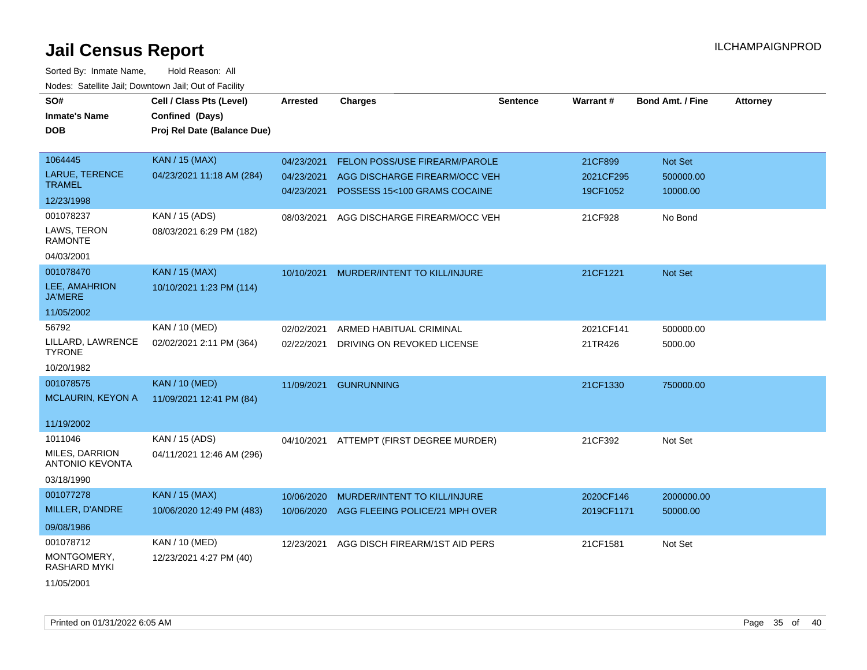| SO#                                      | Cell / Class Pts (Level)    | <b>Arrested</b> | <b>Charges</b>                 | Sentence | Warrant#   | <b>Bond Amt. / Fine</b> | <b>Attorney</b> |
|------------------------------------------|-----------------------------|-----------------|--------------------------------|----------|------------|-------------------------|-----------------|
| <b>Inmate's Name</b>                     | Confined (Days)             |                 |                                |          |            |                         |                 |
| <b>DOB</b>                               | Proj Rel Date (Balance Due) |                 |                                |          |            |                         |                 |
|                                          |                             |                 |                                |          |            |                         |                 |
| 1064445                                  | <b>KAN / 15 (MAX)</b>       | 04/23/2021      | FELON POSS/USE FIREARM/PAROLE  |          | 21CF899    | Not Set                 |                 |
| <b>LARUE, TERENCE</b>                    | 04/23/2021 11:18 AM (284)   | 04/23/2021      | AGG DISCHARGE FIREARM/OCC VEH  |          | 2021CF295  | 500000.00               |                 |
| <b>TRAMEL</b>                            |                             | 04/23/2021      | POSSESS 15<100 GRAMS COCAINE   |          | 19CF1052   | 10000.00                |                 |
| 12/23/1998                               |                             |                 |                                |          |            |                         |                 |
| 001078237                                | KAN / 15 (ADS)              | 08/03/2021      | AGG DISCHARGE FIREARM/OCC VEH  |          | 21CF928    | No Bond                 |                 |
| LAWS, TERON<br><b>RAMONTE</b>            | 08/03/2021 6:29 PM (182)    |                 |                                |          |            |                         |                 |
| 04/03/2001                               |                             |                 |                                |          |            |                         |                 |
| 001078470                                | <b>KAN / 15 (MAX)</b>       | 10/10/2021      | MURDER/INTENT TO KILL/INJURE   |          | 21CF1221   | <b>Not Set</b>          |                 |
| LEE, AMAHRION<br><b>JA'MERE</b>          | 10/10/2021 1:23 PM (114)    |                 |                                |          |            |                         |                 |
| 11/05/2002                               |                             |                 |                                |          |            |                         |                 |
| 56792                                    | KAN / 10 (MED)              | 02/02/2021      | ARMED HABITUAL CRIMINAL        |          | 2021CF141  | 500000.00               |                 |
| LILLARD, LAWRENCE<br><b>TYRONE</b>       | 02/02/2021 2:11 PM (364)    | 02/22/2021      | DRIVING ON REVOKED LICENSE     |          | 21TR426    | 5000.00                 |                 |
| 10/20/1982                               |                             |                 |                                |          |            |                         |                 |
| 001078575                                | <b>KAN / 10 (MED)</b>       | 11/09/2021      | <b>GUNRUNNING</b>              |          | 21CF1330   | 750000.00               |                 |
| MCLAURIN, KEYON A                        | 11/09/2021 12:41 PM (84)    |                 |                                |          |            |                         |                 |
|                                          |                             |                 |                                |          |            |                         |                 |
| 11/19/2002                               |                             |                 |                                |          |            |                         |                 |
| 1011046                                  | KAN / 15 (ADS)              | 04/10/2021      | ATTEMPT (FIRST DEGREE MURDER)  |          | 21CF392    | Not Set                 |                 |
| MILES, DARRION<br><b>ANTONIO KEVONTA</b> | 04/11/2021 12:46 AM (296)   |                 |                                |          |            |                         |                 |
| 03/18/1990                               |                             |                 |                                |          |            |                         |                 |
| 001077278                                | KAN / 15 (MAX)              | 10/06/2020      | MURDER/INTENT TO KILL/INJURE   |          | 2020CF146  | 2000000.00              |                 |
| MILLER, D'ANDRE                          | 10/06/2020 12:49 PM (483)   | 10/06/2020      | AGG FLEEING POLICE/21 MPH OVER |          | 2019CF1171 | 50000.00                |                 |
| 09/08/1986                               |                             |                 |                                |          |            |                         |                 |
| 001078712                                | KAN / 10 (MED)              | 12/23/2021      | AGG DISCH FIREARM/1ST AID PERS |          | 21CF1581   | Not Set                 |                 |
| MONTGOMERY,<br><b>RASHARD MYKI</b>       | 12/23/2021 4:27 PM (40)     |                 |                                |          |            |                         |                 |
| 11/05/2001                               |                             |                 |                                |          |            |                         |                 |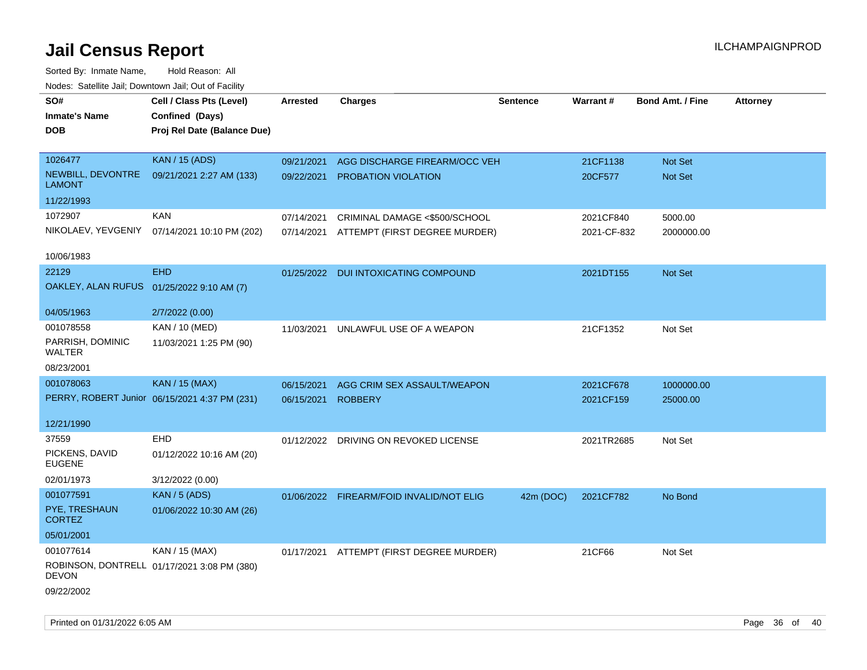| roaco. Oatomto dan, Downtown dan, Oat or Fability |                                               |                    |                                          |                 |             |                         |                 |
|---------------------------------------------------|-----------------------------------------------|--------------------|------------------------------------------|-----------------|-------------|-------------------------|-----------------|
| SO#                                               | Cell / Class Pts (Level)                      | <b>Arrested</b>    | <b>Charges</b>                           | <b>Sentence</b> | Warrant#    | <b>Bond Amt. / Fine</b> | <b>Attorney</b> |
| <b>Inmate's Name</b>                              | Confined (Days)                               |                    |                                          |                 |             |                         |                 |
| <b>DOB</b>                                        | Proj Rel Date (Balance Due)                   |                    |                                          |                 |             |                         |                 |
|                                                   |                                               |                    |                                          |                 |             |                         |                 |
| 1026477                                           | <b>KAN / 15 (ADS)</b>                         | 09/21/2021         | AGG DISCHARGE FIREARM/OCC VEH            |                 | 21CF1138    | Not Set                 |                 |
| NEWBILL, DEVONTRE<br><b>LAMONT</b>                | 09/21/2021 2:27 AM (133)                      |                    | 09/22/2021 PROBATION VIOLATION           |                 | 20CF577     | Not Set                 |                 |
| 11/22/1993                                        |                                               |                    |                                          |                 |             |                         |                 |
| 1072907                                           | <b>KAN</b>                                    | 07/14/2021         | CRIMINAL DAMAGE <\$500/SCHOOL            |                 | 2021CF840   | 5000.00                 |                 |
|                                                   | NIKOLAEV, YEVGENIY 07/14/2021 10:10 PM (202)  | 07/14/2021         | ATTEMPT (FIRST DEGREE MURDER)            |                 | 2021-CF-832 | 2000000.00              |                 |
|                                                   |                                               |                    |                                          |                 |             |                         |                 |
| 10/06/1983                                        |                                               |                    |                                          |                 |             |                         |                 |
| 22129                                             | <b>EHD</b>                                    |                    | 01/25/2022 DUI INTOXICATING COMPOUND     |                 | 2021DT155   | Not Set                 |                 |
| OAKLEY, ALAN RUFUS 01/25/2022 9:10 AM (7)         |                                               |                    |                                          |                 |             |                         |                 |
|                                                   |                                               |                    |                                          |                 |             |                         |                 |
| 04/05/1963                                        | 2/7/2022 (0.00)                               |                    |                                          |                 |             |                         |                 |
| 001078558                                         | KAN / 10 (MED)                                | 11/03/2021         | UNLAWFUL USE OF A WEAPON                 |                 | 21CF1352    | Not Set                 |                 |
| PARRISH, DOMINIC<br>WALTER                        | 11/03/2021 1:25 PM (90)                       |                    |                                          |                 |             |                         |                 |
| 08/23/2001                                        |                                               |                    |                                          |                 |             |                         |                 |
| 001078063                                         | KAN / 15 (MAX)                                | 06/15/2021         | AGG CRIM SEX ASSAULT/WEAPON              |                 | 2021CF678   | 1000000.00              |                 |
|                                                   | PERRY, ROBERT Junior 06/15/2021 4:37 PM (231) | 06/15/2021 ROBBERY |                                          |                 | 2021CF159   | 25000.00                |                 |
|                                                   |                                               |                    |                                          |                 |             |                         |                 |
| 12/21/1990                                        |                                               |                    |                                          |                 |             |                         |                 |
| 37559                                             | EHD                                           |                    | 01/12/2022 DRIVING ON REVOKED LICENSE    |                 | 2021TR2685  | Not Set                 |                 |
| PICKENS, DAVID<br><b>EUGENE</b>                   | 01/12/2022 10:16 AM (20)                      |                    |                                          |                 |             |                         |                 |
| 02/01/1973                                        | 3/12/2022 (0.00)                              |                    |                                          |                 |             |                         |                 |
| 001077591                                         | <b>KAN / 5 (ADS)</b>                          |                    | 01/06/2022 FIREARM/FOID INVALID/NOT ELIG | 42m (DOC)       | 2021CF782   | No Bond                 |                 |
| PYE, TRESHAUN<br><b>CORTEZ</b>                    | 01/06/2022 10:30 AM (26)                      |                    |                                          |                 |             |                         |                 |
| 05/01/2001                                        |                                               |                    |                                          |                 |             |                         |                 |
| 001077614                                         | KAN / 15 (MAX)                                | 01/17/2021         | ATTEMPT (FIRST DEGREE MURDER)            |                 | 21CF66      | Not Set                 |                 |
| <b>DEVON</b>                                      | ROBINSON, DONTRELL 01/17/2021 3:08 PM (380)   |                    |                                          |                 |             |                         |                 |
| 09/22/2002                                        |                                               |                    |                                          |                 |             |                         |                 |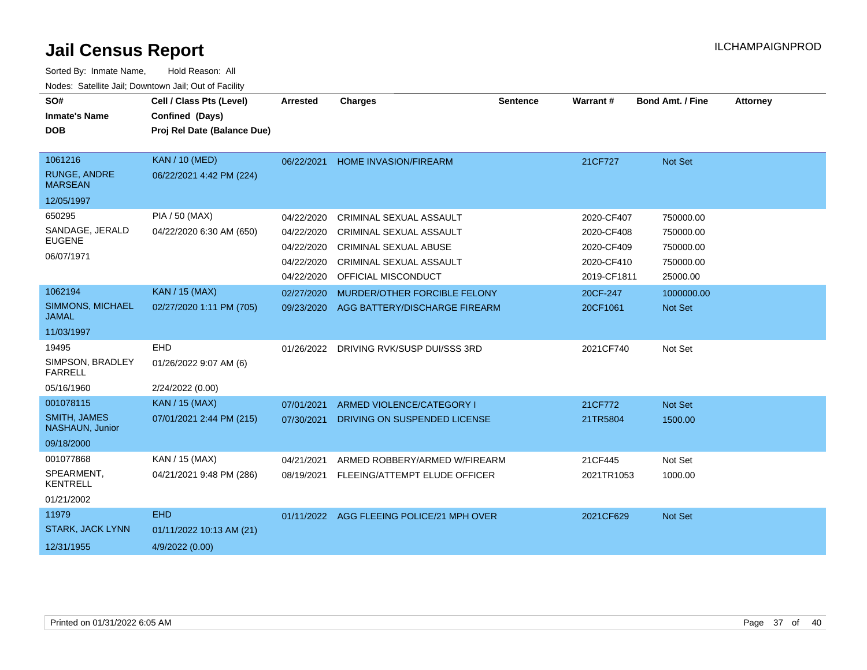| SO#<br><b>Inmate's Name</b><br><b>DOB</b> | Cell / Class Pts (Level)<br>Confined (Days)<br>Proj Rel Date (Balance Due) | Arrested   | <b>Charges</b>                            | <b>Sentence</b> | Warrant#    | <b>Bond Amt. / Fine</b> | <b>Attorney</b> |
|-------------------------------------------|----------------------------------------------------------------------------|------------|-------------------------------------------|-----------------|-------------|-------------------------|-----------------|
|                                           |                                                                            |            |                                           |                 |             |                         |                 |
| 1061216                                   | <b>KAN / 10 (MED)</b>                                                      | 06/22/2021 | <b>HOME INVASION/FIREARM</b>              |                 | 21CF727     | <b>Not Set</b>          |                 |
| <b>RUNGE, ANDRE</b><br><b>MARSEAN</b>     | 06/22/2021 4:42 PM (224)                                                   |            |                                           |                 |             |                         |                 |
| 12/05/1997                                |                                                                            |            |                                           |                 |             |                         |                 |
| 650295                                    | PIA / 50 (MAX)                                                             | 04/22/2020 | CRIMINAL SEXUAL ASSAULT                   |                 | 2020-CF407  | 750000.00               |                 |
| SANDAGE, JERALD                           | 04/22/2020 6:30 AM (650)                                                   | 04/22/2020 | <b>CRIMINAL SEXUAL ASSAULT</b>            |                 | 2020-CF408  | 750000.00               |                 |
| <b>EUGENE</b>                             |                                                                            | 04/22/2020 | <b>CRIMINAL SEXUAL ABUSE</b>              |                 | 2020-CF409  | 750000.00               |                 |
| 06/07/1971                                |                                                                            | 04/22/2020 | <b>CRIMINAL SEXUAL ASSAULT</b>            |                 | 2020-CF410  | 750000.00               |                 |
|                                           |                                                                            | 04/22/2020 | OFFICIAL MISCONDUCT                       |                 | 2019-CF1811 | 25000.00                |                 |
| 1062194                                   | <b>KAN / 15 (MAX)</b>                                                      | 02/27/2020 | MURDER/OTHER FORCIBLE FELONY              |                 | 20CF-247    | 1000000.00              |                 |
| SIMMONS, MICHAEL<br><b>JAMAL</b>          | 02/27/2020 1:11 PM (705)                                                   | 09/23/2020 | AGG BATTERY/DISCHARGE FIREARM             |                 | 20CF1061    | Not Set                 |                 |
| 11/03/1997                                |                                                                            |            |                                           |                 |             |                         |                 |
| 19495                                     | <b>EHD</b>                                                                 |            | 01/26/2022 DRIVING RVK/SUSP DUI/SSS 3RD   |                 | 2021CF740   | Not Set                 |                 |
| SIMPSON, BRADLEY<br><b>FARRELL</b>        | 01/26/2022 9:07 AM (6)                                                     |            |                                           |                 |             |                         |                 |
| 05/16/1960                                | 2/24/2022 (0.00)                                                           |            |                                           |                 |             |                         |                 |
| 001078115                                 | <b>KAN / 15 (MAX)</b>                                                      | 07/01/2021 | ARMED VIOLENCE/CATEGORY I                 |                 | 21CF772     | Not Set                 |                 |
| <b>SMITH, JAMES</b><br>NASHAUN, Junior    | 07/01/2021 2:44 PM (215)                                                   | 07/30/2021 | DRIVING ON SUSPENDED LICENSE              |                 | 21TR5804    | 1500.00                 |                 |
| 09/18/2000                                |                                                                            |            |                                           |                 |             |                         |                 |
| 001077868                                 | KAN / 15 (MAX)                                                             | 04/21/2021 | ARMED ROBBERY/ARMED W/FIREARM             |                 | 21CF445     | Not Set                 |                 |
| SPEARMENT,<br><b>KENTRELL</b>             | 04/21/2021 9:48 PM (286)                                                   | 08/19/2021 | FLEEING/ATTEMPT ELUDE OFFICER             |                 | 2021TR1053  | 1000.00                 |                 |
| 01/21/2002                                |                                                                            |            |                                           |                 |             |                         |                 |
| 11979                                     | <b>EHD</b>                                                                 |            | 01/11/2022 AGG FLEEING POLICE/21 MPH OVER |                 | 2021CF629   | Not Set                 |                 |
| <b>STARK, JACK LYNN</b>                   | 01/11/2022 10:13 AM (21)                                                   |            |                                           |                 |             |                         |                 |
| 12/31/1955                                | 4/9/2022 (0.00)                                                            |            |                                           |                 |             |                         |                 |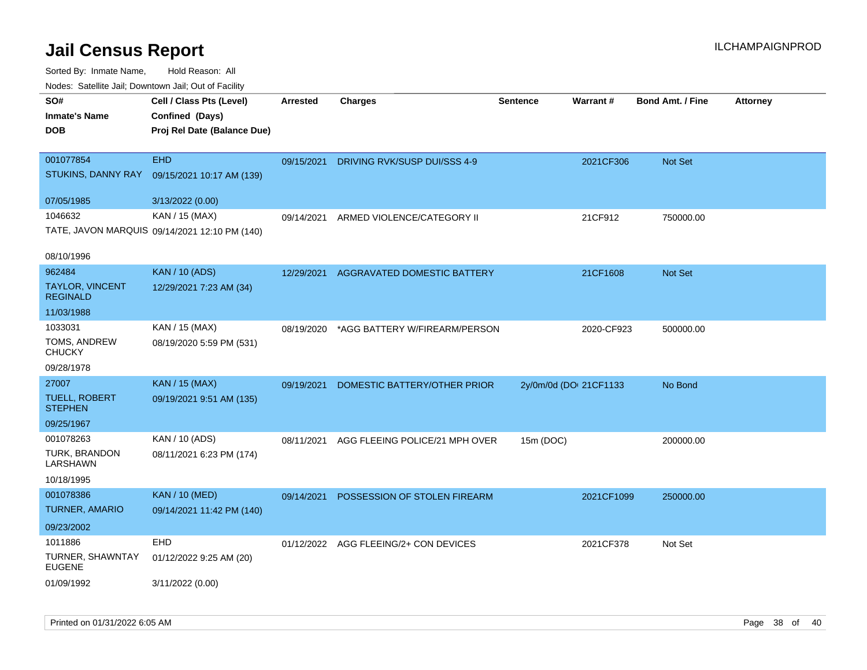| rougs. Calcing Jan, Downtown Jan, Out of Facility             |                                                                            |                 |                                       |                        |            |                         |                 |
|---------------------------------------------------------------|----------------------------------------------------------------------------|-----------------|---------------------------------------|------------------------|------------|-------------------------|-----------------|
| SO#<br><b>Inmate's Name</b><br><b>DOB</b>                     | Cell / Class Pts (Level)<br>Confined (Days)<br>Proj Rel Date (Balance Due) | <b>Arrested</b> | <b>Charges</b>                        | <b>Sentence</b>        | Warrant#   | <b>Bond Amt. / Fine</b> | <b>Attorney</b> |
| 001077854<br>STUKINS, DANNY RAY                               | <b>EHD</b><br>09/15/2021 10:17 AM (139)                                    | 09/15/2021      | DRIVING RVK/SUSP DUI/SSS 4-9          |                        | 2021CF306  | <b>Not Set</b>          |                 |
| 07/05/1985                                                    | 3/13/2022 (0.00)                                                           |                 |                                       |                        |            |                         |                 |
| 1046632                                                       | KAN / 15 (MAX)<br>TATE, JAVON MARQUIS 09/14/2021 12:10 PM (140)            | 09/14/2021      | ARMED VIOLENCE/CATEGORY II            |                        | 21CF912    | 750000.00               |                 |
| 08/10/1996                                                    |                                                                            |                 |                                       |                        |            |                         |                 |
| 962484<br><b>TAYLOR, VINCENT</b><br><b>REGINALD</b>           | <b>KAN / 10 (ADS)</b><br>12/29/2021 7:23 AM (34)                           | 12/29/2021      | AGGRAVATED DOMESTIC BATTERY           |                        | 21CF1608   | <b>Not Set</b>          |                 |
| 11/03/1988                                                    |                                                                            |                 |                                       |                        |            |                         |                 |
| 1033031<br>TOMS, ANDREW<br><b>CHUCKY</b>                      | KAN / 15 (MAX)<br>08/19/2020 5:59 PM (531)                                 | 08/19/2020      | *AGG BATTERY W/FIREARM/PERSON         |                        | 2020-CF923 | 500000.00               |                 |
| 09/28/1978                                                    |                                                                            |                 |                                       |                        |            |                         |                 |
| 27007<br><b>TUELL, ROBERT</b><br><b>STEPHEN</b><br>09/25/1967 | KAN / 15 (MAX)<br>09/19/2021 9:51 AM (135)                                 | 09/19/2021      | DOMESTIC BATTERY/OTHER PRIOR          | 2y/0m/0d (DOI 21CF1133 |            | No Bond                 |                 |
| 001078263                                                     | KAN / 10 (ADS)                                                             | 08/11/2021      | AGG FLEEING POLICE/21 MPH OVER        | 15m (DOC)              |            | 200000.00               |                 |
| TURK, BRANDON<br>LARSHAWN                                     | 08/11/2021 6:23 PM (174)                                                   |                 |                                       |                        |            |                         |                 |
| 10/18/1995                                                    |                                                                            |                 |                                       |                        |            |                         |                 |
| 001078386<br><b>TURNER, AMARIO</b>                            | <b>KAN / 10 (MED)</b><br>09/14/2021 11:42 PM (140)                         | 09/14/2021      | POSSESSION OF STOLEN FIREARM          |                        | 2021CF1099 | 250000.00               |                 |
| 09/23/2002                                                    |                                                                            |                 |                                       |                        |            |                         |                 |
| 1011886<br>TURNER, SHAWNTAY<br><b>EUGENE</b>                  | <b>EHD</b><br>01/12/2022 9:25 AM (20)                                      |                 | 01/12/2022 AGG FLEEING/2+ CON DEVICES |                        | 2021CF378  | Not Set                 |                 |
| 01/09/1992                                                    | 3/11/2022 (0.00)                                                           |                 |                                       |                        |            |                         |                 |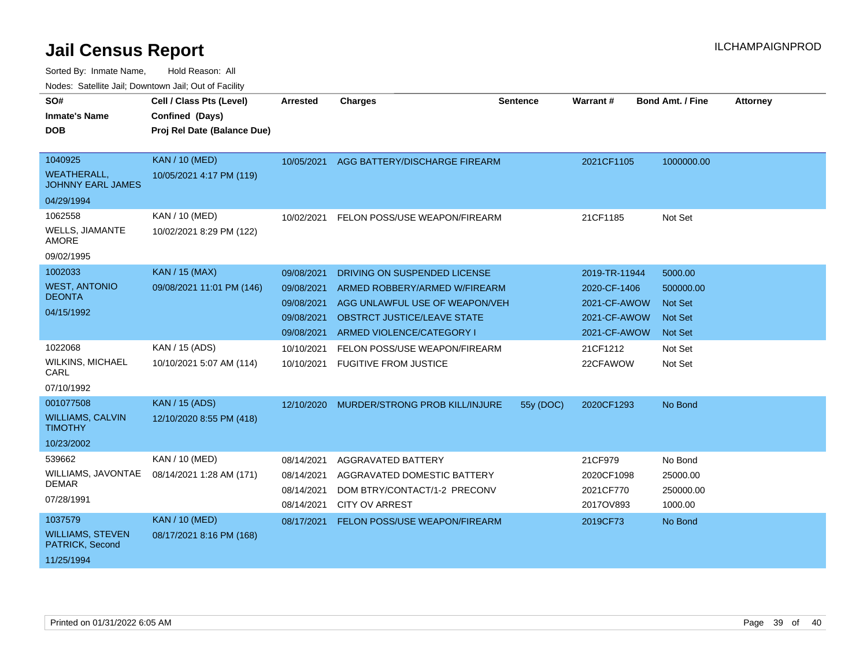| SO#                                            | Cell / Class Pts (Level)    | <b>Arrested</b>          | <b>Charges</b>                                              | <b>Sentence</b> | Warrant #               | <b>Bond Amt. / Fine</b> | <b>Attorney</b> |
|------------------------------------------------|-----------------------------|--------------------------|-------------------------------------------------------------|-----------------|-------------------------|-------------------------|-----------------|
| <b>Inmate's Name</b>                           | Confined (Days)             |                          |                                                             |                 |                         |                         |                 |
| <b>DOB</b>                                     | Proj Rel Date (Balance Due) |                          |                                                             |                 |                         |                         |                 |
|                                                |                             |                          |                                                             |                 |                         |                         |                 |
| 1040925                                        | <b>KAN / 10 (MED)</b>       | 10/05/2021               | AGG BATTERY/DISCHARGE FIREARM                               |                 | 2021CF1105              | 1000000.00              |                 |
| <b>WEATHERALL.</b><br><b>JOHNNY EARL JAMES</b> | 10/05/2021 4:17 PM (119)    |                          |                                                             |                 |                         |                         |                 |
| 04/29/1994                                     |                             |                          |                                                             |                 |                         |                         |                 |
| 1062558                                        | KAN / 10 (MED)              | 10/02/2021               | FELON POSS/USE WEAPON/FIREARM                               |                 | 21CF1185                | Not Set                 |                 |
| <b>WELLS, JIAMANTE</b><br><b>AMORE</b>         | 10/02/2021 8:29 PM (122)    |                          |                                                             |                 |                         |                         |                 |
| 09/02/1995                                     |                             |                          |                                                             |                 |                         |                         |                 |
| 1002033                                        | <b>KAN / 15 (MAX)</b>       | 09/08/2021               | DRIVING ON SUSPENDED LICENSE                                |                 | 2019-TR-11944           | 5000.00                 |                 |
| <b>WEST, ANTONIO</b>                           | 09/08/2021 11:01 PM (146)   | 09/08/2021               | ARMED ROBBERY/ARMED W/FIREARM                               |                 | 2020-CF-1406            | 500000.00               |                 |
| <b>DEONTA</b>                                  |                             | 09/08/2021               | AGG UNLAWFUL USE OF WEAPON/VEH                              |                 | 2021-CF-AWOW            | <b>Not Set</b>          |                 |
| 04/15/1992                                     |                             | 09/08/2021               | <b>OBSTRCT JUSTICE/LEAVE STATE</b>                          |                 | 2021-CF-AWOW            | <b>Not Set</b>          |                 |
|                                                |                             | 09/08/2021               | ARMED VIOLENCE/CATEGORY I                                   |                 | 2021-CF-AWOW            | <b>Not Set</b>          |                 |
| 1022068                                        | KAN / 15 (ADS)              | 10/10/2021               | FELON POSS/USE WEAPON/FIREARM                               |                 | 21CF1212                | Not Set                 |                 |
| <b>WILKINS, MICHAEL</b><br>CARL                | 10/10/2021 5:07 AM (114)    | 10/10/2021               | <b>FUGITIVE FROM JUSTICE</b>                                |                 | 22CFAWOW                | Not Set                 |                 |
| 07/10/1992                                     |                             |                          |                                                             |                 |                         |                         |                 |
| 001077508                                      | <b>KAN</b> / 15 (ADS)       | 12/10/2020               | MURDER/STRONG PROB KILL/INJURE                              | 55y (DOC)       | 2020CF1293              | No Bond                 |                 |
| <b>WILLIAMS, CALVIN</b><br><b>TIMOTHY</b>      | 12/10/2020 8:55 PM (418)    |                          |                                                             |                 |                         |                         |                 |
| 10/23/2002                                     |                             |                          |                                                             |                 |                         |                         |                 |
| 539662                                         | KAN / 10 (MED)              | 08/14/2021               | AGGRAVATED BATTERY                                          |                 | 21CF979                 | No Bond                 |                 |
| WILLIAMS, JAVONTAE<br><b>DEMAR</b>             | 08/14/2021 1:28 AM (171)    | 08/14/2021<br>08/14/2021 | AGGRAVATED DOMESTIC BATTERY<br>DOM BTRY/CONTACT/1-2 PRECONV |                 | 2020CF1098<br>2021CF770 | 25000.00                |                 |
| 07/28/1991                                     |                             | 08/14/2021               | <b>CITY OV ARREST</b>                                       |                 | 2017OV893               | 250000.00<br>1000.00    |                 |
| 1037579                                        | <b>KAN / 10 (MED)</b>       | 08/17/2021               | FELON POSS/USE WEAPON/FIREARM                               |                 | 2019CF73                | No Bond                 |                 |
| <b>WILLIAMS, STEVEN</b><br>PATRICK, Second     | 08/17/2021 8:16 PM (168)    |                          |                                                             |                 |                         |                         |                 |
| 11/25/1994                                     |                             |                          |                                                             |                 |                         |                         |                 |